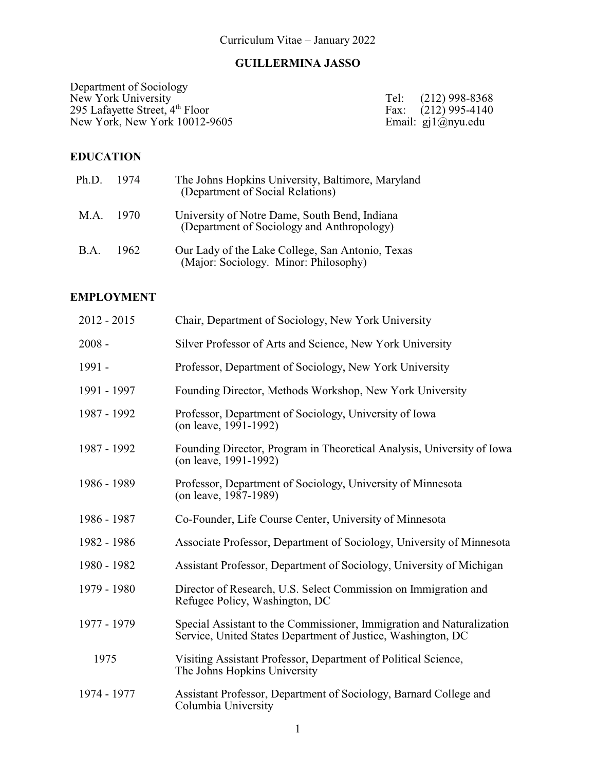# **GUILLERMINA JASSO**

Department of Sociology New York University Tel: (212) 998-8368 295 Lafayette Street, 4<sup>th</sup> New York, New York 10012-9605 Email: gj1@nyu.edu

Fax:  $(212)$  995-4140<br>Email: gj1@nyu.edu

# **EDUCATION**

| Ph.D. 1974 |        | The Johns Hopkins University, Baltimore, Maryland<br>(Department of Social Relations)       |
|------------|--------|---------------------------------------------------------------------------------------------|
| M.A. 1970  |        | University of Notre Dame, South Bend, Indiana<br>(Department of Sociology and Anthropology) |
| B.A.       | - 1962 | Our Lady of the Lake College, San Antonio, Texas<br>(Major: Sociology. Minor: Philosophy)   |

# **EMPLOYMENT**

| $2012 - 2015$ | Chair, Department of Sociology, New York University                                                                                   |
|---------------|---------------------------------------------------------------------------------------------------------------------------------------|
| $2008 -$      | Silver Professor of Arts and Science, New York University                                                                             |
| 1991 -        | Professor, Department of Sociology, New York University                                                                               |
| 1991 - 1997   | Founding Director, Methods Workshop, New York University                                                                              |
| 1987 - 1992   | Professor, Department of Sociology, University of Iowa<br>(on leave, 1991-1992)                                                       |
| 1987 - 1992   | Founding Director, Program in Theoretical Analysis, University of Iowa<br>(on leave, 1991-1992)                                       |
| 1986 - 1989   | Professor, Department of Sociology, University of Minnesota<br>(on leave, 1987-1989)                                                  |
| 1986 - 1987   | Co-Founder, Life Course Center, University of Minnesota                                                                               |
| 1982 - 1986   | Associate Professor, Department of Sociology, University of Minnesota                                                                 |
| 1980 - 1982   | Assistant Professor, Department of Sociology, University of Michigan                                                                  |
| 1979 - 1980   | Director of Research, U.S. Select Commission on Immigration and<br>Refugee Policy, Washington, DC                                     |
| 1977 - 1979   | Special Assistant to the Commissioner, Immigration and Naturalization<br>Service, United States Department of Justice, Washington, DC |
| 1975          | Visiting Assistant Professor, Department of Political Science,<br>The Johns Hopkins University                                        |
| 1974 - 1977   | Assistant Professor, Department of Sociology, Barnard College and<br>Columbia University                                              |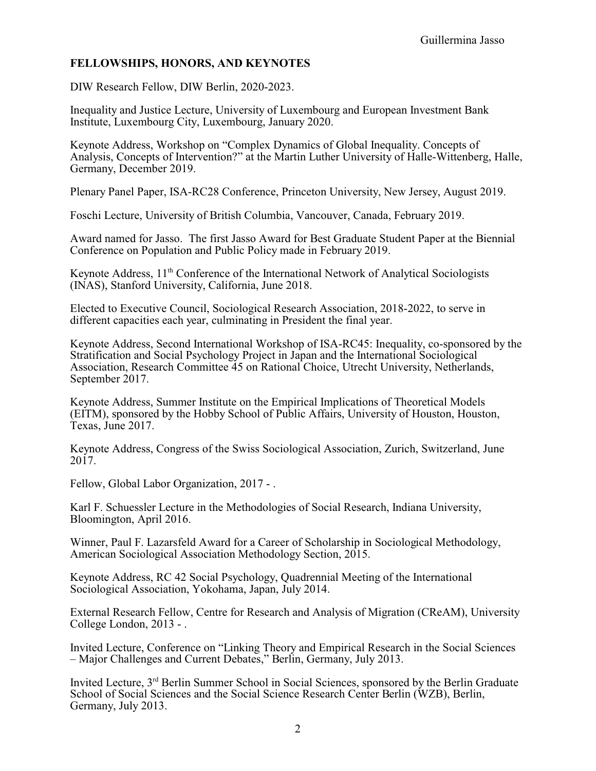# **FELLOWSHIPS, HONORS, AND KEYNOTES**

DIW Research Fellow, DIW Berlin, 2020-2023.

Inequality and Justice Lecture, University of Luxembourg and European Investment Bank Institute, Luxembourg City, Luxembourg, January 2020.

Keynote Address, Workshop on "Complex Dynamics of Global Inequality. Concepts of Analysis, Concepts of Intervention?" at the Martin Luther University of Halle-Wittenberg, Halle, Germany, December 2019.

Plenary Panel Paper, ISA-RC28 Conference, Princeton University, New Jersey, August 2019.

Foschi Lecture, University of British Columbia, Vancouver, Canada, February 2019.

Award named for Jasso. The first Jasso Award for Best Graduate Student Paper at the Biennial Conference on Population and Public Policy made in February 2019.

Keynote Address, 11<sup>th</sup> Conference of the International Network of Analytical Sociologists (INAS), Stanford University, California, June 2018.

Elected to Executive Council, Sociological Research Association, 2018-2022, to serve in different capacities each year, culminating in President the final year.

Keynote Address, Second International Workshop of ISA-RC45: Inequality, co-sponsored by the Stratification and Social Psychology Project in Japan and the International Sociological Association, Research Committee 45 on Rational Choice, Utrecht University, Netherlands, September 2017.

Keynote Address, Summer Institute on the Empirical Implications of Theoretical Models (EITM), sponsored by the Hobby School of Public Affairs, University of Houston, Houston, Texas, June 2017.

Keynote Address, Congress of the Swiss Sociological Association, Zurich, Switzerland, June 2017.

Fellow, Global Labor Organization, 2017 - .

Karl F. Schuessler Lecture in the Methodologies of Social Research, Indiana University, Bloomington, April 2016.

Winner, Paul F. Lazarsfeld Award for a Career of Scholarship in Sociological Methodology, American Sociological Association Methodology Section, 2015.

Keynote Address, RC 42 Social Psychology, Quadrennial Meeting of the International Sociological Association, Yokohama, Japan, July 2014.

External Research Fellow, Centre for Research and Analysis of Migration (CReAM), University College London, 2013 - .

Invited Lecture, Conference on "Linking Theory and Empirical Research in the Social Sciences – Major Challenges and Current Debates," Berlin, Germany, July 2013.

Invited Lecture, 3<sup>rd</sup> Berlin Summer School in Social Sciences, sponsored by the Berlin Graduate School of Social Sciences and the Social Science Research Center Berlin (WZB), Berlin, Germany, July 2013.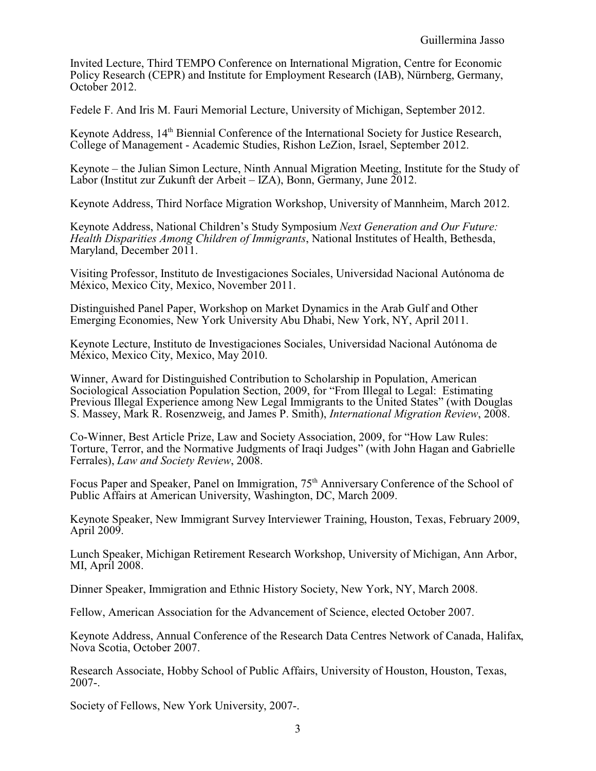Invited Lecture, Third TEMPO Conference on International Migration, Centre for Economic Policy Research (CEPR) and Institute for Employment Research (IAB), Nürnberg, Germany, October 2012.

Fedele F. And Iris M. Fauri Memorial Lecture, University of Michigan, September 2012.

Keynote Address, 14<sup>th</sup> Biennial Conference of the International Society for Justice Research, College of Management - Academic Studies, Rishon LeZion, Israel, September 2012.

Keynote – the Julian Simon Lecture, Ninth Annual Migration Meeting, Institute for the Study of Labor (Institut zur Zukunft der Arbeit – IZA), Bonn, Germany, June 2012.

Keynote Address, Third Norface Migration Workshop, University of Mannheim, March 2012.

Keynote Address, National Children's Study Symposium *Next Generation and Our Future: Health Disparities Among Children of Immigrants*, National Institutes of Health, Bethesda, Maryland, December 2011.

Visiting Professor, Instituto de Investigaciones Sociales, Universidad Nacional Autónoma de México, Mexico City, Mexico, November 2011.

Distinguished Panel Paper, Workshop on Market Dynamics in the Arab Gulf and Other Emerging Economies, New York University Abu Dhabi, New York, NY, April 2011.

Keynote Lecture, Instituto de Investigaciones Sociales, Universidad Nacional Autónoma de México, Mexico City, Mexico, May 2010.

Winner, Award for Distinguished Contribution to Scholarship in Population, American Sociological Association Population Section, 2009, for "From Illegal to Legal: Estimating Previous Illegal Experience among New Legal Immigrants to the United States" (with Douglas S. Massey, Mark R. Rosenzweig, and James P. Smith), *International Migration Review*, 2008.

Co-Winner, Best Article Prize, Law and Society Association, 2009, for "How Law Rules: Torture, Terror, and the Normative Judgments of Iraqi Judges" (with John Hagan and Gabrielle Ferrales), *Law and Society Review*, 2008.

Focus Paper and Speaker, Panel on Immigration, 75<sup>th</sup> Anniversary Conference of the School of Public Affairs at American University, Washington, DC, March 2009.

Keynote Speaker, New Immigrant Survey Interviewer Training, Houston, Texas, February 2009, April 2009.

Lunch Speaker, Michigan Retirement Research Workshop, University of Michigan, Ann Arbor, MI, April 2008.

Dinner Speaker, Immigration and Ethnic History Society, New York, NY, March 2008.

Fellow, American Association for the Advancement of Science, elected October 2007.

Keynote Address, Annual Conference of the Research Data Centres Network of Canada, Halifax, Nova Scotia, October 2007.

Research Associate, Hobby School of Public Affairs, University of Houston, Houston, Texas, 2007-.

Society of Fellows, New York University, 2007-.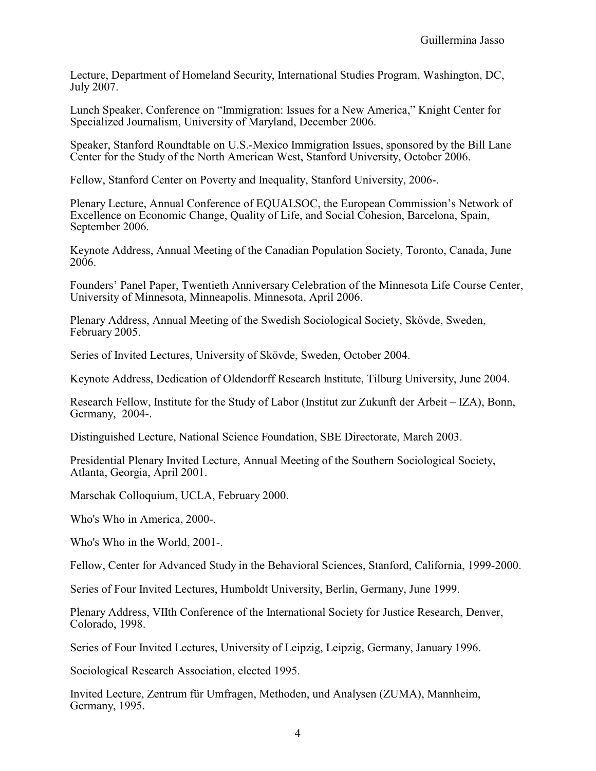Lecture, Department of Homeland Security, International Studies Program, Washington, DC, July 2007.

Lunch Speaker, Conference on "Immigration: Issues for a New America," Knight Center for Specialized Journalism, University of Maryland, December 2006.

Speaker, Stanford Roundtable on U.S.-Mexico Immigration Issues, sponsored by the Bill Lane Center for the Study of the North American West, Stanford University, October 2006.

Fellow, Stanford Center on Poverty and Inequality, Stanford University, 2006-.

Plenary Lecture, Annual Conference of EQUALSOC, the European Commission's Network of Excellence on Economic Change, Quality of Life, and Social Cohesion, Barcelona, Spain, September 2006.

Keynote Address, Annual Meeting of the Canadian Population Society, Toronto, Canada, June 2006.

Founders' Panel Paper, Twentieth Anniversary Celebration of the Minnesota Life Course Center, University of Minnesota, Minneapolis, Minnesota, April 2006.

Plenary Address, Annual Meeting of the Swedish Sociological Society, Skövde, Sweden, February 2005.

Series of Invited Lectures, University of Skövde, Sweden, October 2004.

Keynote Address, Dedication of Oldendorff Research Institute, Tilburg University, June 2004.

Research Fellow, Institute for the Study of Labor (Institut zur Zukunft der Arbeit – IZA), Bonn, Germany, 2004-.

Distinguished Lecture, National Science Foundation, SBE Directorate, March 2003.

Presidential Plenary Invited Lecture, Annual Meeting of the Southern Sociological Society, Atlanta, Georgia, April 2001.

Marschak Colloquium, UCLA, February 2000.

Who's Who in America, 2000-.

Who's Who in the World, 2001-.

Fellow, Center for Advanced Study in the Behavioral Sciences, Stanford, California, 1999-2000.

Series of Four Invited Lectures, Humboldt University, Berlin, Germany, June 1999.

Plenary Address, VIIth Conference of the International Society for Justice Research, Denver, Colorado, 1998.

Series of Four Invited Lectures, University of Leipzig, Leipzig, Germany, January 1996.

Sociological Research Association, elected 1995.

Invited Lecture, Zentrum für Umfragen, Methoden, und Analysen (ZUMA), Mannheim, Germany, 1995.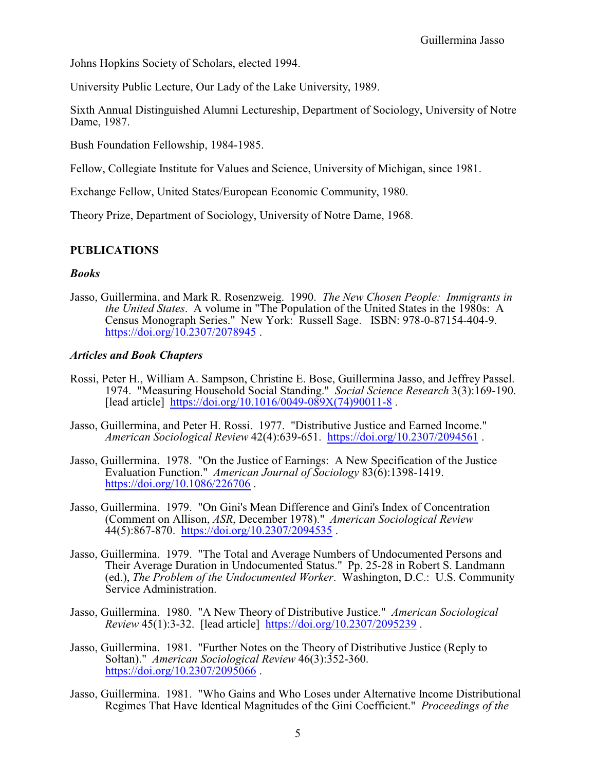Johns Hopkins Society of Scholars, elected 1994.

University Public Lecture, Our Lady of the Lake University, 1989.

Sixth Annual Distinguished Alumni Lectureship, Department of Sociology, University of Notre Dame, 1987.

Bush Foundation Fellowship, 1984-1985.

Fellow, Collegiate Institute for Values and Science, University of Michigan, since 1981.

Exchange Fellow, United States/European Economic Community, 1980.

Theory Prize, Department of Sociology, University of Notre Dame, 1968.

## **PUBLICATIONS**

## *Books*

Jasso, Guillermina, and Mark R. Rosenzweig. 1990. *The New Chosen People: Immigrants in the United States*. A volume in "The Population of the United States in the 1980s: A Census Monograph Series." New York: Russell Sage. ISBN: 978-0-87154-404-9. <https://doi.org/10.2307/2078945>.

## *Articles and Book Chapters*

- Rossi, Peter H., William A. Sampson, Christine E. Bose, Guillermina Jasso, and Jeffrey Passel. 1974. "Measuring Household Social Standing." *Social Science Research* 3(3):169-190. [lead article] [https://doi.org/10.1016/0049-089X\(74\)90011-8](https://doi.org/10.1016/0049-089X(74)90011-8).
- Jasso, Guillermina, and Peter H. Rossi. 1977. "Distributive Justice and Earned Income." *American Sociological Review* 42(4):639-651. <https://doi.org/10.2307/2094561> .
- Jasso, Guillermina. 1978. "On the Justice of Earnings: A New Specification of the Justice Evaluation Function." *American Journal of Sociology* 83(6):1398-1419. <https://doi.org/10.1086/226706> .
- Jasso, Guillermina. 1979. "On Gini's Mean Difference and Gini's Index of Concentration (Comment on Allison, *ASR*, December 1978)." *American Sociological Review*  $44(5):867-870$ . <https://doi.org/10.2307/2094535>.
- Jasso, Guillermina. 1979. "The Total and Average Numbers of Undocumented Persons and Their Average Duration in Undocumented Status." Pp. 25-28 in Robert S. Landmann (ed.), *The Problem of the Undocumented Worker*. Washington, D.C.: U.S. Community Service Administration.
- Jasso, Guillermina. 1980. "A New Theory of Distributive Justice." *American Sociological Review* 45(1):3-32. [lead article] <https://doi.org/10.2307/2095239> .
- Jasso, Guillermina. 1981. "Further Notes on the Theory of Distributive Justice (Reply to Soltan)." *American Sociological Review* 46(3):352-360. <https://doi.org/10.2307/2095066>.
- Jasso, Guillermina. 1981. "Who Gains and Who Loses under Alternative Income Distributional Regimes That Have Identical Magnitudes of the Gini Coefficient." *Proceedings of the*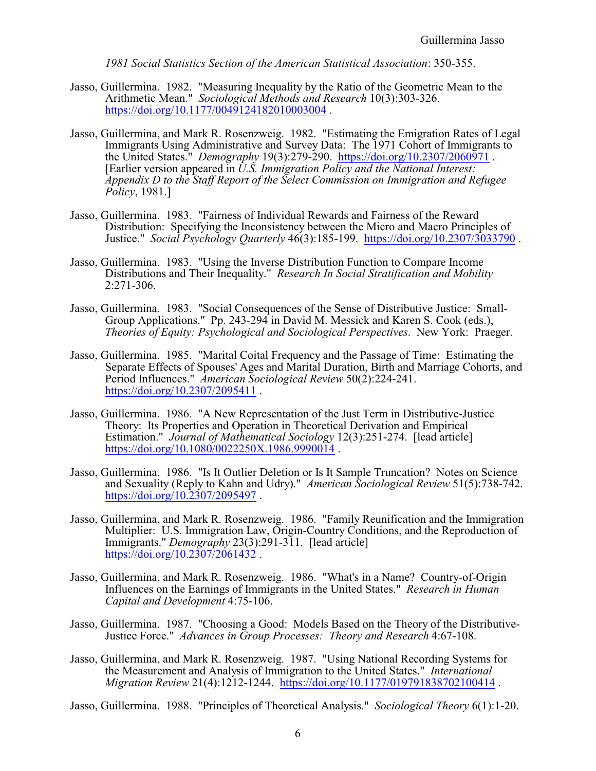*1981 Social Statistics Section of the American Statistical Association*: 350-355.

- Jasso, Guillermina. 1982. "Measuring Inequality by the Ratio of the Geometric Mean to the Arithmetic Mean." *Sociological Methods and Research* 10(3):303-326. <https://doi.org/10.1177/0049124182010003004>.
- Jasso, Guillermina, and Mark R. Rosenzweig. 1982. "Estimating the Emigration Rates of Legal Immigrants Using Administrative and Survey Data: The 1971 Cohort of Immigrants to the United States." *Demography* 19(3):279-290. <https://doi.org/10.2307/2060971> . [Earlier version appeared in *U.S. Immigration Policy and the National Interest: Appendix D to the Staff Report of the Select Commission on Immigration and Refugee Policy*, 1981.]
- Jasso, Guillermina. 1983. "Fairness of Individual Rewards and Fairness of the Reward Distribution: Specifying the Inconsistency between the Micro and Macro Principles of Justice." *Social Psychology Quarterly* 46(3):185-199. <https://doi.org/10.2307/3033790> .
- Jasso, Guillermina. 1983. "Using the Inverse Distribution Function to Compare Income Distributions and Their Inequality." *Research In Social Stratification and Mobility* 2:271-306.
- Jasso, Guillermina. 1983. "Social Consequences of the Sense of Distributive Justice: Small-Group Applications." Pp. 243-294 in David M. Messick and Karen S. Cook (eds.), *Theories of Equity: Psychological and Sociological Perspectives*. New York: Praeger.
- Jasso, Guillermina. 1985. "Marital Coital Frequency and the Passage of Time: Estimating the Separate Effects of Spouses' Ages and Marital Duration, Birth and Marriage Cohorts, and Period Influences." *American Sociological Review* 50(2):224-241. <https://doi.org/10.2307/2095411>.
- Jasso, Guillermina. 1986. "A New Representation of the Just Term in Distributive-Justice Theory: Its Properties and Operation in Theoretical Derivation and Empirical Estimation." *Journal of Mathematical Sociology* 12(3):251-274. [lead article] <https://doi.org/10.1080/0022250X.1986.9990014>.
- Jasso, Guillermina. 1986. "Is It Outlier Deletion or Is It Sample Truncation? Notes on Science and Sexuality (Reply to Kahn and Udry)." *American Sociological Review* 51(5):738-742. [https://doi.org/10.2307/2095497](https://doi.org/10.2307/2095496).
- Jasso, Guillermina, and Mark R. Rosenzweig. 1986. "Family Reunification and the Immigration Multiplier: U.S. Immigration Law, Origin-Country Conditions, and the Reproduction of Immigrants." *Demography* 23(3):291-311. [lead article] <https://doi.org/10.2307/2061432>.
- Jasso, Guillermina, and Mark R. Rosenzweig. 1986. "What's in a Name? Country-of-Origin Influences on the Earnings of Immigrants in the United States." *Research in Human Capital and Development* 4:75-106.
- Jasso, Guillermina. 1987. "Choosing a Good: Models Based on the Theory of the Distributive-Justice Force." *Advances in Group Processes: Theory and Research* 4:67-108.
- Jasso, Guillermina, and Mark R. Rosenzweig. 1987. "Using National Recording Systems for the Measurement and Analysis of Immigration to the United States." *International Migration Review* 21(4):1212-1244. <https://doi.org/10.1177/019791838702100414> .

Jasso, Guillermina. 1988. "Principles of Theoretical Analysis." *Sociological Theory* 6(1):1-20.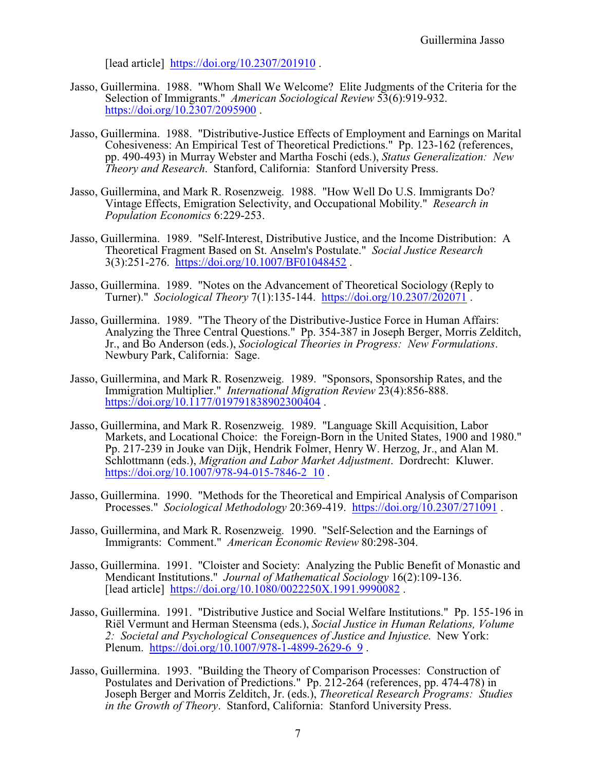[lead article] <https://doi.org/10.2307/201910>.

- Jasso, Guillermina. 1988. "Whom Shall We Welcome? Elite Judgments of the Criteria for the Selection of Immigrants." *American Sociological Review* 53(6):919-932. <https://doi.org/10.2307/2095900>.
- Jasso, Guillermina. 1988. "Distributive-Justice Effects of Employment and Earnings on Marital Cohesiveness: An Empirical Test of Theoretical Predictions." Pp. 123-162 (references, pp. 490-493) in Murray Webster and Martha Foschi (eds.), *Status Generalization: New Theory and Research*. Stanford, California: Stanford University Press.
- Jasso, Guillermina, and Mark R. Rosenzweig. 1988. "How Well Do U.S. Immigrants Do? Vintage Effects, Emigration Selectivity, and Occupational Mobility." *Research in Population Economics* 6:229-253.
- Jasso, Guillermina. 1989. "Self-Interest, Distributive Justice, and the Income Distribution: A Theoretical Fragment Based on St. Anselm's Postulate." *Social Justice Research* 3(3):251-276. <https://doi.org/10.1007/BF01048452> .
- Jasso, Guillermina. 1989. "Notes on the Advancement of Theoretical Sociology (Reply to Turner)." *Sociological Theory* 7(1):135-144. <https://doi.org/10.2307/202071> .
- Jasso, Guillermina. 1989. "The Theory of the Distributive-Justice Force in Human Affairs: Analyzing the Three Central Questions." Pp. 354-387 in Joseph Berger, Morris Zelditch, Jr., and Bo Anderson (eds.), *Sociological Theories in Progress: New Formulations*. Newbury Park, California: Sage.
- Jasso, Guillermina, and Mark R. Rosenzweig. 1989. "Sponsors, Sponsorship Rates, and the Immigration Multiplier." *International Migration Review* 23(4):856-888. <https://doi.org/10.1177/019791838902300404>.
- Jasso, Guillermina, and Mark R. Rosenzweig. 1989. "Language Skill Acquisition, Labor Markets, and Locational Choice: the Foreign-Born in the United States, 1900 and 1980." Pp. 217-239 in Jouke van Dijk, Hendrik Folmer, Henry W. Herzog, Jr., and Alan M. Schlottmann (eds.), *Migration and Labor Market Adjustment*. Dordrecht: Kluwer. https://doi.org/10.1007/978-94-015-7846-2 10.
- Jasso, Guillermina. 1990. "Methods for the Theoretical and Empirical Analysis of Comparison Processes." *Sociological Methodology* 20:369-419. <https://doi.org/10.2307/271091> .
- Jasso, Guillermina, and Mark R. Rosenzweig. 1990. "Self-Selection and the Earnings of Immigrants: Comment." *American Economic Review* 80:298-304.
- Jasso, Guillermina. 1991. "Cloister and Society: Analyzing the Public Benefit of Monastic and Mendicant Institutions." *Journal of Mathematical Sociology* 16(2):109-136. [lead article] <https://doi.org/10.1080/0022250X.1991.9990082> .
- Jasso, Guillermina. 1991. "Distributive Justice and Social Welfare Institutions." Pp. 155-196 in Riël Vermunt and Herman Steensma (eds.), *Social Justice in Human Relations, Volume 2: Societal and Psychological Consequences of Justice and Injustice*. New York: Plenum. [https://doi.org/10.1007/978-1-4899-2629-6\\_9](https://doi.org/10.1007/978-1-4899-2629-6_9).
- Jasso, Guillermina. 1993. "Building the Theory of Comparison Processes: Construction of Postulates and Derivation of Predictions." Pp. 212-264 (references, pp. 474-478) in Joseph Berger and Morris Zelditch, Jr. (eds.), *Theoretical Research Programs: Studies in the Growth of Theory*. Stanford, California: Stanford University Press.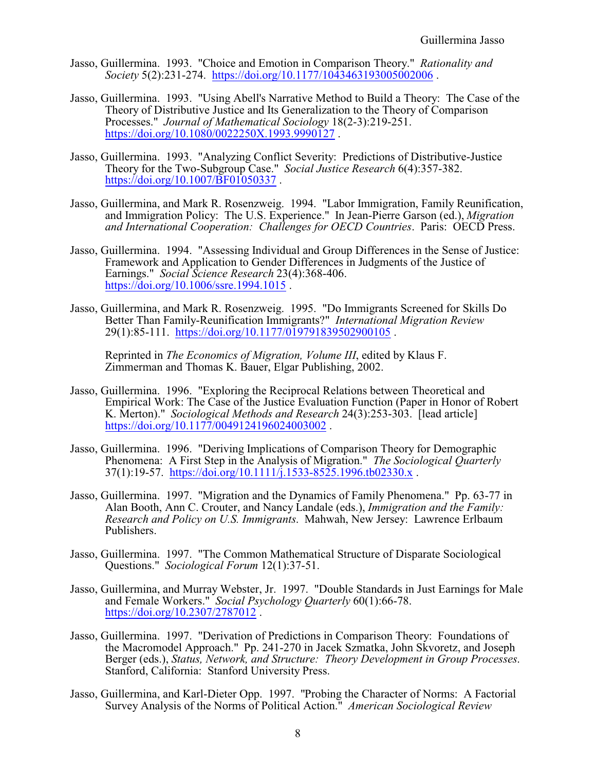- Jasso, Guillermina. 1993. "Choice and Emotion in Comparison Theory." *Rationality and Society* 5(2):231-274. <https://doi.org/10.1177/1043463193005002006> .
- Jasso, Guillermina. 1993. "Using Abell's Narrative Method to Build a Theory: The Case of the Theory of Distributive Justice and Its Generalization to the Theory of Comparison Processes." *Journal of Mathematical Sociology* 18(2-3):219-251. <https://doi.org/10.1080/0022250X.1993.9990127>.
- Jasso, Guillermina. 1993. "Analyzing Conflict Severity: Predictions of Distributive-Justice Theory for the Two-Subgroup Case." *Social Justice Research* 6(4):357-382. <https://doi.org/10.1007/BF01050337>.
- Jasso, Guillermina, and Mark R. Rosenzweig. 1994. "Labor Immigration, Family Reunification, and Immigration Policy: The U.S. Experience." In Jean-Pierre Garson (ed.), *Migration and International Cooperation: Challenges for OECD Countries*. Paris: OECD Press.
- Jasso, Guillermina. 1994. "Assessing Individual and Group Differences in the Sense of Justice: Framework and Application to Gender Differences in Judgments of the Justice of Earnings." *Social Science Research* 23(4):368-406. <https://doi.org/10.1006/ssre.1994.1015>.
- Jasso, Guillermina, and Mark R. Rosenzweig. 1995. "Do Immigrants Screened for Skills Do Better Than Family-Reunification Immigrants?" *International Migration Review* 29(1):85-111. <https://doi.org/10.1177/019791839502900105> .

Reprinted in *The Economics of Migration, Volume III*, edited by Klaus F. Zimmerman and Thomas K. Bauer, Elgar Publishing, 2002.

- Jasso, Guillermina. 1996. "Exploring the Reciprocal Relations between Theoretical and Empirical Work: The Case of the Justice Evaluation Function (Paper in Honor of Robert K. Merton)." *Sociological Methods and Research* 24(3):253-303. [lead article] <https://doi.org/10.1177/0049124196024003002>.
- Jasso, Guillermina. 1996. "Deriving Implications of Comparison Theory for Demographic Phenomena: A First Step in the Analysis of Migration." *The Sociological Quarterly* 37(1):19-57. <https://doi.org/10.1111/j.1533-8525.1996.tb02330.x> .
- Jasso, Guillermina. 1997. "Migration and the Dynamics of Family Phenomena." Pp. 63-77 in Alan Booth, Ann C. Crouter, and Nancy Landale (eds.), *Immigration and the Family: Research and Policy on U.S. Immigrants*. Mahwah, New Jersey: Lawrence Erlbaum Publishers.
- Jasso, Guillermina. 1997. "The Common Mathematical Structure of Disparate Sociological Questions." *Sociological Forum* 12(1):37-51.
- Jasso, Guillermina, and Murray Webster, Jr. 1997. "Double Standards in Just Earnings for Male and Female Workers." *Social Psychology Quarterly* 60(1):66-78. <https://doi.org/10.2307/2787012> .
- Jasso, Guillermina. 1997. "Derivation of Predictions in Comparison Theory: Foundations of the Macromodel Approach." Pp. 241-270 in Jacek Szmatka, John Skvoretz, and Joseph Berger (eds.), *Status, Network, and Structure: Theory Development in Group Processes*. Stanford, California: Stanford University Press.
- Jasso, Guillermina, and Karl-Dieter Opp. 1997. "Probing the Character of Norms: A Factorial Survey Analysis of the Norms of Political Action." *American Sociological Review*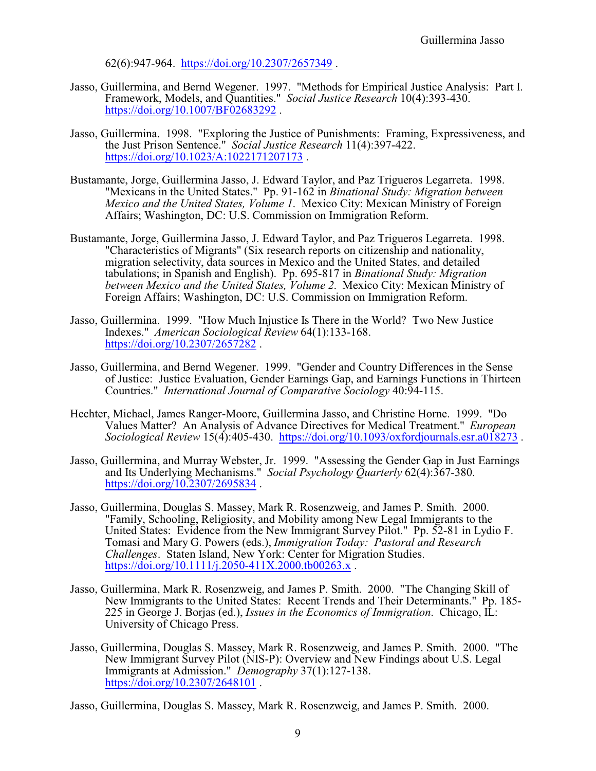62(6):947-964. <https://doi.org/10.2307/2657349> .

- Jasso, Guillermina, and Bernd Wegener. 1997. "Methods for Empirical Justice Analysis: Part I. Framework, Models, and Quantities." *Social Justice Research* 10(4):393-430. <https://doi.org/10.1007/BF02683292>.
- Jasso, Guillermina. 1998. "Exploring the Justice of Punishments: Framing, Expressiveness, and the Just Prison Sentence." *Social Justice Research* 11(4):397-422. <https://doi.org/10.1023/A:1022171207173>.
- Bustamante, Jorge, Guillermina Jasso, J. Edward Taylor, and Paz Trigueros Legarreta. 1998. "Mexicans in the United States." Pp. 91-162 in *Binational Study: Migration between Mexico and the United States, Volume 1*. Mexico City: Mexican Ministry of Foreign Affairs; Washington, DC: U.S. Commission on Immigration Reform.
- Bustamante, Jorge, Guillermina Jasso, J. Edward Taylor, and Paz Trigueros Legarreta. 1998. "Characteristics of Migrants" (Six research reports on citizenship and nationality, migration selectivity, data sources in Mexico and the United States, and detailed tabulations; in Spanish and English). Pp. 695-817 in *Binational Study: Migration between Mexico and the United States, Volume 2*. Mexico City: Mexican Ministry of Foreign Affairs; Washington, DC: U.S. Commission on Immigration Reform.
- Jasso, Guillermina. 1999. "How Much Injustice Is There in the World? Two New Justice Indexes." *American Sociological Review* 64(1):133-168. <https://doi.org/10.2307/2657282>.
- Jasso, Guillermina, and Bernd Wegener. 1999. "Gender and Country Differences in the Sense of Justice: Justice Evaluation, Gender Earnings Gap, and Earnings Functions in Thirteen Countries." *International Journal of Comparative Sociology* 40:94-115.
- Hechter, Michael, James Ranger-Moore, Guillermina Jasso, and Christine Horne. 1999. "Do Values Matter? An Analysis of Advance Directives for Medical Treatment." *European Sociological Review* 15(4):405-430. <https://doi.org/10.1093/oxfordjournals.esr.a018273> .
- Jasso, Guillermina, and Murray Webster, Jr. 1999. "Assessing the Gender Gap in Just Earnings and Its Underlying Mechanisms." *Social Psychology Quarterly* 62(4):367-380. <https://doi.org/10.2307/2695834>.
- Jasso, Guillermina, Douglas S. Massey, Mark R. Rosenzweig, and James P. Smith. 2000. "Family, Schooling, Religiosity, and Mobility among New Legal Immigrants to the United States: Evidence from the New Immigrant Survey Pilot." Pp. 52-81 in Lydio F. Tomasi and Mary G. Powers (eds.), *Immigration Today: Pastoral and Research Challenges*. Staten Island, New York: Center for Migration Studies. <https://doi.org/10.1111/j.2050-411X.2000.tb00263.x>.
- Jasso, Guillermina, Mark R. Rosenzweig, and James P. Smith. 2000. "The Changing Skill of New Immigrants to the United States: Recent Trends and Their Determinants." Pp. 185- 225 in George J. Borjas (ed.), *Issues in the Economics of Immigration*. Chicago, IL: University of Chicago Press.
- Jasso, Guillermina, Douglas S. Massey, Mark R. Rosenzweig, and James P. Smith. 2000. "The New Immigrant Survey Pilot (NIS-P): Overview and New Findings about U.S. Legal Immigrants at Admission." *Demography* 37(1):127-138. <https://doi.org/10.2307/2648101>.

Jasso, Guillermina, Douglas S. Massey, Mark R. Rosenzweig, and James P. Smith. 2000.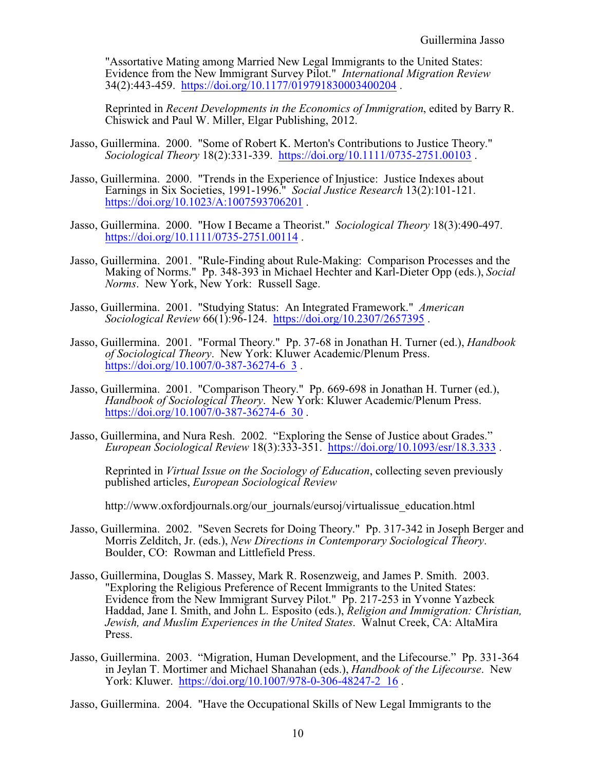"Assortative Mating among Married New Legal Immigrants to the United States: Evidence from the New Immigrant Survey Pilot." *International Migration Review* 34(2):443-459. <https://doi.org/10.1177/019791830003400204> .

Reprinted in *Recent Developments in the Economics of Immigration*, edited by Barry R. Chiswick and Paul W. Miller, Elgar Publishing, 2012.

- Jasso, Guillermina. 2000. "Some of Robert K. Merton's Contributions to Justice Theory." *Sociological Theory* 18(2):331-339. <https://doi.org/10.1111/0735-2751.00103> .
- Jasso, Guillermina. 2000. "Trends in the Experience of Injustice: Justice Indexes about Earnings in Six Societies, 1991-1996." *Social Justice Research* 13(2):101-121. <https://doi.org/10.1023/A:1007593706201> .
- Jasso, Guillermina. 2000. "How I Became a Theorist." *Sociological Theory* 18(3):490-497. <https://doi.org/10.1111/0735-2751.00114> .
- Jasso, Guillermina. 2001. "Rule-Finding about Rule-Making: Comparison Processes and the Making of Norms." Pp. 348-393 in Michael Hechter and Karl-Dieter Opp (eds.), *Social Norms*. New York, New York: Russell Sage.
- Jasso, Guillermina. 2001. "Studying Status: An Integrated Framework." *American Sociological Review* 66(1):96-124. <https://doi.org/10.2307/2657395> .
- Jasso, Guillermina. 2001. "Formal Theory." Pp. 37-68 in Jonathan H. Turner (ed.), *Handbook of Sociological Theory*. New York: Kluwer Academic/Plenum Press. [https://doi.org/10.1007/0-387-36274-6\\_3](https://doi.org/10.1007/0-387-36274-6_3).
- Jasso, Guillermina. 2001. "Comparison Theory." Pp. 669-698 in Jonathan H. Turner (ed.), *Handbook of Sociological Theory*. New York: Kluwer Academic/Plenum Press. [https://doi.org/10.1007/0-387-36274-6\\_30](https://doi.org/10.1007/0-387-36274-6_30).
- Jasso, Guillermina, and Nura Resh. 2002. "Exploring the Sense of Justice about Grades." *European Sociological Review* 18(3):333-351. <https://doi.org/10.1093/esr/18.3.333> .

Reprinted in *Virtual Issue on the Sociology of Education*, collecting seven previously published articles, *European Sociological Review*

http://www.oxfordjournals.org/our\_journals/eursoj/virtualissue\_education.html

- Jasso, Guillermina. 2002. "Seven Secrets for Doing Theory." Pp. 317-342 in Joseph Berger and Morris Zelditch, Jr. (eds.), *New Directions in Contemporary Sociological Theory*. Boulder, CO: Rowman and Littlefield Press.
- Jasso, Guillermina, Douglas S. Massey, Mark R. Rosenzweig, and James P. Smith. 2003. "Exploring the Religious Preference of Recent Immigrants to the United States: Evidence from the New Immigrant Survey Pilot." Pp. 217-253 in Yvonne Yazbeck Haddad, Jane I. Smith, and John L. Esposito (eds.), *Religion and Immigration: Christian, Jewish, and Muslim Experiences in the United States*. Walnut Creek, CA: AltaMira Press.
- Jasso, Guillermina. 2003. "Migration, Human Development, and the Lifecourse." Pp. 331-364 in Jeylan T. Mortimer and Michael Shanahan (eds.), *Handbook of the Lifecourse*. New York: Kluwer. [https://doi.org/10.1007/978-0-306-48247-2\\_16](https://doi.org/10.1007/978-0-306-48247-2_16).

Jasso, Guillermina. 2004. "Have the Occupational Skills of New Legal Immigrants to the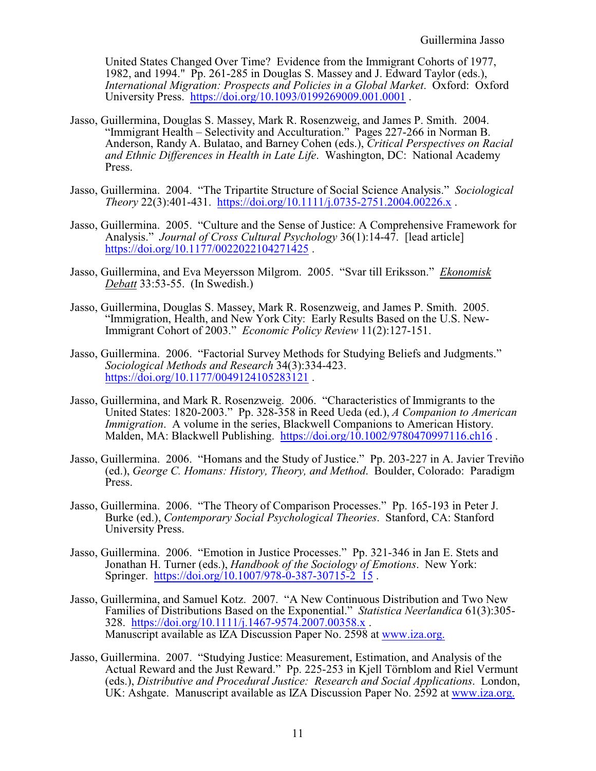United States Changed Over Time? Evidence from the Immigrant Cohorts of 1977, 1982, and 1994." Pp. 261-285 in Douglas S. Massey and J. Edward Taylor (eds.), *International Migration: Prospects and Policies in a Global Market*. Oxford: Oxford University Press. <https://doi.org/10.1093/0199269009.001.0001> .

- Jasso, Guillermina, Douglas S. Massey, Mark R. Rosenzweig, and James P. Smith. 2004. "Immigrant Health – Selectivity and Acculturation." Pages 227-266 in Norman B. Anderson, Randy A. Bulatao, and Barney Cohen (eds.), *Critical Perspectives on Racial and Ethnic Differences in Health in Late Life*. Washington, DC: National Academy Press.
- Jasso, Guillermina. 2004. "The Tripartite Structure of Social Science Analysis." *Sociological Theory* 22(3):401-431. <https://doi.org/10.1111/j.0735-2751.2004.00226.x> .
- Jasso, Guillermina. 2005. "Culture and the Sense of Justice: A Comprehensive Framework for Analysis." *Journal of Cross Cultural Psychology* 36(1):14-47. [lead article] <https://doi.org/10.1177/0022022104271425>.
- Jasso, Guillermina, and Eva Meyersson Milgrom. 2005. "Svar till Eriksson." *Ekonomisk Debatt* 33:53-55. (In Swedish.)
- Jasso, Guillermina, Douglas S. Massey, Mark R. Rosenzweig, and James P. Smith. 2005. "Immigration, Health, and New York City: Early Results Based on the U.S. New-Immigrant Cohort of 2003." *Economic Policy Review* 11(2):127-151.
- Jasso, Guillermina. 2006. "Factorial Survey Methods for Studying Beliefs and Judgments." *Sociological Methods and Research* 34(3):334-423. <https://doi.org/10.1177/0049124105283121>.
- Jasso, Guillermina, and Mark R. Rosenzweig. 2006. "Characteristics of Immigrants to the United States: 1820-2003." Pp. 328-358 in Reed Ueda (ed.), *A Companion to American Immigration*. A volume in the series, Blackwell Companions to American History. Malden, MA: Blackwell Publishing. <https://doi.org/10.1002/9780470997116.ch16> .
- Jasso, Guillermina. 2006. "Homans and the Study of Justice." Pp. 203-227 in A. Javier Treviño (ed.), *George C. Homans: History, Theory, and Method*. Boulder, Colorado: Paradigm Press.
- Jasso, Guillermina. 2006. "The Theory of Comparison Processes." Pp. 165-193 in Peter J. Burke (ed.), *Contemporary Social Psychological Theories*. Stanford, CA: Stanford University Press.
- Jasso, Guillermina. 2006. "Emotion in Justice Processes." Pp. 321-346 in Jan E. Stets and Jonathan H. Turner (eds.), *Handbook of the Sociology of Emotions*. New York: Springer. https://doi.org/10.1007/978-0-387-30715-2 15.
- Jasso, Guillermina, and Samuel Kotz. 2007. "A New Continuous Distribution and Two New Families of Distributions Based on the Exponential." *Statistica Neerlandica* 61(3):305- 328. <https://doi.org/10.1111/j.1467-9574.2007.00358.x> . Manuscript available as IZA Discussion Paper No. 2598 at [www.iza.org.](http://www.iza.org.)
- Jasso, Guillermina. 2007. "Studying Justice: Measurement, Estimation, and Analysis of the Actual Reward and the Just Reward." Pp. 225-253 in Kjell Törnblom and Riel Vermunt (eds.), *Distributive and Procedural Justice: Research and Social Applications*. London, UK: Ashgate. Manuscript available as IZA Discussion Paper No. 2592 at [www.iza.org.](http://www.iza.org.)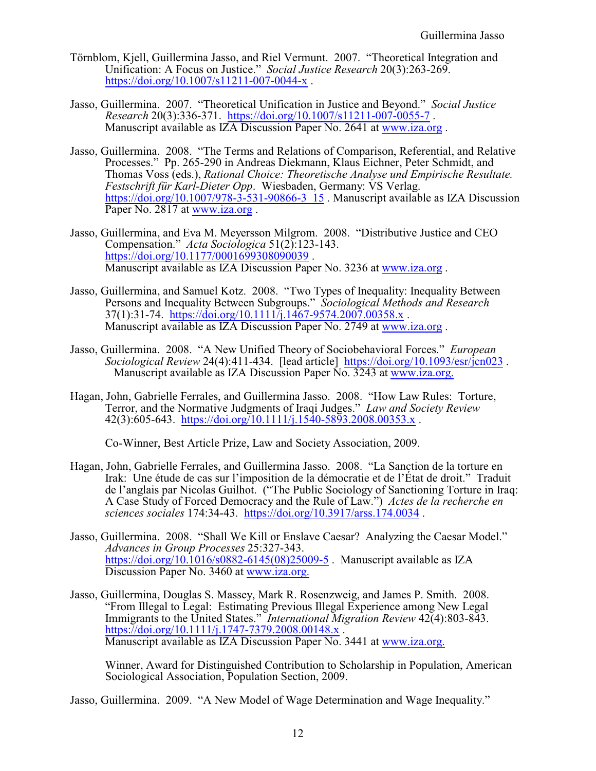- Törnblom, Kjell, Guillermina Jasso, and Riel Vermunt. 2007. "Theoretical Integration and Unification: A Focus on Justice." *Social Justice Research* 20(3):263-269. <https://doi.org/10.1007/s11211-007-0044-x> .
- Jasso, Guillermina. 2007. "Theoretical Unification in Justice and Beyond." *Social Justice Research* 20(3):336-371. <https://doi.org/10.1007/s11211-007-0055-7> . Manuscript available as IZA Discussion Paper No. 2641 at [www.iza.org](http://www.iza.org.) .
- Jasso, Guillermina. 2008. "The Terms and Relations of Comparison, Referential, and Relative Processes." Pp. 265-290 in Andreas Diekmann, Klaus Eichner, Peter Schmidt, and Thomas Voss (eds.), *Rational Choice: Theoretische Analyse und Empirische Resultate. Festschrift für Karl-Dieter Opp*. Wiesbaden, Germany: VS Verlag. [https://doi.org/10.1007/978-3-531-90866-3\\_15](https://doi.org/10.1007/978-3-531-90866-3_15) . Manuscript available as IZA Discussion Paper No. 2817 at [www.iza.org](http://www.iza.org.).
- Jasso, Guillermina, and Eva M. Meyersson Milgrom. 2008. "Distributive Justice and CEO Compensation." *Acta Sociologica* 51(2):123-143. <https://doi.org/10.1177/0001699308090039>. Manuscript available as IZA Discussion Paper No. 3236 at [www.iza.org](http://www.iza.org.) .
- Jasso, Guillermina, and Samuel Kotz. 2008. "Two Types of Inequality: Inequality Between Persons and Inequality Between Subgroups." *Sociological Methods and Research* 37(1):31-74. <https://doi.org/10.1111/j.1467-9574.2007.00358.x> . Manuscript available as IZA Discussion Paper No. 2749 at [www.iza.org](http://www.iza.org) .
- Jasso, Guillermina. 2008. "A New Unified Theory of Sociobehavioral Forces." *European Sociological Review* 24(4):411-434. [lead article] <https://doi.org/10.1093/esr/jcn023> . Manuscript available as IZA Discussion Paper No. 3243 at [www.iza.org.](http://www.iza.org.)
- Hagan, John, Gabrielle Ferrales, and Guillermina Jasso. 2008. "How Law Rules: Torture, Terror, and the Normative Judgments of Iraqi Judges." *Law and Society Review*  $42(3):605-643.$  <https://doi.org/10.1111/j.1540-5893.2008.00353.x>.

Co-Winner, Best Article Prize, Law and Society Association, 2009.

- Hagan, John, Gabrielle Ferrales, and Guillermina Jasso. 2008. "La Sanction de la torture en Irak: Une étude de cas sur l'imposition de la démocratie et de l'État de droit." Traduit de l'anglais par Nicolas Guilhot. ("The Public Sociology of Sanctioning Torture in Iraq: A Case Study of Forced Democracy and the Rule of Law.") *Actes de la recherche en sciences sociales* 174:34-43. <https://doi.org/10.3917/arss.174.0034> .
- Jasso, Guillermina. 2008. "Shall We Kill or Enslave Caesar? Analyzing the Caesar Model." *Advances in Group Processes* 25:327-343. [https://doi.org/10.1016/s0882-6145\(08\)25009-5](https://doi.org/10.1016/s0882-6145(08)25009-5) . Manuscript available as IZA Discussion Paper No. 3460 at [www.iza.org.](http://www.iza.org.)
- Jasso, Guillermina, Douglas S. Massey, Mark R. Rosenzweig, and James P. Smith. 2008. "From Illegal to Legal: Estimating Previous Illegal Experience among New Legal Immigrants to the United States." *International Migration Review* 42(4):803-843. <https://doi.org/10.1111/j.1747-7379.2008.00148.x>. Manuscript available as IZA Discussion Paper No. 3441 at [www.iza.org.](http://www.iza.org.)

Winner, Award for Distinguished Contribution to Scholarship in Population, American Sociological Association, Population Section, 2009.

Jasso, Guillermina. 2009. "A New Model of Wage Determination and Wage Inequality."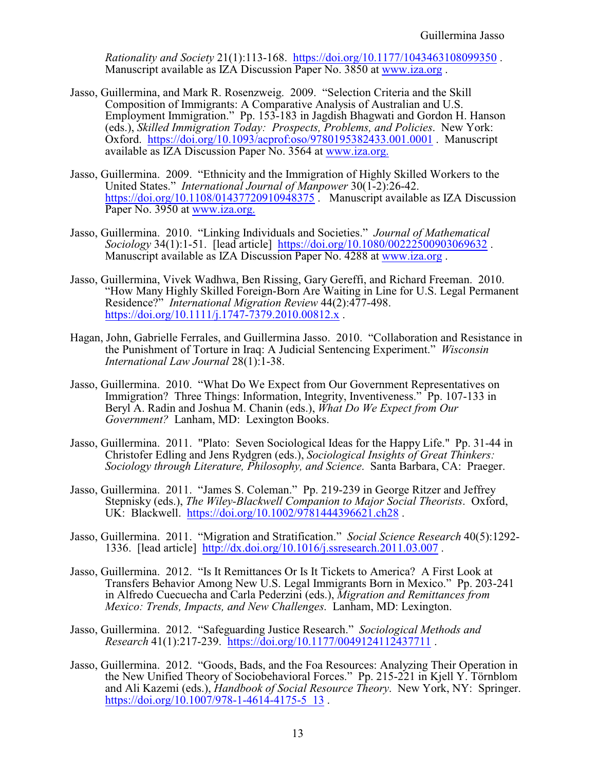*Rationality and Society* 21(1):113-168. <https://doi.org/10.1177/1043463108099350> . Manuscript available as IZA Discussion Paper No. 3850 at [www.iza.org](http://www.iza.org) .

- Jasso, Guillermina, and Mark R. Rosenzweig. 2009. "Selection Criteria and the Skill Composition of Immigrants: A Comparative Analysis of Australian and U.S. Employment Immigration." Pp. 153-183 in Jagdish Bhagwati and Gordon H. Hanson (eds.), *Skilled Immigration Today: Prospects, Problems, and Policies*. New York: Oxford. <https://doi.org/10.1093/acprof:oso/9780195382433.001.0001> . Manuscript available as IZA Discussion Paper No. 3564 at [www.iza.org.](http://www.iza.org.)
- Jasso, Guillermina. 2009. "Ethnicity and the Immigration of Highly Skilled Workers to the United States." *International Journal of Manpower* 30(1-2):26-42. <https://doi.org/10.1108/01437720910948375>. Manuscript available as IZA Discussion Paper No. 3950 at [www.iza.org.](http://www.iza.org.)
- Jasso, Guillermina. 2010. "Linking Individuals and Societies." *Journal of Mathematical Sociology* 34(1):1-51. [lead article] <https://doi.org/10.1080/00222500903069632> . Manuscript available as IZA Discussion Paper No. 4288 at [www.iza.org](http://www.iza.org) .
- Jasso, Guillermina, Vivek Wadhwa, Ben Rissing, Gary Gereffi, and Richard Freeman. 2010. "How Many Highly Skilled Foreign-Born Are Waiting in Line for U.S. Legal Permanent Residence?" *International Migration Review* 44(2):477-498. <https://doi.org/10.1111/j.1747-7379.2010.00812.x> .
- Hagan, John, Gabrielle Ferrales, and Guillermina Jasso. 2010. "Collaboration and Resistance in the Punishment of Torture in Iraq: A Judicial Sentencing Experiment." *Wisconsin International Law Journal* 28(1):1-38.
- Jasso, Guillermina. 2010. "What Do We Expect from Our Government Representatives on Immigration? Three Things: Information, Integrity, Inventiveness." Pp. 107-133 in Beryl A. Radin and Joshua M. Chanin (eds.), *What Do We Expect from Our Government?* Lanham, MD: Lexington Books.
- Jasso, Guillermina. 2011. "Plato: Seven Sociological Ideas for the Happy Life." Pp. 31-44 in Christofer Edling and Jens Rydgren (eds.), *Sociological Insights of Great Thinkers: Sociology through Literature, Philosophy, and Science*. Santa Barbara, CA: Praeger.
- Jasso, Guillermina. 2011. "James S. Coleman." Pp. 219-239 in George Ritzer and Jeffrey Stepnisky (eds.), *The Wiley-Blackwell Companion to Major Social Theorists*. Oxford, UK: Blackwell. <https://doi.org/10.1002/9781444396621.ch28> .
- Jasso, Guillermina. 2011. "Migration and Stratification." *Social Science Research* 40(5):1292- 1336. [lead article] <http://dx.doi.org/10.1016/j.ssresearch.2011.03.007> .
- Jasso, Guillermina. 2012. "Is It Remittances Or Is It Tickets to America? A First Look at Transfers Behavior Among New U.S. Legal Immigrants Born in Mexico." Pp. 203-241 in Alfredo Cuecuecha and Carla Pederzini (eds.), *Migration and Remittances from Mexico: Trends, Impacts, and New Challenges*. Lanham, MD: Lexington.
- Jasso, Guillermina. 2012. "Safeguarding Justice Research." *Sociological Methods and Research* 41(1):217-239. <https://doi.org/10.1177/0049124112437711> .
- Jasso, Guillermina. 2012. "Goods, Bads, and the Foa Resources: Analyzing Their Operation in the New Unified Theory of Sociobehavioral Forces." Pp. 215-221 in Kjell Y. Törnblom and Ali Kazemi (eds.), *Handbook of Social Resource Theory*. New York, NY: Springer. [https://doi.org/10.1007/978-1-4614-4175-5\\_13](https://doi.org/10.1007/978-1-4614-4175-5_13).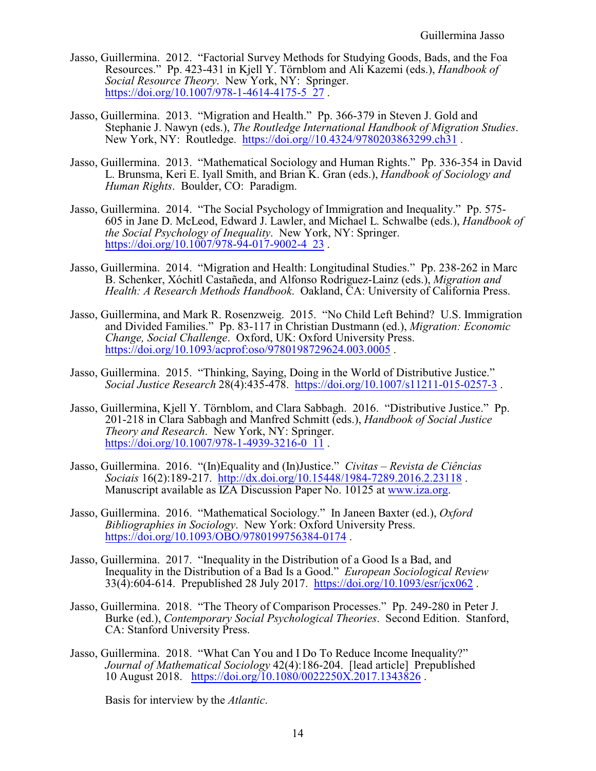- Jasso, Guillermina. 2012. "Factorial Survey Methods for Studying Goods, Bads, and the Foa Resources." Pp. 423-431 in Kjell Y. Törnblom and Ali Kazemi (eds.), *Handbook of Social Resource Theory*. New York, NY: Springer. [https://doi.org/10.1007/978-1-4614-4175-5\\_27](https://doi.org/10.1007/978-1-4614-4175-5_27).
- Jasso, Guillermina. 2013. "Migration and Health." Pp. 366-379 in Steven J. Gold and Stephanie J. Nawyn (eds.), *The Routledge International Handbook of Migration Studies*. New York, NY: Routledge. <https://doi.org//10.4324/9780203863299.ch31> .
- Jasso, Guillermina. 2013. "Mathematical Sociology and Human Rights." Pp. 336-354 in David L. Brunsma, Keri E. Iyall Smith, and Brian K. Gran (eds.), *Handbook of Sociology and Human Rights*. Boulder, CO: Paradigm.
- Jasso, Guillermina. 2014. "The Social Psychology of Immigration and Inequality." Pp. 575- 605 in Jane D. McLeod, Edward J. Lawler, and Michael L. Schwalbe (eds.), *Handbook of the Social Psychology of Inequality*. New York, NY: Springer. https://doi.org/10.1007/978-94-017-9002-4 23.
- Jasso, Guillermina. 2014. "Migration and Health: Longitudinal Studies." Pp. 238-262 in Marc B. Schenker, Xóchitl Castañeda, and Alfonso Rodriguez-Lainz (eds.), *Migration and Health: A Research Methods Handbook*. Oakland, CA: University of California Press.
- Jasso, Guillermina, and Mark R. Rosenzweig. 2015. "No Child Left Behind? U.S. Immigration and Divided Families." Pp. 83-117 in Christian Dustmann (ed.), *Migration: Economic Change, Social Challenge*. Oxford, UK: Oxford University Press. <https://doi.org/10.1093/acprof:oso/9780198729624.003.0005>.
- Jasso, Guillermina. 2015. "Thinking, Saying, Doing in the World of Distributive Justice." *Social Justice Research* 28(4):435-478. <https://doi.org/10.1007/s11211-015-0257-3> .
- Jasso, Guillermina, Kjell Y. Törnblom, and Clara Sabbagh. 2016. "Distributive Justice." Pp. 201-218 in Clara Sabbagh and Manfred Schmitt (eds.), *Handbook of Social Justice Theory and Research*. New York, NY: Springer. [https://doi.org/10.1007/978-1-4939-3216-0\\_11](https://doi.org/10.1007/978-1-4939-3216-0_11) .
- Jasso, Guillermina. 2016. "(In)Equality and (In)Justice." *Civitas Revista de Ciências Sociais* 16(2):189-217. <http://dx.doi.org/10.15448/1984-7289.2016.2.23118> . Manuscript available as IZA Discussion Paper No. 10125 at [www.iza.org](http://www.iza.org.).
- Jasso, Guillermina. 2016. "Mathematical Sociology." In Janeen Baxter (ed.), *Oxford Bibliographies in Sociology*. New York: Oxford University Press. <https://doi.org/10.1093/OBO/9780199756384-0174>.
- Jasso, Guillermina. 2017. "Inequality in the Distribution of a Good Is a Bad, and Inequality in the Distribution of a Bad Is a Good." *European Sociological Review* 33(4):604-614. Prepublished 28 July 2017. <https://doi.org/10.1093/esr/jcx062> .
- Jasso, Guillermina. 2018. "The Theory of Comparison Processes." Pp. 249-280 in Peter J. Burke (ed.), *Contemporary Social Psychological Theories*. Second Edition. Stanford, CA: Stanford University Press.
- Jasso, Guillermina. 2018. "What Can You and I Do To Reduce Income Inequality?" *Journal of Mathematical Sociology* 42(4):186-204. [lead article] Prepublished 10 August 2018. <https://doi.org/10.1080/0022250X.2017.1343826> .

Basis for interview by the *Atlantic*.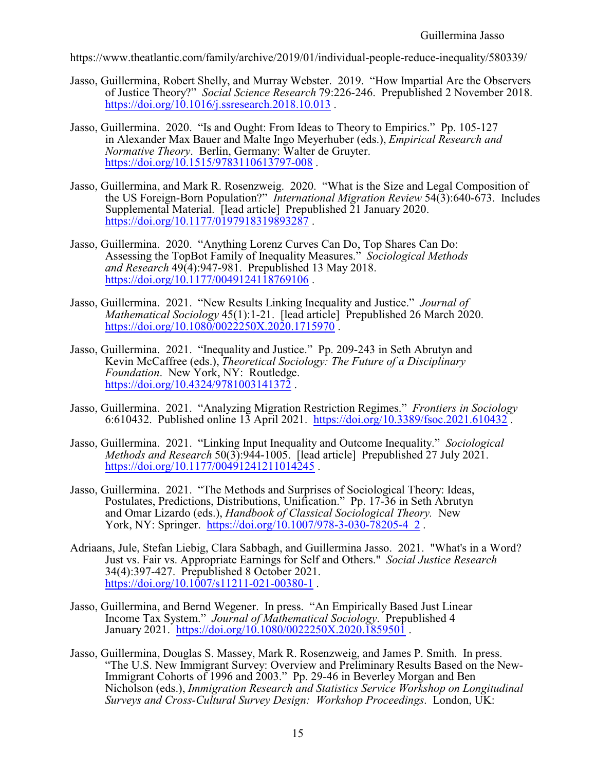https://www.theatlantic.com/family/archive/2019/01/individual-people-reduce-inequality/580339/

- Jasso, Guillermina, Robert Shelly, and Murray Webster. 2019. "How Impartial Are the Observers of Justice Theory?" *Social Science Research* 79:226-246. Prepublished 2 November 2018. <https://doi.org/10.1016/j.ssresearch.2018.10.013> .
- Jasso, Guillermina. 2020. "Is and Ought: From Ideas to Theory to Empirics." Pp. 105-127 in Alexander Max Bauer and Malte Ingo Meyerhuber (eds.), *Empirical Research and Normative Theory*. Berlin, Germany: Walter de Gruyter. [https://doi.org/10.1515/9783110613797-008](Https://doi.org/10.1515/9783110613797-008) .
- Jasso, Guillermina, and Mark R. Rosenzweig. 2020. "What is the Size and Legal Composition of the US Foreign-Born Population?" *International Migration Review* 54(3):640-673. Includes Supplemental Material. [lead article] Prepublished 21 January 2020. <https://doi.org/10.1177/0197918319893287>.
- Jasso, Guillermina. 2020. "Anything Lorenz Curves Can Do, Top Shares Can Do: Assessing the TopBot Family of Inequality Measures." *Sociological Methods and Research* 49(4):947-981. Prepublished 13 May 2018. <https://doi.org/10.1177/0049124118769106>.
- Jasso, Guillermina. 2021. "New Results Linking Inequality and Justice." *Journal of Mathematical Sociology* 45(1):1-21. [lead article] Prepublished 26 March 2020. <https://doi.org/10.1080/0022250X.2020.1715970>.
- Jasso, Guillermina. 2021. "Inequality and Justice." Pp. 209-243 in Seth Abrutyn and Kevin McCaffree (eds.), *Theoretical Sociology: The Future of a Disciplinary Foundation*. New York, NY: Routledge. <https://doi.org/10.4324/9781003141372>.
- Jasso, Guillermina. 2021. "Analyzing Migration Restriction Regimes." *Frontiers in Sociology* 6:610432. Published online 13 April 2021. [https://doi.org/10.3389/fsoc.2021.610432](Https://doi.org/10.3389/fsoc.2021.610432) .
- Jasso, Guillermina. 2021. "Linking Input Inequality and Outcome Inequality." *Sociological Methods and Research* 50(3):944-1005. [lead article] Prepublished 27 July 2021. <https://doi.org/10.1177/00491241211014245>.
- Jasso, Guillermina. 2021. "The Methods and Surprises of Sociological Theory: Ideas, Postulates, Predictions, Distributions, Unification." Pp. 17-36 in Seth Abrutyn and Omar Lizardo (eds.), *Handbook of Classical Sociological Theory.* New York, NY: Springer. [https://doi.org/10.1007/978-3-030-78205-4\\_2](https://doi.org/10.1007/978-3-030-78205-4_2) .
- Adriaans, Jule, Stefan Liebig, Clara Sabbagh, and Guillermina Jasso. 2021. "What's in a Word? Just vs. Fair vs. Appropriate Earnings for Self and Others." *Social Justice Research* 34(4):397-427. Prepublished 8 October 2021. <https://doi.org/10.1007/s11211-021-00380-1> .
- Jasso, Guillermina, and Bernd Wegener. In press. "An Empirically Based Just Linear Income Tax System." *Journal of Mathematical Sociology*. Prepublished 4 January 2021. <https://doi.org/10.1080/0022250X.2020.1859501> .
- Jasso, Guillermina, Douglas S. Massey, Mark R. Rosenzweig, and James P. Smith. In press. "The U.S. New Immigrant Survey: Overview and Preliminary Results Based on the New-Immigrant Cohorts of 1996 and 2003." Pp. 29-46 in Beverley Morgan and Ben Nicholson (eds.), *Immigration Research and Statistics Service Workshop on Longitudinal Surveys and Cross-Cultural Survey Design: Workshop Proceedings*. London, UK: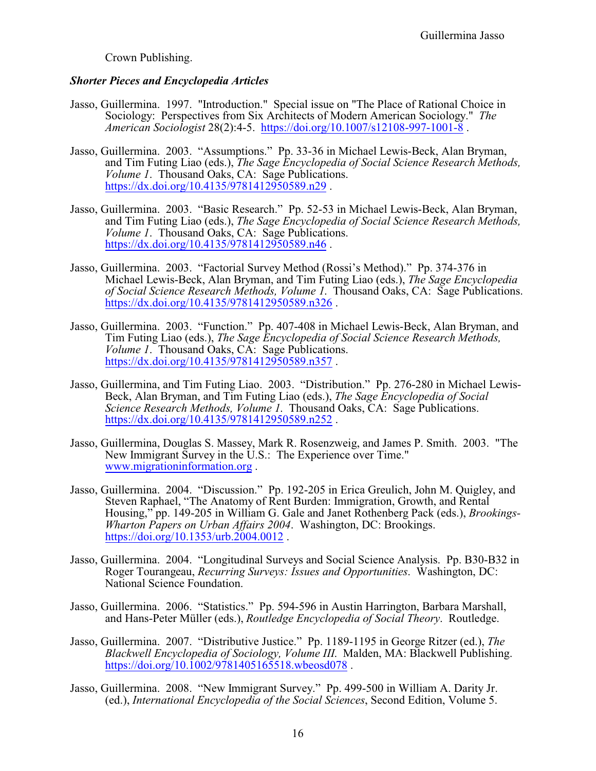Crown Publishing.

## *Shorter Pieces and Encyclopedia Articles*

- Jasso, Guillermina. 1997. "Introduction." Special issue on "The Place of Rational Choice in Sociology: Perspectives from Six Architects of Modern American Sociology." *The American Sociologist* 28(2):4-5. <https://doi.org/10.1007/s12108-997-1001-8> .
- Jasso, Guillermina. 2003. "Assumptions." Pp. 33-36 in Michael Lewis-Beck, Alan Bryman, and Tim Futing Liao (eds.), *The Sage Encyclopedia of Social Science Research Methods, Volume 1*. Thousand Oaks, CA: Sage Publications. <https://dx.doi.org/10.4135/9781412950589.n29>.
- Jasso, Guillermina. 2003. "Basic Research." Pp. 52-53 in Michael Lewis-Beck, Alan Bryman, and Tim Futing Liao (eds.), *The Sage Encyclopedia of Social Science Research Methods, Volume 1*. Thousand Oaks, CA: Sage Publications. <https://dx.doi.org/10.4135/9781412950589.n46>.
- Jasso, Guillermina. 2003. "Factorial Survey Method (Rossi's Method)." Pp. 374-376 in Michael Lewis-Beck, Alan Bryman, and Tim Futing Liao (eds.), *The Sage Encyclopedia of Social Science Research Methods, Volume 1*. Thousand Oaks, CA: Sage Publications. <https://dx.doi.org/10.4135/9781412950589.n326> .
- Jasso, Guillermina. 2003. "Function." Pp. 407-408 in Michael Lewis-Beck, Alan Bryman, and Tim Futing Liao (eds.), *The Sage Encyclopedia of Social Science Research Methods, Volume 1*. Thousand Oaks, CA: Sage Publications. <https://dx.doi.org/10.4135/9781412950589.n357>.
- Jasso, Guillermina, and Tim Futing Liao. 2003. "Distribution." Pp. 276-280 in Michael Lewis-Beck, Alan Bryman, and Tim Futing Liao (eds.), *The Sage Encyclopedia of Social Science Research Methods, Volume 1*. Thousand Oaks, CA: Sage Publications. <https://dx.doi.org/10.4135/9781412950589.n252> .
- Jasso, Guillermina, Douglas S. Massey, Mark R. Rosenzweig, and James P. Smith. 2003. "The New Immigrant Survey in the U.S.: The Experience over Time." [www.migrationinformation.org](http://Www.migrationinformation.org) .
- Jasso, Guillermina. 2004. "Discussion." Pp. 192-205 in Erica Greulich, John M. Quigley, and Steven Raphael, "The Anatomy of Rent Burden: Immigration, Growth, and Rental Housing," pp. 149-205 in William G. Gale and Janet Rothenberg Pack (eds.), *Brookings-Wharton Papers on Urban Affairs 2004*. Washington, DC: Brookings. <https://doi.org/10.1353/urb.2004.0012> .
- Jasso, Guillermina. 2004. "Longitudinal Surveys and Social Science Analysis. Pp. B30-B32 in Roger Tourangeau, *Recurring Surveys: Issues and Opportunities*. Washington, DC: National Science Foundation.
- Jasso, Guillermina. 2006. "Statistics." Pp. 594-596 in Austin Harrington, Barbara Marshall, and Hans-Peter Müller (eds.), *Routledge Encyclopedia of Social Theory*. Routledge.
- Jasso, Guillermina. 2007. "Distributive Justice." Pp. 1189-1195 in George Ritzer (ed.), *The Blackwell Encyclopedia of Sociology, Volume III*. Malden, MA: Blackwell Publishing. <https://doi.org/10.1002/9781405165518.wbeosd078>.
- Jasso, Guillermina. 2008. "New Immigrant Survey." Pp. 499-500 in William A. Darity Jr. (ed.), *International Encyclopedia of the Social Sciences*, Second Edition, Volume 5.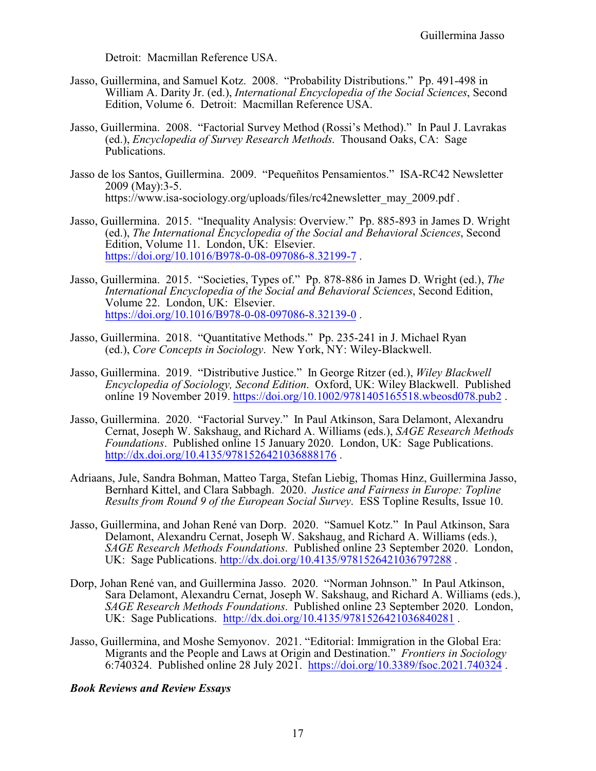Detroit: Macmillan Reference USA.

- Jasso, Guillermina, and Samuel Kotz. 2008. "Probability Distributions." Pp. 491-498 in William A. Darity Jr. (ed.), *International Encyclopedia of the Social Sciences*, Second Edition, Volume 6. Detroit: Macmillan Reference USA.
- Jasso, Guillermina. 2008. "Factorial Survey Method (Rossi's Method)." In Paul J. Lavrakas (ed.), *Encyclopedia of Survey Research Methods*. Thousand Oaks, CA: Sage Publications.
- Jasso de los Santos, Guillermina. 2009. "Pequeñitos Pensamientos." ISA-RC42 Newsletter 2009 (May):3-5. https://www.isa-sociology.org/uploads/files/rc42newsletter\_may\_2009.pdf.
- Jasso, Guillermina. 2015. "Inequality Analysis: Overview." Pp. 885-893 in James D. Wright (ed.), *The International Encyclopedia of the Social and Behavioral Sciences*, Second Edition, Volume 11. London, UK: Elsevier. <https://doi.org/10.1016/B978-0-08-097086-8.32199-7> .
- Jasso, Guillermina. 2015. "Societies, Types of." Pp. 878-886 in James D. Wright (ed.), *The International Encyclopedia of the Social and Behavioral Sciences*, Second Edition, Volume 22. London, UK: Elsevier. <https://doi.org/10.1016/B978-0-08-097086-8.32139-0>.
- Jasso, Guillermina. 2018. "Quantitative Methods." Pp. 235-241 in J. Michael Ryan (ed.), *Core Concepts in Sociology*. New York, NY: Wiley-Blackwell.
- Jasso, Guillermina. 2019. "Distributive Justice." In George Ritzer (ed.), *Wiley Blackwell Encyclopedia of Sociology, Second Edition*. Oxford, UK: Wiley Blackwell. Published online 19 November 2019.<https://doi.org/10.1002/9781405165518.wbeosd078.pub2> .
- Jasso, Guillermina. 2020. "Factorial Survey." In Paul Atkinson, Sara Delamont, Alexandru Cernat, Joseph W. Sakshaug, and Richard A. Williams (eds.), *SAGE Research Methods Foundations*. Published online 15 January 2020. London, UK: Sage Publications. <http://dx.doi.org/10.4135/9781526421036888176> .
- Adriaans, Jule, Sandra Bohman, Matteo Targa, Stefan Liebig, Thomas Hinz, Guillermina Jasso, Bernhard Kittel, and Clara Sabbagh. 2020. *Justice and Fairness in Europe: Topline Results from Round 9 of the European Social Survey*. ESS Topline Results, Issue 10.
- Jasso, Guillermina, and Johan René van Dorp. 2020. "Samuel Kotz." In Paul Atkinson, Sara Delamont, Alexandru Cernat, Joseph W. Sakshaug, and Richard A. Williams (eds.), *SAGE Research Methods Foundations*. Published online 23 September 2020. London, UK: Sage Publications. [http://dx.doi.org/10.4135/9781526421036797288](http://doi.org/10.4135/9781526421036797288) .
- Dorp, Johan René van, and Guillermina Jasso. 2020. "Norman Johnson." In Paul Atkinson, Sara Delamont, Alexandru Cernat, Joseph W. Sakshaug, and Richard A. Williams (eds.), *SAGE Research Methods Foundations*. Published online 23 September 2020. London, UK: Sage Publications. <http://dx.doi.org/10.4135/9781526421036840281> .
- Jasso, Guillermina, and Moshe Semyonov. 2021. "Editorial: Immigration in the Global Era: Migrants and the People and Laws at Origin and Destination." *Frontiers in Sociology* 6:740324. Published online 28 July 2021. <https://doi.org/10.3389/fsoc.2021.740324> .

### *Book Reviews and Review Essays*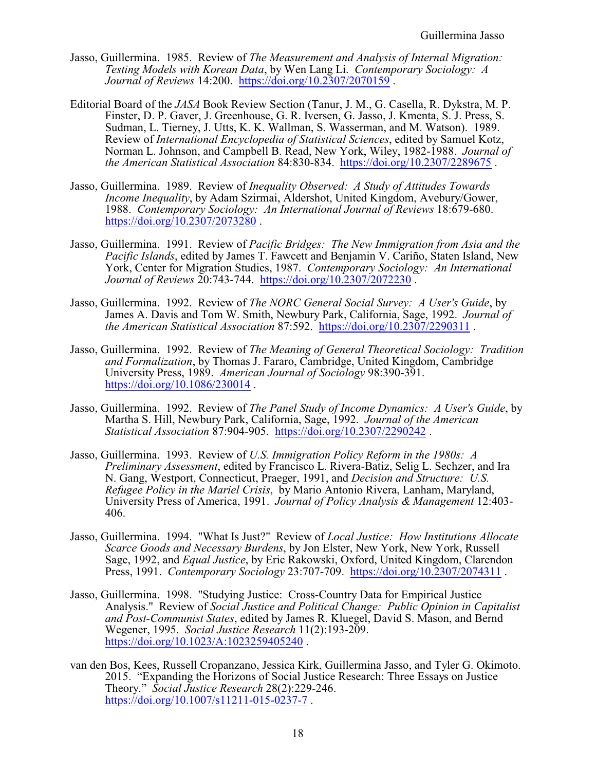- Jasso, Guillermina. 1985. Review of *The Measurement and Analysis of Internal Migration: Testing Models with Korean Data*, by Wen Lang Li. *Contemporary Sociology: A Journal of Reviews* 14:200. <https://doi.org/10.2307/2070159> .
- Editorial Board of the *JASA* Book Review Section (Tanur, J. M., G. Casella, R. Dykstra, M. P. Finster, D. P. Gaver, J. Greenhouse, G. R. Iversen, G. Jasso, J. Kmenta, S. J. Press, S. Sudman, L. Tierney, J. Utts, K. K. Wallman, S. Wasserman, and M. Watson). 1989. Review of *International Encyclopedia of Statistical Sciences*, edited by Samuel Kotz, Norman L. Johnson, and Campbell B. Read, New York, Wiley, 1982-1988. *Journal of the American Statistical Association* 84:830-834. <https://doi.org/10.2307/2289675> .
- Jasso, Guillermina. 1989. Review of *Inequality Observed: A Study of Attitudes Towards Income Inequality*, by Adam Szirmai, Aldershot, United Kingdom, Avebury/Gower, 1988. *Contemporary Sociology: An International Journal of Reviews* 18:679-680. <https://doi.org/10.2307/2073280>.
- Jasso, Guillermina. 1991. Review of *Pacific Bridges: The New Immigration from Asia and the Pacific Islands*, edited by James T. Fawcett and Benjamin V. Cariño, Staten Island, New York, Center for Migration Studies, 1987. *Contemporary Sociology: An International Journal of Reviews* 20:743-744. <https://doi.org/10.2307/2072230> .
- Jasso, Guillermina. 1992. Review of *The NORC General Social Survey: A User's Guide*, by James A. Davis and Tom W. Smith, Newbury Park, California, Sage, 1992. *Journal of the American Statistical Association* 87:592. <https://doi.org/10.2307/2290311> .
- Jasso, Guillermina. 1992. Review of *The Meaning of General Theoretical Sociology: Tradition and Formalization*, by Thomas J. Fararo, Cambridge, United Kingdom, Cambridge University Press, 1989. *American Journal of Sociology* 98:390-391. <https://doi.org/10.1086/230014> .
- Jasso, Guillermina. 1992. Review of *The Panel Study of Income Dynamics: A User's Guide*, by Martha S. Hill, Newbury Park, California, Sage, 1992. *Journal of the American Statistical Association* 87:904-905. <https://doi.org/10.2307/2290242> .
- Jasso, Guillermina. 1993. Review of *U.S. Immigration Policy Reform in the 1980s: A Preliminary Assessment*, edited by Francisco L. Rivera-Batiz, Selig L. Sechzer, and Ira N. Gang, Westport, Connecticut, Praeger, 1991, and *Decision and Structure: U.S. Refugee Policy in the Mariel Crisis*, by Mario Antonio Rivera, Lanham, Maryland, University Press of America, 1991. *Journal of Policy Analysis & Management* 12:403- 406.
- Jasso, Guillermina. 1994. "What Is Just?" Review of *Local Justice: How Institutions Allocate Scarce Goods and Necessary Burdens*, by Jon Elster, New York, New York, Russell Sage, 1992, and *Equal Justice*, by Eric Rakowski, Oxford, United Kingdom, Clarendon Press, 1991. *Contemporary Sociology* 23:707-709. <https://doi.org/10.2307/2074311> .
- Jasso, Guillermina. 1998. "Studying Justice: Cross-Country Data for Empirical Justice Analysis." Review of *Social Justice and Political Change: Public Opinion in Capitalist and Post-Communist States*, edited by James R. Kluegel, David S. Mason, and Bernd Wegener, 1995. *Social Justice Research* 11(2):193-209. <https://doi.org/10.1023/A:1023259405240> .
- van den Bos, Kees, Russell Cropanzano, Jessica Kirk, Guillermina Jasso, and Tyler G. Okimoto. 2015. "Expanding the Horizons of Social Justice Research: Three Essays on Justice Theory." *Social Justice Research* 28(2):229-246. [https://doi.org/10.1007/s11211-015-0237-7](Https://10.1007/s11211-015-0237-7).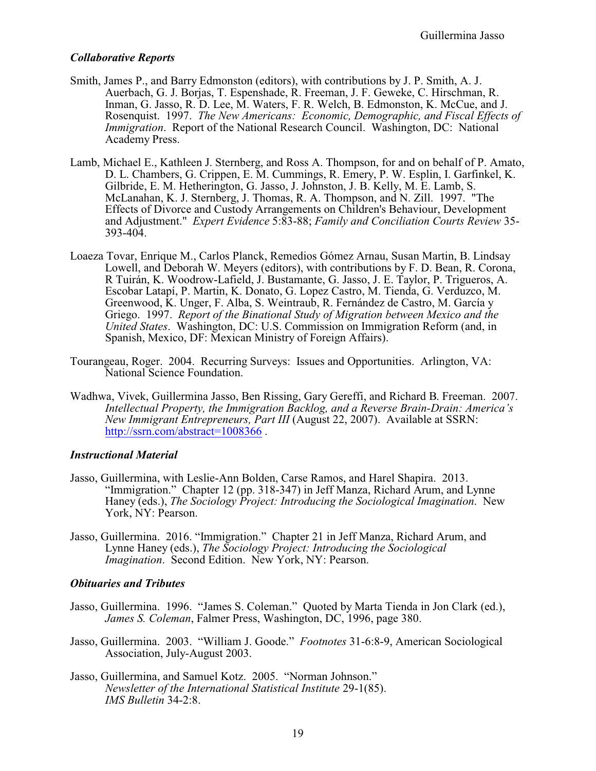#### *Collaborative Reports*

- Smith, James P., and Barry Edmonston (editors), with contributions by J. P. Smith, A. J. Auerbach, G. J. Borjas, T. Espenshade, R. Freeman, J. F. Geweke, C. Hirschman, R. Inman, G. Jasso, R. D. Lee, M. Waters, F. R. Welch, B. Edmonston, K. McCue, and J. Rosenquist. 1997. *The New Americans: Economic, Demographic, and Fiscal Effects of Immigration*. Report of the National Research Council. Washington, DC: National Academy Press.
- Lamb, Michael E., Kathleen J. Sternberg, and Ross A. Thompson, for and on behalf of P. Amato, D. L. Chambers, G. Crippen, E. M. Cummings, R. Emery, P. W. Esplin, I. Garfinkel, K. Gilbride, E. M. Hetherington, G. Jasso, J. Johnston, J. B. Kelly, M. E. Lamb, S. McLanahan, K. J. Sternberg, J. Thomas, R. A. Thompson, and N. Zill. 1997. "The Effects of Divorce and Custody Arrangements on Children's Behaviour, Development and Adjustment." *Expert Evidence* 5:83-88; *Family and Conciliation Courts Review* 35- 393-404.
- Loaeza Tovar, Enrique M., Carlos Planck, Remedios Gómez Arnau, Susan Martin, B. Lindsay Lowell, and Deborah W. Meyers (editors), with contributions by F. D. Bean, R. Corona, R Tuirán, K. Woodrow-Lafield, J. Bustamante, G. Jasso, J. E. Taylor, P. Trigueros, A. Escobar Latapí, P. Martin, K. Donato, G. Lopez Castro, M. Tienda, G. Verduzco, M. Greenwood, K. Unger, F. Alba, S. Weintraub, R. Fernández de Castro, M. García y Griego. 1997. *Report of the Binational Study of Migration between Mexico and the United States*. Washington, DC: U.S. Commission on Immigration Reform (and, in Spanish, Mexico, DF: Mexican Ministry of Foreign Affairs).
- Tourangeau, Roger. 2004. Recurring Surveys: Issues and Opportunities. Arlington, VA: National Science Foundation.
- Wadhwa, Vivek, Guillermina Jasso, Ben Rissing, Gary Gereffi, and Richard B. Freeman. 2007. *Intellectual Property, the Immigration Backlog, and a Reverse Brain-Drain: America's New Immigrant Entrepreneurs, Part III* (August 22, 2007). Available at SSRN: <http://ssrn.com/abstract=1008366>.

#### *Instructional Material*

- Jasso, Guillermina, with Leslie-Ann Bolden, Carse Ramos, and Harel Shapira. 2013. "Immigration." Chapter 12 (pp. 318-347) in Jeff Manza, Richard Arum, and Lynne Haney (eds.), *The Sociology Project: Introducing the Sociological Imagination*. New York, NY: Pearson.
- Jasso, Guillermina. 2016. "Immigration." Chapter 21 in Jeff Manza, Richard Arum, and Lynne Haney (eds.), *The Sociology Project: Introducing the Sociological Imagination*. Second Edition. New York, NY: Pearson.

### *Obituaries and Tributes*

- Jasso, Guillermina. 1996. "James S. Coleman." Quoted by Marta Tienda in Jon Clark (ed.), *James S. Coleman*, Falmer Press, Washington, DC, 1996, page 380.
- Jasso, Guillermina. 2003. "William J. Goode." *Footnotes* 31-6:8-9, American Sociological Association, July-August 2003.
- Jasso, Guillermina, and Samuel Kotz. 2005. "Norman Johnson." *Newsletter of the International Statistical Institute* 29-1(85). *IMS Bulletin* 34-2:8.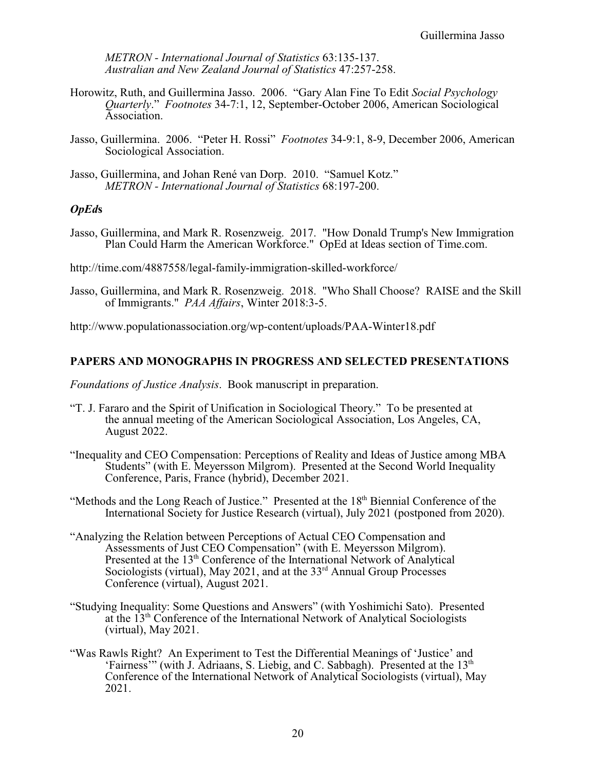*METRON - International Journal of Statistics* 63:135-137. *Australian and New Zealand Journal of Statistics* 47:257-258.

- Horowitz, Ruth, and Guillermina Jasso. 2006. "Gary Alan Fine To Edit *Social Psychology Quarterly*." *Footnotes* 34-7:1, 12, September-October 2006, American Sociological Association.
- Jasso, Guillermina. 2006. "Peter H. Rossi" *Footnotes* 34-9:1, 8-9, December 2006, American Sociological Association.
- Jasso, Guillermina, and Johan René van Dorp. 2010. "Samuel Kotz." *METRON - International Journal of Statistics* 68:197-200.

## *OpEd***s**

Jasso, Guillermina, and Mark R. Rosenzweig. 2017. "How Donald Trump's New Immigration Plan Could Harm the American Workforce." OpEd at Ideas section of Time.com.

http://time.com/4887558/legal-family-immigration-skilled-workforce/

Jasso, Guillermina, and Mark R. Rosenzweig. 2018. "Who Shall Choose? RAISE and the Skill of Immigrants." *PAA Affairs*, Winter 2018:3-5.

http://www.populationassociation.org/wp-content/uploads/PAA-Winter18.pdf

## **PAPERS AND MONOGRAPHS IN PROGRESS AND SELECTED PRESENTATIONS**

*Foundations of Justice Analysis*. Book manuscript in preparation.

- "T. J. Fararo and the Spirit of Unification in Sociological Theory." To be presented at the annual meeting of the American Sociological Association, Los Angeles, CA, August 2022.
- "Inequality and CEO Compensation: Perceptions of Reality and Ideas of Justice among MBA Students" (with E. Meyersson Milgrom). Presented at the Second World Inequality Conference, Paris, France (hybrid), December 2021.
- "Methods and the Long Reach of Justice." Presented at the 18<sup>th</sup> Biennial Conference of the International Society for Justice Research (virtual), July 2021 (postponed from 2020).
- "Analyzing the Relation between Perceptions of Actual CEO Compensation and Assessments of Just CEO Compensation" (with E. Meyersson Milgrom). Presented at the 13<sup>th</sup> Conference of the International Network of Analytical Sociologists (virtual), May 2021, and at the 33<sup>rd</sup> Annual Group Processes Conference (virtual), August 2021.
- "Studying Inequality: Some Questions and Answers" (with Yoshimichi Sato). Presented at the 13<sup>th</sup> Conference of the International Network of Analytical Sociologists (virtual), May 2021.
- "Was Rawls Right? An Experiment to Test the Differential Meanings of 'Justice' and 'Fairness'" (with J. Adriaans, S. Liebig, and C. Sabbagh). Presented at the  $13<sup>th</sup>$ Conference of the International Network of Analytical Sociologists (virtual), May 2021.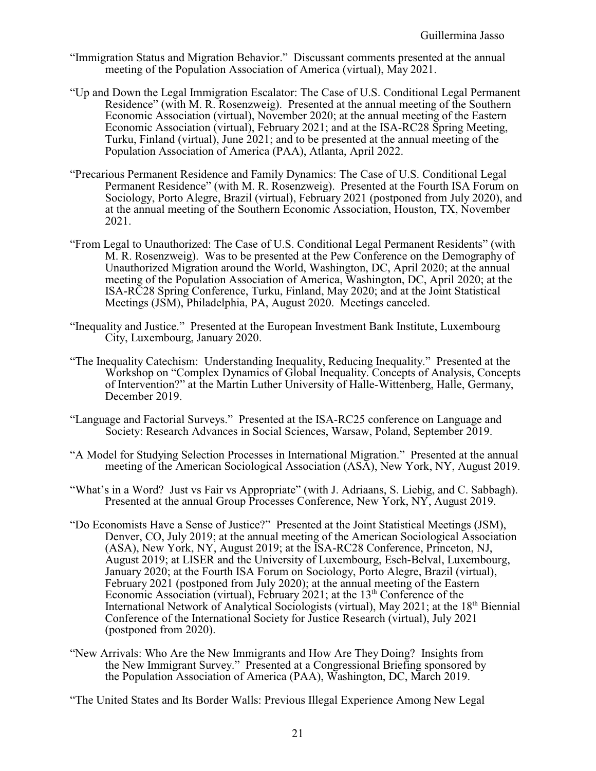- "Immigration Status and Migration Behavior." Discussant comments presented at the annual meeting of the Population Association of America (virtual), May 2021.
- "Up and Down the Legal Immigration Escalator: The Case of U.S. Conditional Legal Permanent Residence" (with M. R. Rosenzweig). Presented at the annual meeting of the Southern Economic Association (virtual), November 2020; at the annual meeting of the Eastern Economic Association (virtual), February 2021; and at the ISA-RC28 Spring Meeting, Turku, Finland (virtual), June 2021; and to be presented at the annual meeting of the Population Association of America (PAA), Atlanta, April 2022.
- "Precarious Permanent Residence and Family Dynamics: The Case of U.S. Conditional Legal Permanent Residence" (with M. R. Rosenzweig). Presented at the Fourth ISA Forum on Sociology, Porto Alegre, Brazil (virtual), February 2021 (postponed from July 2020), and at the annual meeting of the Southern Economic Association, Houston, TX, November 2021.
- "From Legal to Unauthorized: The Case of U.S. Conditional Legal Permanent Residents" (with M. R. Rosenzweig). Was to be presented at the Pew Conference on the Demography of Unauthorized Migration around the World, Washington, DC, April 2020; at the annual meeting of the Population Association of America, Washington, DC, April 2020; at the ISA-RC28 Spring Conference, Turku, Finland, May 2020; and at the Joint Statistical Meetings (JSM), Philadelphia, PA, August 2020. Meetings canceled.
- "Inequality and Justice." Presented at the European Investment Bank Institute, Luxembourg City, Luxembourg, January 2020.
- "The Inequality Catechism: Understanding Inequality, Reducing Inequality." Presented at the Workshop on "Complex Dynamics of Global Inequality. Concepts of Analysis, Concepts of Intervention?" at the Martin Luther University of Halle-Wittenberg, Halle, Germany, December 2019.
- "Language and Factorial Surveys." Presented at the ISA-RC25 conference on Language and Society: Research Advances in Social Sciences, Warsaw, Poland, September 2019.
- "A Model for Studying Selection Processes in International Migration." Presented at the annual meeting of the American Sociological Association (ASA), New York, NY, August 2019.
- "What's in a Word? Just vs Fair vs Appropriate" (with J. Adriaans, S. Liebig, and C. Sabbagh). Presented at the annual Group Processes Conference, New York, NY, August 2019.
- "Do Economists Have a Sense of Justice?" Presented at the Joint Statistical Meetings (JSM), Denver, CO, July 2019; at the annual meeting of the American Sociological Association (ASA), New York, NY, August 2019; at the ISA-RC28 Conference, Princeton, NJ, August 2019; at LISER and the University of Luxembourg, Esch-Belval, Luxembourg, January 2020; at the Fourth ISA Forum on Sociology, Porto Alegre, Brazil (virtual), February 2021 (postponed from July 2020); at the annual meeting of the Eastern Economic Association (virtual), February 2021; at the 13<sup>th</sup> Conference of the International Network of Analytical Sociologists (virtual), May 2021; at the 18<sup>th</sup> Biennial Conference of the International Society for Justice Research (virtual), July 2021 (postponed from 2020).
- "New Arrivals: Who Are the New Immigrants and How Are They Doing? Insights from the New Immigrant Survey." Presented at a Congressional Briefing sponsored by the Population Association of America (PAA), Washington, DC, March 2019.
- "The United States and Its Border Walls: Previous Illegal Experience Among New Legal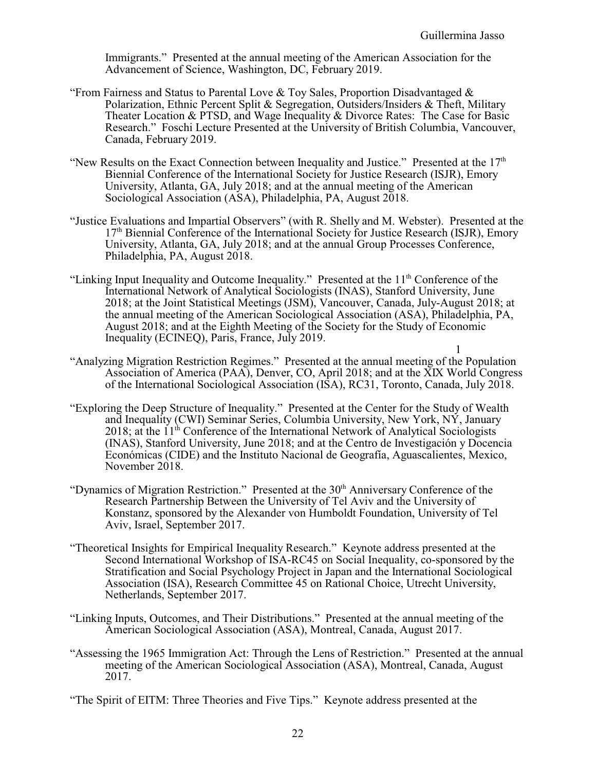Immigrants." Presented at the annual meeting of the American Association for the Advancement of Science, Washington, DC, February 2019.

- "From Fairness and Status to Parental Love & Toy Sales, Proportion Disadvantaged & Polarization, Ethnic Percent Split & Segregation, Outsiders/Insiders & Theft, Military Theater Location & PTSD, and Wage Inequality & Divorce Rates: The Case for Basic Research." Foschi Lecture Presented at the University of British Columbia, Vancouver, Canada, February 2019.
- "New Results on the Exact Connection between Inequality and Justice." Presented at the  $17<sup>th</sup>$ Biennial Conference of the International Society for Justice Research (ISJR), Emory University, Atlanta, GA, July 2018; and at the annual meeting of the American Sociological Association (ASA), Philadelphia, PA, August 2018.
- "Justice Evaluations and Impartial Observers" (with R. Shelly and M. Webster). Presented at the 17<sup>th</sup> Biennial Conference of the International Society for Justice Research (ISJR), Emory University, Atlanta, GA, July 2018; and at the annual Group Processes Conference, Philadelphia, PA, August 2018.
- "Linking Input Inequality and Outcome Inequality." Presented at the  $11<sup>th</sup>$  Conference of the International Network of Analytical Sociologists (INAS), Stanford University, June 2018; at the Joint Statistical Meetings (JSM), Vancouver, Canada, July-August 2018; at the annual meeting of the American Sociological Association (ASA), Philadelphia, PA, August 2018; and at the Eighth Meeting of the Society for the Study of Economic Inequality (ECINEQ), Paris, France, July 2019.
- 1 "Analyzing Migration Restriction Regimes." Presented at the annual meeting of the Population Association of America (PAA), Denver, CO, April 2018; and at the XIX World Congress of the International Sociological Association (ISA), RC31, Toronto, Canada, July 2018.
- "Exploring the Deep Structure of Inequality." Presented at the Center for the Study of Wealth and Inequality (CWI) Seminar Series, Columbia University, New York, NY, January 2018; at the 11<sup>th</sup> Conference of the International Network of Analytical Sociologists (INAS), Stanford University, June 2018; and at the Centro de Investigación y Docencia Económicas (CIDE) and the Instituto Nacional de Geografía, Aguascalientes, Mexico, November 2018.
- "Dynamics of Migration Restriction." Presented at the 30<sup>th</sup> Anniversary Conference of the Research Partnership Between the University of Tel Aviv and the University of Konstanz, sponsored by the Alexander von Humboldt Foundation, University of Tel Aviv, Israel, September 2017.
- "Theoretical Insights for Empirical Inequality Research." Keynote address presented at the Second International Workshop of ISA-RC45 on Social Inequality, co-sponsored by the Stratification and Social Psychology Project in Japan and the International Sociological Association (ISA), Research Committee 45 on Rational Choice, Utrecht University, Netherlands, September 2017.
- "Linking Inputs, Outcomes, and Their Distributions." Presented at the annual meeting of the American Sociological Association (ASA), Montreal, Canada, August 2017.
- "Assessing the 1965 Immigration Act: Through the Lens of Restriction." Presented at the annual meeting of the American Sociological Association (ASA), Montreal, Canada, August 2017.
- "The Spirit of EITM: Three Theories and Five Tips." Keynote address presented at the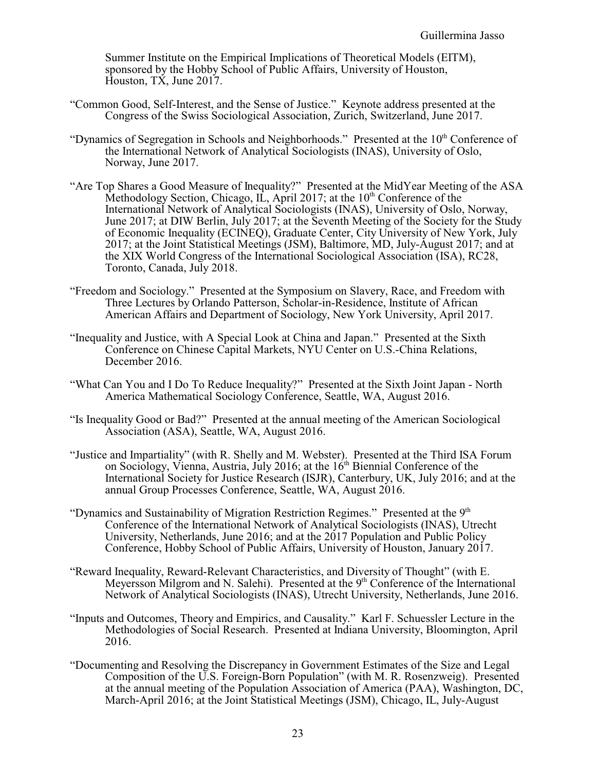Summer Institute on the Empirical Implications of Theoretical Models (EITM), sponsored by the Hobby School of Public Affairs, University of Houston, Houston, TX, June 2017.

- "Common Good, Self-Interest, and the Sense of Justice." Keynote address presented at the Congress of the Swiss Sociological Association, Zurich, Switzerland, June 2017.
- "Dynamics of Segregation in Schools and Neighborhoods." Presented at the  $10<sup>th</sup>$  Conference of the International Network of Analytical Sociologists (INAS), University of Oslo, Norway, June 2017.
- "Are Top Shares a Good Measure of Inequality?" Presented at the MidYear Meeting of the ASA Methodology Section, Chicago, IL, April 2017; at the  $10<sup>th</sup>$  Conference of the International Network of Analytical Sociologists (INAS), University of Oslo, Norway, June 2017; at DIW Berlin, July 2017; at the Seventh Meeting of the Society for the Study of Economic Inequality (ECINEQ), Graduate Center, City University of New York, July 2017; at the Joint Statistical Meetings (JSM), Baltimore, MD, July-August 2017; and at the XIX World Congress of the International Sociological Association (ISA), RC28, Toronto, Canada, July 2018.
- "Freedom and Sociology." Presented at the Symposium on Slavery, Race, and Freedom with Three Lectures by Orlando Patterson, Scholar-in-Residence, Institute of African American Affairs and Department of Sociology, New York University, April 2017.
- "Inequality and Justice, with A Special Look at China and Japan." Presented at the Sixth Conference on Chinese Capital Markets, NYU Center on U.S.-China Relations, December 2016.
- "What Can You and I Do To Reduce Inequality?" Presented at the Sixth Joint Japan North America Mathematical Sociology Conference, Seattle, WA, August 2016.
- "Is Inequality Good or Bad?" Presented at the annual meeting of the American Sociological Association (ASA), Seattle, WA, August 2016.
- "Justice and Impartiality" (with R. Shelly and M. Webster). Presented at the Third ISA Forum on Sociology, Vienna, Austria, July 2016; at the 16<sup>th</sup> Biennial Conference of the International Society for Justice Research (ISJR), Canterbury, UK, July 2016; and at the annual Group Processes Conference, Seattle, WA, August 2016.
- "Dynamics and Sustainability of Migration Restriction Regimes." Presented at the  $9<sup>th</sup>$ Conference of the International Network of Analytical Sociologists (INAS), Utrecht University, Netherlands, June 2016; and at the 2017 Population and Public Policy Conference, Hobby School of Public Affairs, University of Houston, January 2017.
- "Reward Inequality, Reward-Relevant Characteristics, and Diversity of Thought" (with E. Meyersson Milgrom and N. Salehi). Presented at the 9<sup>th</sup> Conference of the International Network of Analytical Sociologists (INAS), Utrecht University, Netherlands, June 2016.
- "Inputs and Outcomes, Theory and Empirics, and Causality." Karl F. Schuessler Lecture in the Methodologies of Social Research. Presented at Indiana University, Bloomington, April 2016.
- "Documenting and Resolving the Discrepancy in Government Estimates of the Size and Legal Composition of the U.S. Foreign-Born Population" (with M. R. Rosenzweig). Presented at the annual meeting of the Population Association of America (PAA), Washington, DC, March-April 2016; at the Joint Statistical Meetings (JSM), Chicago, IL, July-August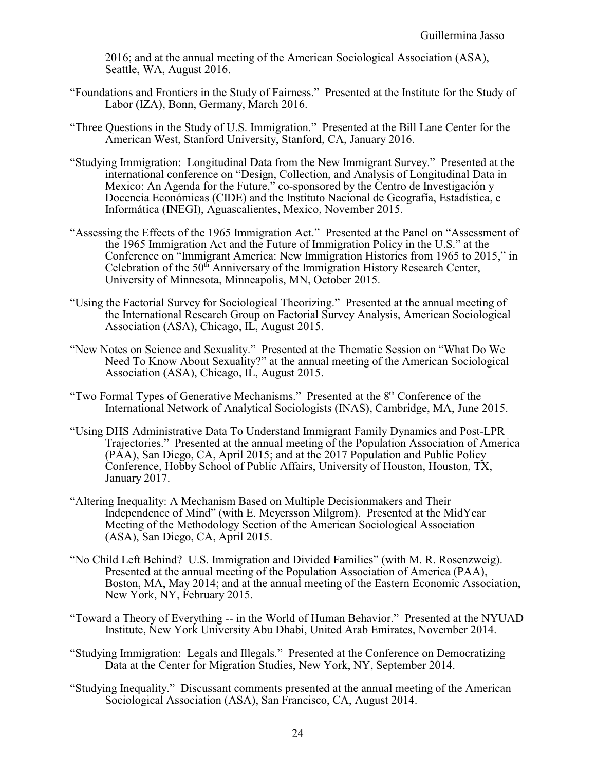2016; and at the annual meeting of the American Sociological Association (ASA), Seattle, WA, August 2016.

- "Foundations and Frontiers in the Study of Fairness." Presented at the Institute for the Study of Labor (IZA), Bonn, Germany, March 2016.
- "Three Questions in the Study of U.S. Immigration." Presented at the Bill Lane Center for the American West, Stanford University, Stanford, CA, January 2016.
- "Studying Immigration: Longitudinal Data from the New Immigrant Survey." Presented at the international conference on "Design, Collection, and Analysis of Longitudinal Data in Mexico: An Agenda for the Future," co-sponsored by the Centro de Investigación y Docencia Económicas (CIDE) and the Instituto Nacional de Geografía, Estadística, e Informática (INEGI), Aguascalientes, Mexico, November 2015.
- "Assessing the Effects of the 1965 Immigration Act." Presented at the Panel on "Assessment of the 1965 Immigration Act and the Future of Immigration Policy in the U.S." at the Conference on "Immigrant America: New Immigration Histories from 1965 to 2015," in Celebration of the  $50<sup>th</sup>$  Anniversary of the Immigration History Research Center, University of Minnesota, Minneapolis, MN, October 2015.
- "Using the Factorial Survey for Sociological Theorizing." Presented at the annual meeting of the International Research Group on Factorial Survey Analysis, American Sociological Association (ASA), Chicago, IL, August 2015.
- "New Notes on Science and Sexuality." Presented at the Thematic Session on "What Do We Need To Know About Sexuality?" at the annual meeting of the American Sociological Association (ASA), Chicago, IL, August 2015.
- "Two Formal Types of Generative Mechanisms." Presented at the  $8<sup>th</sup>$  Conference of the International Network of Analytical Sociologists (INAS), Cambridge, MA, June 2015.
- "Using DHS Administrative Data To Understand Immigrant Family Dynamics and Post-LPR Trajectories." Presented at the annual meeting of the Population Association of America (PAA), San Diego, CA, April 2015; and at the 2017 Population and Public Policy Conference, Hobby School of Public Affairs, University of Houston, Houston, TX, January 2017.
- "Altering Inequality: A Mechanism Based on Multiple Decisionmakers and Their Independence of Mind" (with E. Meyersson Milgrom). Presented at the MidYear Meeting of the Methodology Section of the American Sociological Association (ASA), San Diego, CA, April 2015.
- "No Child Left Behind? U.S. Immigration and Divided Families" (with M. R. Rosenzweig). Presented at the annual meeting of the Population Association of America (PAA), Boston, MA, May 2014; and at the annual meeting of the Eastern Economic Association, New York, NY, February 2015.
- "Toward a Theory of Everything -- in the World of Human Behavior." Presented at the NYUAD Institute, New York University Abu Dhabi, United Arab Emirates, November 2014.
- "Studying Immigration: Legals and Illegals." Presented at the Conference on Democratizing Data at the Center for Migration Studies, New York, NY, September 2014.
- "Studying Inequality." Discussant comments presented at the annual meeting of the American Sociological Association (ASA), San Francisco, CA, August 2014.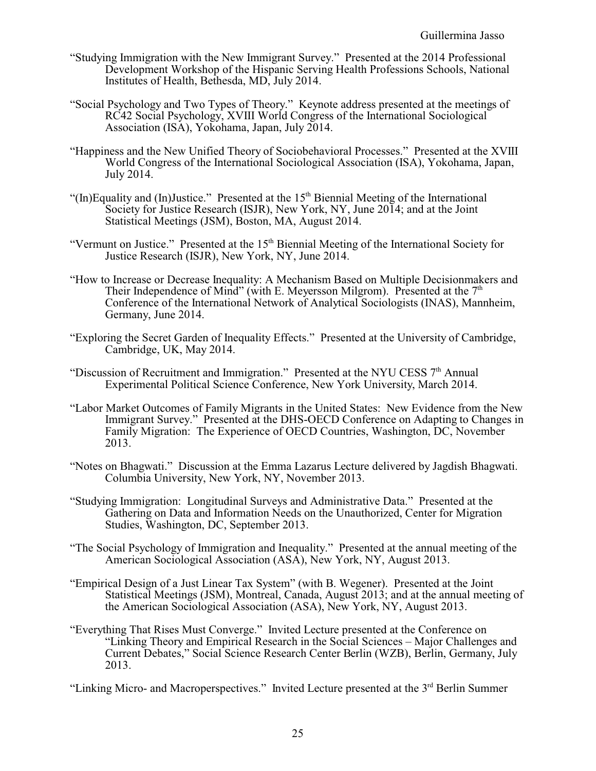- "Studying Immigration with the New Immigrant Survey." Presented at the 2014 Professional Development Workshop of the Hispanic Serving Health Professions Schools, National Institutes of Health, Bethesda, MD, July 2014.
- "Social Psychology and Two Types of Theory." Keynote address presented at the meetings of RC42 Social Psychology, XVIII World Congress of the International Sociological Association (ISA), Yokohama, Japan, July 2014.
- "Happiness and the New Unified Theory of Sociobehavioral Processes." Presented at the XVIII World Congress of the International Sociological Association (ISA), Yokohama, Japan, July 2014.
- "(In)Equality and (In)Justice." Presented at the  $15<sup>th</sup>$  Biennial Meeting of the International Society for Justice Research (ISJR), New York, NY, June 2014; and at the Joint Statistical Meetings (JSM), Boston, MA, August 2014.
- "Vermunt on Justice." Presented at the  $15<sup>th</sup>$  Biennial Meeting of the International Society for Justice Research (ISJR), New York, NY, June 2014.
- "How to Increase or Decrease Inequality: A Mechanism Based on Multiple Decisionmakers and Their Independence of Mind" (with E. Meyersson Milgrom). Presented at the  $7<sup>th</sup>$ Conference of the International Network of Analytical Sociologists (INAS), Mannheim, Germany, June 2014.
- "Exploring the Secret Garden of Inequality Effects." Presented at the University of Cambridge, Cambridge, UK, May 2014.
- "Discussion of Recruitment and Immigration." Presented at the NYU CESS  $7<sup>th</sup>$  Annual Experimental Political Science Conference, New York University, March 2014.
- "Labor Market Outcomes of Family Migrants in the United States: New Evidence from the New Immigrant Survey." Presented at the DHS-OECD Conference on Adapting to Changes in Family Migration: The Experience of OECD Countries, Washington, DC, November 2013.
- "Notes on Bhagwati." Discussion at the Emma Lazarus Lecture delivered by Jagdish Bhagwati. Columbia University, New York, NY, November 2013.
- "Studying Immigration: Longitudinal Surveys and Administrative Data." Presented at the Gathering on Data and Information Needs on the Unauthorized, Center for Migration Studies, Washington, DC, September 2013.
- "The Social Psychology of Immigration and Inequality." Presented at the annual meeting of the American Sociological Association (ASA), New York, NY, August 2013.
- "Empirical Design of a Just Linear Tax System" (with B. Wegener). Presented at the Joint Statistical Meetings (JSM), Montreal, Canada, August 2013; and at the annual meeting of the American Sociological Association (ASA), New York, NY, August 2013.
- "Everything That Rises Must Converge." Invited Lecture presented at the Conference on "Linking Theory and Empirical Research in the Social Sciences – Major Challenges and Current Debates," Social Science Research Center Berlin (WZB), Berlin, Germany, July 2013.

"Linking Micro- and Macroperspectives." Invited Lecture presented at the 3<sup>rd</sup> Berlin Summer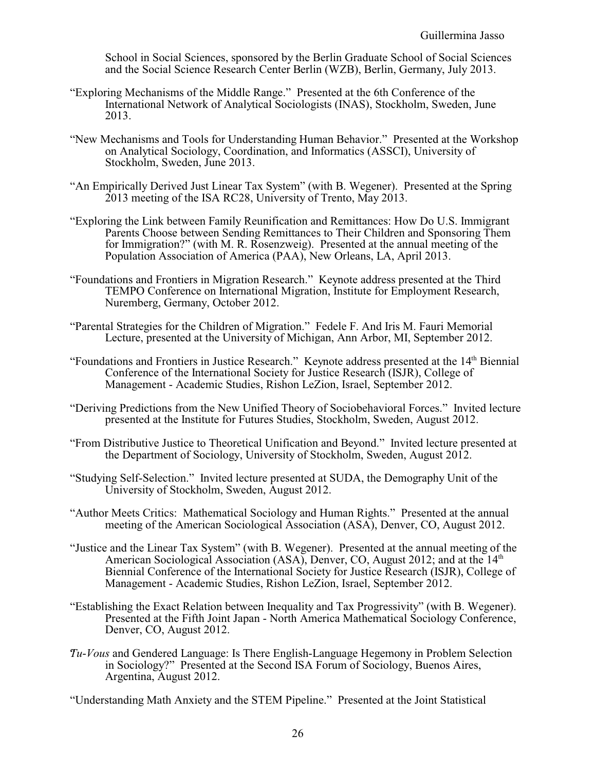School in Social Sciences, sponsored by the Berlin Graduate School of Social Sciences and the Social Science Research Center Berlin (WZB), Berlin, Germany, July 2013.

- "Exploring Mechanisms of the Middle Range." Presented at the 6th Conference of the International Network of Analytical Sociologists (INAS), Stockholm, Sweden, June 2013.
- "New Mechanisms and Tools for Understanding Human Behavior." Presented at the Workshop on Analytical Sociology, Coordination, and Informatics (ASSCI), University of Stockholm, Sweden, June 2013.
- "An Empirically Derived Just Linear Tax System" (with B. Wegener). Presented at the Spring 2013 meeting of the ISA RC28, University of Trento, May 2013.
- "Exploring the Link between Family Reunification and Remittances: How Do U.S. Immigrant Parents Choose between Sending Remittances to Their Children and Sponsoring Them for Immigration?" (with M. R. Rosenzweig). Presented at the annual meeting of the Population Association of America (PAA), New Orleans, LA, April 2013.
- "Foundations and Frontiers in Migration Research." Keynote address presented at the Third TEMPO Conference on International Migration, Institute for Employment Research, Nuremberg, Germany, October 2012.
- "Parental Strategies for the Children of Migration." Fedele F. And Iris M. Fauri Memorial Lecture, presented at the University of Michigan, Ann Arbor, MI, September 2012.
- "Foundations and Frontiers in Justice Research." Keynote address presented at the 14<sup>th</sup> Biennial Conference of the International Society for Justice Research (ISJR), College of Management - Academic Studies, Rishon LeZion, Israel, September 2012.
- "Deriving Predictions from the New Unified Theory of Sociobehavioral Forces." Invited lecture presented at the Institute for Futures Studies, Stockholm, Sweden, August 2012.
- "From Distributive Justice to Theoretical Unification and Beyond." Invited lecture presented at the Department of Sociology, University of Stockholm, Sweden, August 2012.
- "Studying Self-Selection." Invited lecture presented at SUDA, the Demography Unit of the University of Stockholm, Sweden, August 2012.
- "Author Meets Critics: Mathematical Sociology and Human Rights." Presented at the annual meeting of the American Sociological Association (ASA), Denver, CO, August 2012.
- "Justice and the Linear Tax System" (with B. Wegener). Presented at the annual meeting of the American Sociological Association (ASA), Denver, CO, August 2012; and at the  $14<sup>th</sup>$ Biennial Conference of the International Society for Justice Research (ISJR), College of Management - Academic Studies, Rishon LeZion, Israel, September 2012.
- "Establishing the Exact Relation between Inequality and Tax Progressivity" (with B. Wegener). Presented at the Fifth Joint Japan - North America Mathematical Sociology Conference, Denver, CO, August 2012.
- "*Tu*-*Vous* and Gendered Language: Is There English-Language Hegemony in Problem Selection in Sociology?" Presented at the Second ISA Forum of Sociology, Buenos Aires, Argentina, August 2012.

"Understanding Math Anxiety and the STEM Pipeline." Presented at the Joint Statistical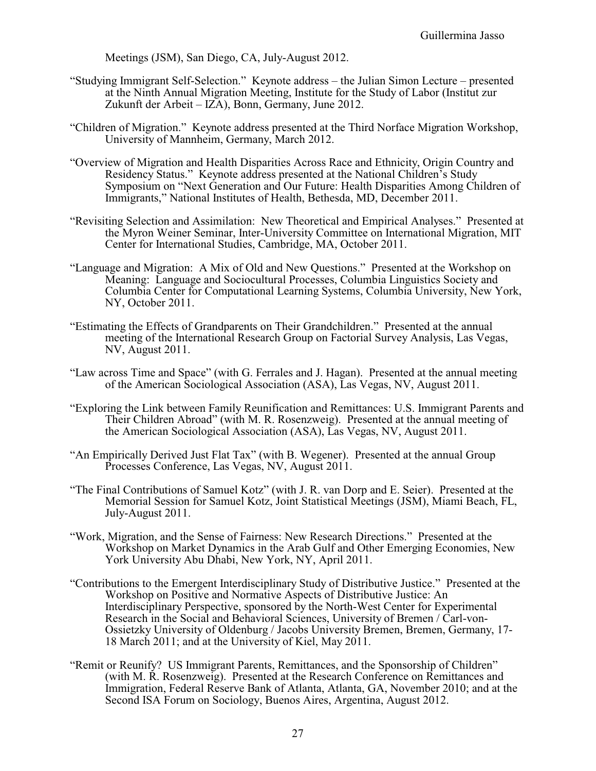Meetings (JSM), San Diego, CA, July-August 2012.

- "Studying Immigrant Self-Selection." Keynote address the Julian Simon Lecture presented at the Ninth Annual Migration Meeting, Institute for the Study of Labor (Institut zur Zukunft der Arbeit – IZA), Bonn, Germany, June 2012.
- "Children of Migration." Keynote address presented at the Third Norface Migration Workshop, University of Mannheim, Germany, March 2012.
- "Overview of Migration and Health Disparities Across Race and Ethnicity, Origin Country and Residency Status." Keynote address presented at the National Children's Study Symposium on "Next Generation and Our Future: Health Disparities Among Children of Immigrants," National Institutes of Health, Bethesda, MD, December 2011.
- "Revisiting Selection and Assimilation: New Theoretical and Empirical Analyses." Presented at the Myron Weiner Seminar, Inter-University Committee on International Migration, MIT Center for International Studies, Cambridge, MA, October 2011.
- "Language and Migration: A Mix of Old and New Questions." Presented at the Workshop on Meaning: Language and Sociocultural Processes, Columbia Linguistics Society and Columbia Center for Computational Learning Systems, Columbia University, New York, NY, October 2011.
- "Estimating the Effects of Grandparents on Their Grandchildren." Presented at the annual meeting of the International Research Group on Factorial Survey Analysis, Las Vegas, NV, August 2011.
- "Law across Time and Space" (with G. Ferrales and J. Hagan). Presented at the annual meeting of the American Sociological Association (ASA), Las Vegas, NV, August 2011.
- "Exploring the Link between Family Reunification and Remittances: U.S. Immigrant Parents and Their Children Abroad" (with M. R. Rosenzweig). Presented at the annual meeting of the American Sociological Association (ASA), Las Vegas, NV, August 2011.
- "An Empirically Derived Just Flat Tax" (with B. Wegener). Presented at the annual Group Processes Conference, Las Vegas, NV, August 2011.
- "The Final Contributions of Samuel Kotz" (with J. R. van Dorp and E. Seier). Presented at the Memorial Session for Samuel Kotz, Joint Statistical Meetings (JSM), Miami Beach, FL, July-August 2011.
- "Work, Migration, and the Sense of Fairness: New Research Directions." Presented at the Workshop on Market Dynamics in the Arab Gulf and Other Emerging Economies, New York University Abu Dhabi, New York, NY, April 2011.
- "Contributions to the Emergent Interdisciplinary Study of Distributive Justice." Presented at the Workshop on Positive and Normative Aspects of Distributive Justice: An Interdisciplinary Perspective, sponsored by the North-West Center for Experimental Research in the Social and Behavioral Sciences, University of Bremen / Carl-von-Ossietzky University of Oldenburg / Jacobs University Bremen, Bremen, Germany, 17- 18 March 2011; and at the University of Kiel, May 2011.
- "Remit or Reunify? US Immigrant Parents, Remittances, and the Sponsorship of Children" (with M. R. Rosenzweig). Presented at the Research Conference on Remittances and Immigration, Federal Reserve Bank of Atlanta, Atlanta, GA, November 2010; and at the Second ISA Forum on Sociology, Buenos Aires, Argentina, August 2012.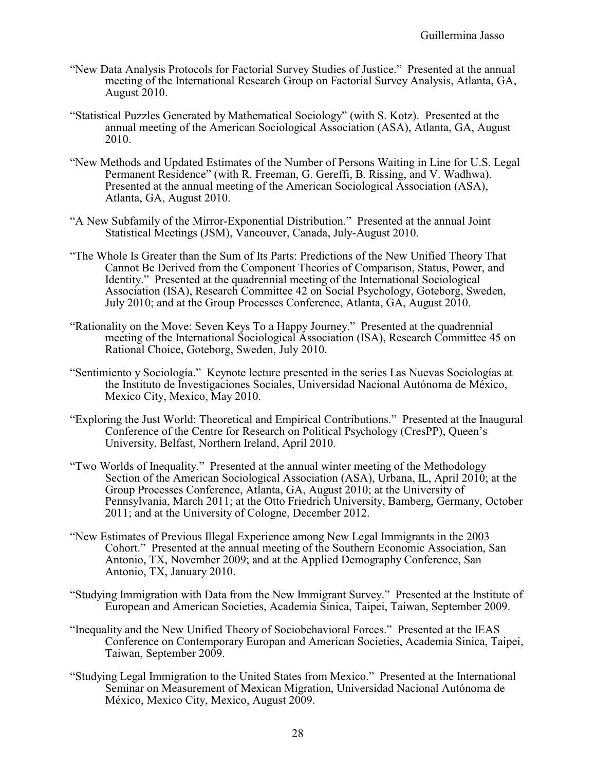- "New Data Analysis Protocols for Factorial Survey Studies of Justice." Presented at the annual meeting of the International Research Group on Factorial Survey Analysis, Atlanta, GA, August 2010.
- "Statistical Puzzles Generated by Mathematical Sociology" (with S. Kotz). Presented at the annual meeting of the American Sociological Association (ASA), Atlanta, GA, August 2010.
- "New Methods and Updated Estimates of the Number of Persons Waiting in Line for U.S. Legal Permanent Residence" (with R. Freeman, G. Gereffi, B. Rissing, and V. Wadhwa). Presented at the annual meeting of the American Sociological Association (ASA), Atlanta, GA, August 2010.
- "A New Subfamily of the Mirror-Exponential Distribution." Presented at the annual Joint Statistical Meetings (JSM), Vancouver, Canada, July-August 2010.
- "The Whole Is Greater than the Sum of Its Parts: Predictions of the New Unified Theory That Cannot Be Derived from the Component Theories of Comparison, Status, Power, and Identity." Presented at the quadrennial meeting of the International Sociological Association (ISA), Research Committee 42 on Social Psychology, Goteborg, Sweden, July 2010; and at the Group Processes Conference, Atlanta, GA, August 2010.
- "Rationality on the Move: Seven Keys To a Happy Journey." Presented at the quadrennial meeting of the International Sociological Association (ISA), Research Committee 45 on Rational Choice, Goteborg, Sweden, July 2010.
- "Sentimiento y Sociología." Keynote lecture presented in the series Las Nuevas Sociologías at the Instituto de Investigaciones Sociales, Universidad Nacional Autónoma de México, Mexico City, Mexico, May 2010.
- "Exploring the Just World: Theoretical and Empirical Contributions." Presented at the Inaugural Conference of the Centre for Research on Political Psychology (CresPP), Queen's University, Belfast, Northern Ireland, April 2010.
- "Two Worlds of Inequality." Presented at the annual winter meeting of the Methodology Section of the American Sociological Association (ASA), Urbana, IL, April 2010; at the Group Processes Conference, Atlanta, GA, August 2010; at the University of Pennsylvania, March 2011; at the Otto Friedrich University, Bamberg, Germany, October 2011; and at the University of Cologne, December 2012.
- "New Estimates of Previous Illegal Experience among New Legal Immigrants in the 2003 Cohort." Presented at the annual meeting of the Southern Economic Association, San Antonio, TX, November 2009; and at the Applied Demography Conference, San Antonio, TX, January 2010.
- "Studying Immigration with Data from the New Immigrant Survey." Presented at the Institute of European and American Societies, Academia Sinica, Taipei, Taiwan, September 2009.
- "Inequality and the New Unified Theory of Sociobehavioral Forces." Presented at the IEAS Conference on Contemporary Europan and American Societies, Academia Sinica, Taipei, Taiwan, September 2009.
- "Studying Legal Immigration to the United States from Mexico." Presented at the International Seminar on Measurement of Mexican Migration, Universidad Nacional Autónoma de México, Mexico City, Mexico, August 2009.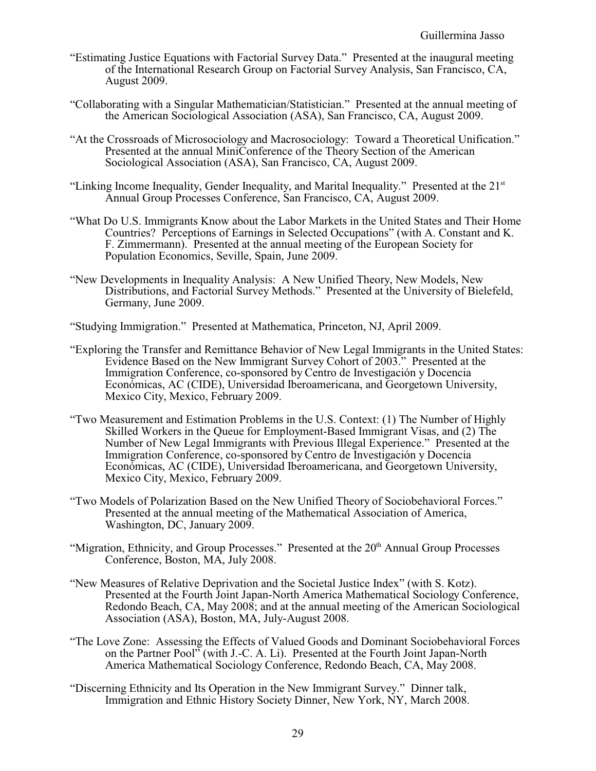- "Estimating Justice Equations with Factorial Survey Data." Presented at the inaugural meeting of the International Research Group on Factorial Survey Analysis, San Francisco, CA, August 2009.
- "Collaborating with a Singular Mathematician/Statistician." Presented at the annual meeting of the American Sociological Association (ASA), San Francisco, CA, August 2009.
- "At the Crossroads of Microsociology and Macrosociology: Toward a Theoretical Unification." Presented at the annual MiniConference of the Theory Section of the American Sociological Association (ASA), San Francisco, CA, August 2009.
- "Linking Income Inequality, Gender Inequality, and Marital Inequality." Presented at the 21st Annual Group Processes Conference, San Francisco, CA, August 2009.
- "What Do U.S. Immigrants Know about the Labor Markets in the United States and Their Home Countries? Perceptions of Earnings in Selected Occupations" (with A. Constant and K. F. Zimmermann). Presented at the annual meeting of the European Society for Population Economics, Seville, Spain, June 2009.
- "New Developments in Inequality Analysis: A New Unified Theory, New Models, New Distributions, and Factorial Survey Methods." Presented at the University of Bielefeld, Germany, June 2009.
- "Studying Immigration." Presented at Mathematica, Princeton, NJ, April 2009.
- "Exploring the Transfer and Remittance Behavior of New Legal Immigrants in the United States: Evidence Based on the New Immigrant Survey Cohort of 2003." Presented at the Immigration Conference, co-sponsored by Centro de Investigación y Docencia Económicas, AC (CIDE), Universidad Iberoamericana, and Georgetown University, Mexico City, Mexico, February 2009.
- "Two Measurement and Estimation Problems in the U.S. Context: (1) The Number of Highly Skilled Workers in the Queue for Employment-Based Immigrant Visas, and (2) The Number of New Legal Immigrants with Previous Illegal Experience." Presented at the Immigration Conference, co-sponsored by Centro de Investigación y Docencia Económicas, AC (CIDE), Universidad Iberoamericana, and Georgetown University, Mexico City, Mexico, February 2009.
- "Two Models of Polarization Based on the New Unified Theory of Sociobehavioral Forces." Presented at the annual meeting of the Mathematical Association of America, Washington, DC, January 2009.
- "Migration, Ethnicity, and Group Processes." Presented at the 20<sup>th</sup> Annual Group Processes Conference, Boston, MA, July 2008.
- "New Measures of Relative Deprivation and the Societal Justice Index" (with S. Kotz). Presented at the Fourth Joint Japan-North America Mathematical Sociology Conference, Redondo Beach, CA, May 2008; and at the annual meeting of the American Sociological Association (ASA), Boston, MA, July-August 2008.
- "The Love Zone: Assessing the Effects of Valued Goods and Dominant Sociobehavioral Forces on the Partner Pool" (with J.-C. A. Li). Presented at the Fourth Joint Japan-North America Mathematical Sociology Conference, Redondo Beach, CA, May 2008.
- "Discerning Ethnicity and Its Operation in the New Immigrant Survey." Dinner talk, Immigration and Ethnic History Society Dinner, New York, NY, March 2008.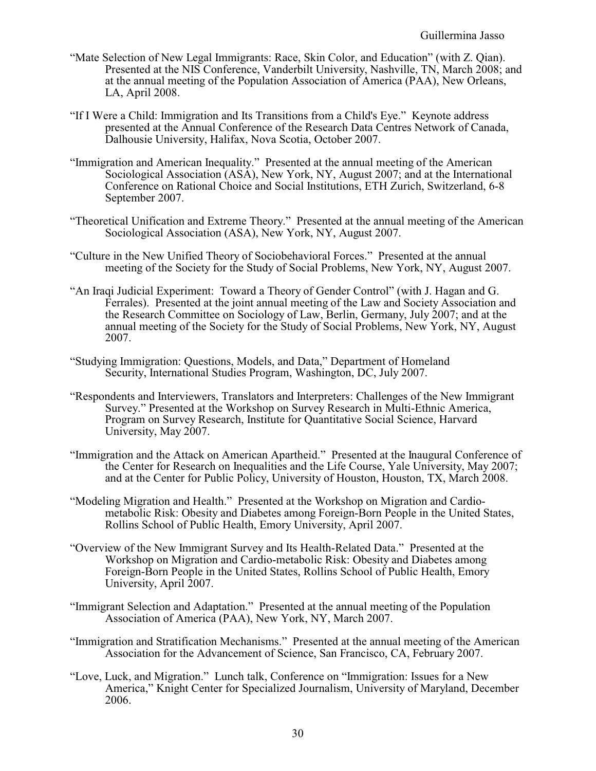- "Mate Selection of New Legal Immigrants: Race, Skin Color, and Education" (with Z. Qian). Presented at the NIS Conference, Vanderbilt University, Nashville, TN, March 2008; and at the annual meeting of the Population Association of America (PAA), New Orleans, LA, April 2008.
- "If I Were a Child: Immigration and Its Transitions from a Child's Eye." Keynote address presented at the Annual Conference of the Research Data Centres Network of Canada, Dalhousie University, Halifax, Nova Scotia, October 2007.
- "Immigration and American Inequality." Presented at the annual meeting of the American Sociological Association (ASA), New York, NY, August 2007; and at the International Conference on Rational Choice and Social Institutions, ETH Zurich, Switzerland, 6-8 September 2007.
- "Theoretical Unification and Extreme Theory." Presented at the annual meeting of the American Sociological Association (ASA), New York, NY, August 2007.
- "Culture in the New Unified Theory of Sociobehavioral Forces." Presented at the annual meeting of the Society for the Study of Social Problems, New York, NY, August 2007.
- "An Iraqi Judicial Experiment: Toward a Theory of Gender Control" (with J. Hagan and G. Ferrales). Presented at the joint annual meeting of the Law and Society Association and the Research Committee on Sociology of Law, Berlin, Germany, July 2007; and at the annual meeting of the Society for the Study of Social Problems, New York, NY, August 2007.
- "Studying Immigration: Questions, Models, and Data," Department of Homeland Security, International Studies Program, Washington, DC, July 2007.
- "Respondents and Interviewers, Translators and Interpreters: Challenges of the New Immigrant Survey." Presented at the Workshop on Survey Research in Multi-Ethnic America, Program on Survey Research, Institute for Quantitative Social Science, Harvard University, May 2007.
- "Immigration and the Attack on American Apartheid." Presented at the Inaugural Conference of the Center for Research on Inequalities and the Life Course, Yale University, May 2007; and at the Center for Public Policy, University of Houston, Houston, TX, March 2008.
- "Modeling Migration and Health." Presented at the Workshop on Migration and Cardiometabolic Risk: Obesity and Diabetes among Foreign-Born People in the United States, Rollins School of Public Health, Emory University, April 2007.
- "Overview of the New Immigrant Survey and Its Health-Related Data." Presented at the Workshop on Migration and Cardio-metabolic Risk: Obesity and Diabetes among Foreign-Born People in the United States, Rollins School of Public Health, Emory University, April 2007.
- "Immigrant Selection and Adaptation." Presented at the annual meeting of the Population Association of America (PAA), New York, NY, March 2007.
- "Immigration and Stratification Mechanisms." Presented at the annual meeting of the American Association for the Advancement of Science, San Francisco, CA, February 2007.
- "Love, Luck, and Migration." Lunch talk, Conference on "Immigration: Issues for a New America," Knight Center for Specialized Journalism, University of Maryland, December 2006.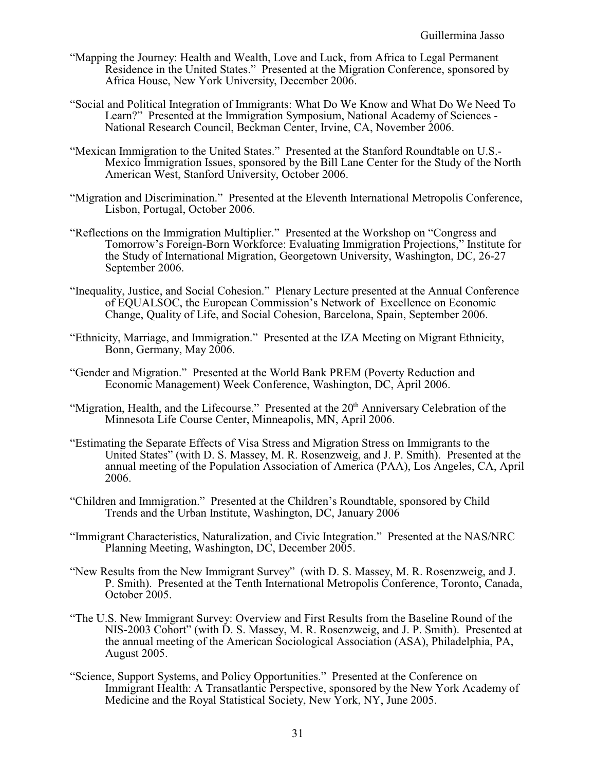- "Mapping the Journey: Health and Wealth, Love and Luck, from Africa to Legal Permanent Residence in the United States." Presented at the Migration Conference, sponsored by Africa House, New York University, December 2006.
- "Social and Political Integration of Immigrants: What Do We Know and What Do We Need To Learn?" Presented at the Immigration Symposium, National Academy of Sciences - National Research Council, Beckman Center, Irvine, CA, November 2006.
- "Mexican Immigration to the United States." Presented at the Stanford Roundtable on U.S.- Mexico Immigration Issues, sponsored by the Bill Lane Center for the Study of the North American West, Stanford University, October 2006.
- "Migration and Discrimination." Presented at the Eleventh International Metropolis Conference, Lisbon, Portugal, October 2006.
- "Reflections on the Immigration Multiplier." Presented at the Workshop on "Congress and Tomorrow's Foreign-Born Workforce: Evaluating Immigration Projections," Institute for the Study of International Migration, Georgetown University, Washington, DC, 26-27 September 2006.
- "Inequality, Justice, and Social Cohesion." Plenary Lecture presented at the Annual Conference of EQUALSOC, the European Commission's Network of Excellence on Economic Change, Quality of Life, and Social Cohesion, Barcelona, Spain, September 2006.
- "Ethnicity, Marriage, and Immigration." Presented at the IZA Meeting on Migrant Ethnicity, Bonn, Germany, May 2006.
- "Gender and Migration." Presented at the World Bank PREM (Poverty Reduction and Economic Management) Week Conference, Washington, DC, April 2006.
- "Migration, Health, and the Lifecourse." Presented at the 20<sup>th</sup> Anniversary Celebration of the Minnesota Life Course Center, Minneapolis, MN, April 2006.
- "Estimating the Separate Effects of Visa Stress and Migration Stress on Immigrants to the United States" (with D. S. Massey, M. R. Rosenzweig, and J. P. Smith). Presented at the annual meeting of the Population Association of America (PAA), Los Angeles, CA, April 2006.
- "Children and Immigration." Presented at the Children's Roundtable, sponsored by Child Trends and the Urban Institute, Washington, DC, January 2006
- "Immigrant Characteristics, Naturalization, and Civic Integration." Presented at the NAS/NRC Planning Meeting, Washington, DC, December 2005.
- "New Results from the New Immigrant Survey" (with D. S. Massey, M. R. Rosenzweig, and J. P. Smith). Presented at the Tenth International Metropolis Conference, Toronto, Canada, October 2005.
- "The U.S. New Immigrant Survey: Overview and First Results from the Baseline Round of the NIS-2003 Cohort" (with D. S. Massey, M. R. Rosenzweig, and J. P. Smith). Presented at the annual meeting of the American Sociological Association (ASA), Philadelphia, PA, August 2005.
- "Science, Support Systems, and Policy Opportunities." Presented at the Conference on Immigrant Health: A Transatlantic Perspective, sponsored by the New York Academy of Medicine and the Royal Statistical Society, New York, NY, June 2005.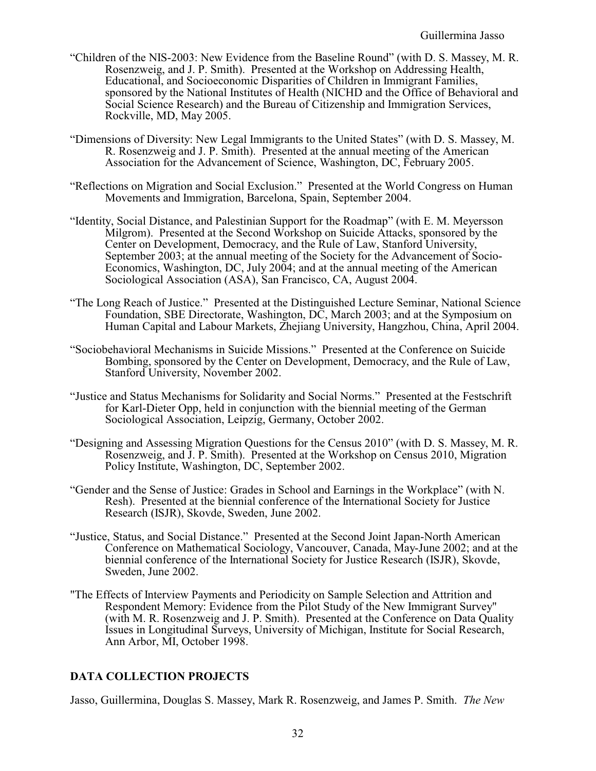- "Children of the NIS-2003: New Evidence from the Baseline Round" (with D. S. Massey, M. R. Rosenzweig, and J. P. Smith). Presented at the Workshop on Addressing Health, Educational, and Socioeconomic Disparities of Children in Immigrant Families, sponsored by the National Institutes of Health (NICHD and the Office of Behavioral and Social Science Research) and the Bureau of Citizenship and Immigration Services, Rockville, MD, May 2005.
- "Dimensions of Diversity: New Legal Immigrants to the United States" (with D. S. Massey, M. R. Rosenzweig and J. P. Smith). Presented at the annual meeting of the American Association for the Advancement of Science, Washington, DC, February 2005.
- "Reflections on Migration and Social Exclusion." Presented at the World Congress on Human Movements and Immigration, Barcelona, Spain, September 2004.
- "Identity, Social Distance, and Palestinian Support for the Roadmap" (with E. M. Meyersson Milgrom). Presented at the Second Workshop on Suicide Attacks, sponsored by the Center on Development, Democracy, and the Rule of Law, Stanford University, September 2003; at the annual meeting of the Society for the Advancement of Socio-Economics, Washington, DC, July 2004; and at the annual meeting of the American Sociological Association (ASA), San Francisco, CA, August 2004.
- "The Long Reach of Justice." Presented at the Distinguished Lecture Seminar, National Science Foundation, SBE Directorate, Washington, DC, March 2003; and at the Symposium on Human Capital and Labour Markets, Zhejiang University, Hangzhou, China, April 2004.
- "Sociobehavioral Mechanisms in Suicide Missions." Presented at the Conference on Suicide Bombing, sponsored by the Center on Development, Democracy, and the Rule of Law, Stanford University, November 2002.
- "Justice and Status Mechanisms for Solidarity and Social Norms." Presented at the Festschrift for Karl-Dieter Opp, held in conjunction with the biennial meeting of the German Sociological Association, Leipzig, Germany, October 2002.
- "Designing and Assessing Migration Questions for the Census 2010" (with D. S. Massey, M. R. Rosenzweig, and J. P. Smith). Presented at the Workshop on Census 2010, Migration Policy Institute, Washington, DC, September 2002.
- "Gender and the Sense of Justice: Grades in School and Earnings in the Workplace" (with N. Resh). Presented at the biennial conference of the International Society for Justice Research (ISJR), Skovde, Sweden, June 2002.
- "Justice, Status, and Social Distance." Presented at the Second Joint Japan-North American Conference on Mathematical Sociology, Vancouver, Canada, May-June 2002; and at the biennial conference of the International Society for Justice Research (ISJR), Skovde, Sweden, June 2002.
- "The Effects of Interview Payments and Periodicity on Sample Selection and Attrition and Respondent Memory: Evidence from the Pilot Study of the New Immigrant Survey" (with M. R. Rosenzweig and J. P. Smith). Presented at the Conference on Data Quality Issues in Longitudinal Surveys, University of Michigan, Institute for Social Research, Ann Arbor, MI, October 1998.

# **DATA COLLECTION PROJECTS**

Jasso, Guillermina, Douglas S. Massey, Mark R. Rosenzweig, and James P. Smith. *The New*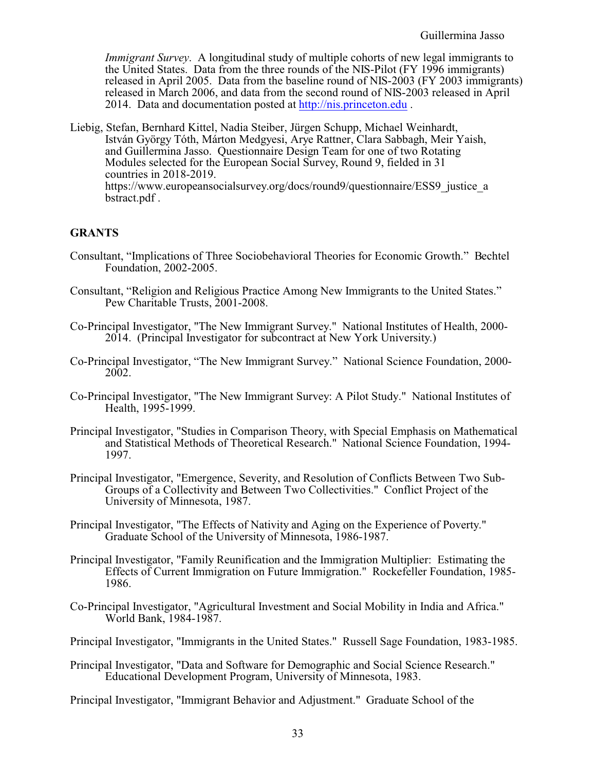*Immigrant Survey*. A longitudinal study of multiple cohorts of new legal immigrants to the United States. Data from the three rounds of the NIS-Pilot (FY 1996 immigrants) released in April 2005. Data from the baseline round of NIS-2003 (FY 2003 immigrants) released in March 2006, and data from the second round of NIS-2003 released in April 2014. Data and documentation posted at<http://nis.princeton.edu> .

Liebig, Stefan, Bernhard Kittel, Nadia Steiber, Jürgen Schupp, Michael Weinhardt, István György Tóth, Márton Medgyesi, Arye Rattner, Clara Sabbagh, Meir Yaish, and Guillermina Jasso. Questionnaire Design Team for one of two Rotating Modules selected for the European Social Survey, Round 9, fielded in 31 countries in 2018-2019. https://www.europeansocialsurvey.org/docs/round9/questionnaire/ESS9\_justice\_a bstract.pdf .

# **GRANTS**

- Consultant, "Implications of Three Sociobehavioral Theories for Economic Growth." Bechtel Foundation, 2002-2005.
- Consultant, "Religion and Religious Practice Among New Immigrants to the United States." Pew Charitable Trusts, 2001-2008.
- Co-Principal Investigator, "The New Immigrant Survey." National Institutes of Health, 2000- 2014. (Principal Investigator for subcontract at New York University.)
- Co-Principal Investigator, "The New Immigrant Survey." National Science Foundation, 2000- 2002.
- Co-Principal Investigator, "The New Immigrant Survey: A Pilot Study." National Institutes of Health, 1995-1999.
- Principal Investigator, "Studies in Comparison Theory, with Special Emphasis on Mathematical and Statistical Methods of Theoretical Research." National Science Foundation, 1994- 1997.
- Principal Investigator, "Emergence, Severity, and Resolution of Conflicts Between Two Sub-Groups of a Collectivity and Between Two Collectivities." Conflict Project of the University of Minnesota, 1987.
- Principal Investigator, "The Effects of Nativity and Aging on the Experience of Poverty." Graduate School of the University of Minnesota, 1986-1987.
- Principal Investigator, "Family Reunification and the Immigration Multiplier: Estimating the Effects of Current Immigration on Future Immigration." Rockefeller Foundation, 1985- 1986.
- Co-Principal Investigator, "Agricultural Investment and Social Mobility in India and Africa." World Bank, 1984-1987.
- Principal Investigator, "Immigrants in the United States." Russell Sage Foundation, 1983-1985.
- Principal Investigator, "Data and Software for Demographic and Social Science Research." Educational Development Program, University of Minnesota, 1983.

Principal Investigator, "Immigrant Behavior and Adjustment." Graduate School of the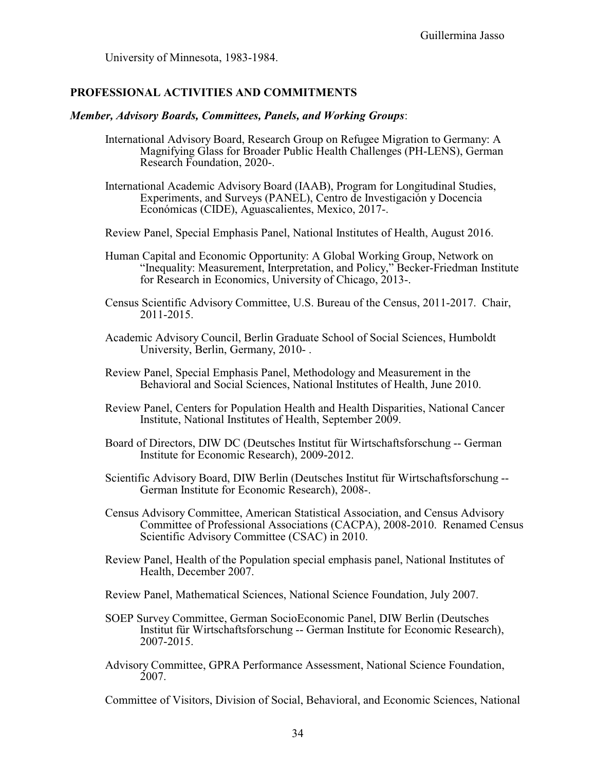University of Minnesota, 1983-1984.

## **PROFESSIONAL ACTIVITIES AND COMMITMENTS**

#### *Member, Advisory Boards, Committees, Panels, and Working Groups*:

- International Advisory Board, Research Group on Refugee Migration to Germany: A Magnifying Glass for Broader Public Health Challenges (PH-LENS), German Research Foundation, 2020-.
- International Academic Advisory Board (IAAB), Program for Longitudinal Studies, Experiments, and Surveys (PANEL), Centro de Investigación y Docencia Económicas (CIDE), Aguascalientes, Mexico, 2017-.
- Review Panel, Special Emphasis Panel, National Institutes of Health, August 2016.
- Human Capital and Economic Opportunity: A Global Working Group, Network on "Inequality: Measurement, Interpretation, and Policy," Becker-Friedman Institute for Research in Economics, University of Chicago, 2013-.
- Census Scientific Advisory Committee, U.S. Bureau of the Census, 2011-2017. Chair, 2011-2015.
- Academic Advisory Council, Berlin Graduate School of Social Sciences, Humboldt University, Berlin, Germany, 2010- .
- Review Panel, Special Emphasis Panel, Methodology and Measurement in the Behavioral and Social Sciences, National Institutes of Health, June 2010.
- Review Panel, Centers for Population Health and Health Disparities, National Cancer Institute, National Institutes of Health, September 2009.
- Board of Directors, DIW DC (Deutsches Institut für Wirtschaftsforschung -- German Institute for Economic Research), 2009-2012.
- Scientific Advisory Board, DIW Berlin (Deutsches Institut für Wirtschaftsforschung -- German Institute for Economic Research), 2008-.
- Census Advisory Committee, American Statistical Association, and Census Advisory Committee of Professional Associations (CACPA), 2008-2010. Renamed Census Scientific Advisory Committee (CSAC) in 2010.
- Review Panel, Health of the Population special emphasis panel, National Institutes of Health, December 2007.
- Review Panel, Mathematical Sciences, National Science Foundation, July 2007.
- SOEP Survey Committee, German SocioEconomic Panel, DIW Berlin (Deutsches Institut für Wirtschaftsforschung -- German Institute for Economic Research), 2007-2015.
- Advisory Committee, GPRA Performance Assessment, National Science Foundation, 2007.

Committee of Visitors, Division of Social, Behavioral, and Economic Sciences, National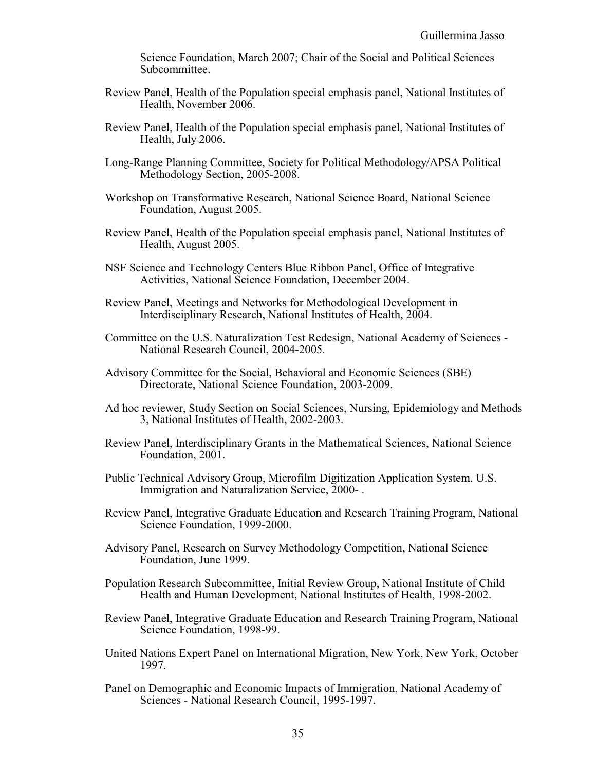Science Foundation, March 2007; Chair of the Social and Political Sciences Subcommittee.

- Review Panel, Health of the Population special emphasis panel, National Institutes of Health, November 2006.
- Review Panel, Health of the Population special emphasis panel, National Institutes of Health, July 2006.
- Long-Range Planning Committee, Society for Political Methodology/APSA Political Methodology Section, 2005-2008.
- Workshop on Transformative Research, National Science Board, National Science Foundation, August 2005.
- Review Panel, Health of the Population special emphasis panel, National Institutes of Health, August 2005.
- NSF Science and Technology Centers Blue Ribbon Panel, Office of Integrative Activities, National Science Foundation, December 2004.
- Review Panel, Meetings and Networks for Methodological Development in Interdisciplinary Research, National Institutes of Health, 2004.
- Committee on the U.S. Naturalization Test Redesign, National Academy of Sciences National Research Council, 2004-2005.
- Advisory Committee for the Social, Behavioral and Economic Sciences (SBE) Directorate, National Science Foundation, 2003-2009.
- Ad hoc reviewer, Study Section on Social Sciences, Nursing, Epidemiology and Methods 3, National Institutes of Health, 2002-2003.
- Review Panel, Interdisciplinary Grants in the Mathematical Sciences, National Science Foundation, 2001.
- Public Technical Advisory Group, Microfilm Digitization Application System, U.S. Immigration and Naturalization Service, 2000- .
- Review Panel, Integrative Graduate Education and Research Training Program, National Science Foundation, 1999-2000.
- Advisory Panel, Research on Survey Methodology Competition, National Science Foundation, June 1999.
- Population Research Subcommittee, Initial Review Group, National Institute of Child Health and Human Development, National Institutes of Health, 1998-2002.
- Review Panel, Integrative Graduate Education and Research Training Program, National Science Foundation, 1998-99.
- United Nations Expert Panel on International Migration, New York, New York, October 1997.
- Panel on Demographic and Economic Impacts of Immigration, National Academy of Sciences - National Research Council, 1995-1997.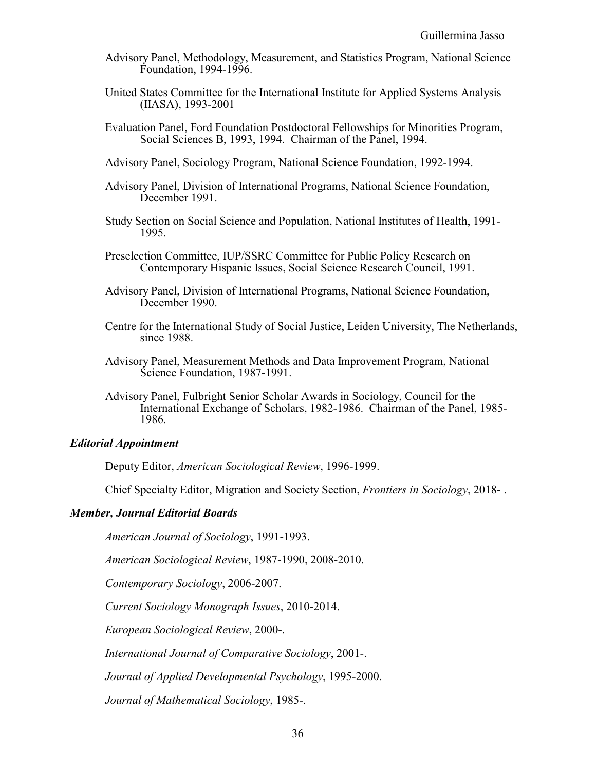- Advisory Panel, Methodology, Measurement, and Statistics Program, National Science Foundation, 1994-1996.
- United States Committee for the International Institute for Applied Systems Analysis (IIASA), 1993-2001
- Evaluation Panel, Ford Foundation Postdoctoral Fellowships for Minorities Program, Social Sciences B, 1993, 1994. Chairman of the Panel, 1994.
- Advisory Panel, Sociology Program, National Science Foundation, 1992-1994.
- Advisory Panel, Division of International Programs, National Science Foundation, December 1991.
- Study Section on Social Science and Population, National Institutes of Health, 1991- 1995.
- Preselection Committee, IUP/SSRC Committee for Public Policy Research on Contemporary Hispanic Issues, Social Science Research Council, 1991.
- Advisory Panel, Division of International Programs, National Science Foundation, December 1990.
- Centre for the International Study of Social Justice, Leiden University, The Netherlands, since 1988.
- Advisory Panel, Measurement Methods and Data Improvement Program, National Science Foundation, 1987-1991.
- Advisory Panel, Fulbright Senior Scholar Awards in Sociology, Council for the International Exchange of Scholars, 1982-1986. Chairman of the Panel, 1985- 1986.

#### *Editorial Appointment*

Deputy Editor, *American Sociological Review*, 1996-1999.

Chief Specialty Editor, Migration and Society Section, *Frontiers in Sociology*, 2018- .

### *Member, Journal Editorial Boards*

*American Journal of Sociology*, 1991-1993.

*American Sociological Review*, 1987-1990, 2008-2010.

*Contemporary Sociology*, 2006-2007.

*Current Sociology Monograph Issues*, 2010-2014.

*European Sociological Review*, 2000-.

*International Journal of Comparative Sociology*, 2001-.

*Journal of Applied Developmental Psychology*, 1995-2000.

*Journal of Mathematical Sociology*, 1985-.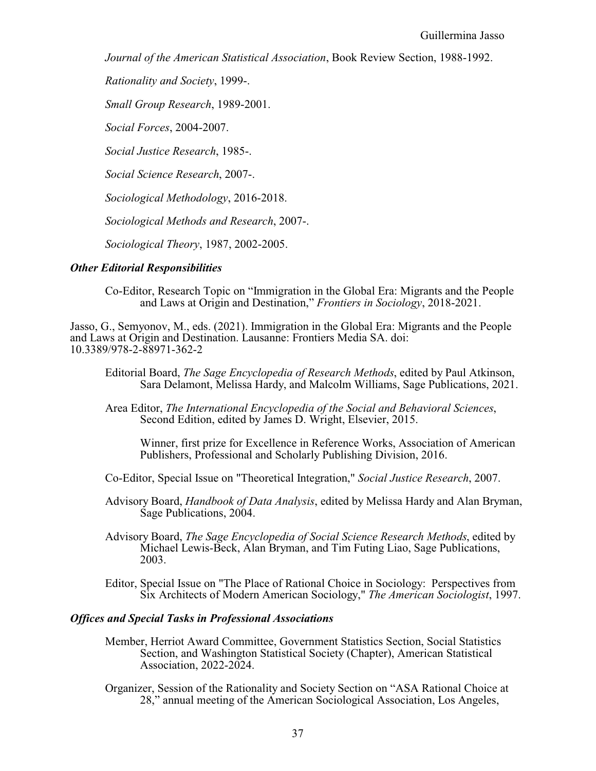*Journal of the American Statistical Association*, Book Review Section, 1988-1992.

*Rationality and Society*, 1999-.

*Small Group Research*, 1989-2001.

*Social Forces*, 2004-2007.

*Social Justice Research*, 1985-.

*Social Science Research*, 2007-.

*Sociological Methodology*, 2016-2018.

*Sociological Methods and Research*, 2007-.

*Sociological Theory*, 1987, 2002-2005.

### *Other Editorial Responsibilities*

Co-Editor, Research Topic on "Immigration in the Global Era: Migrants and the People and Laws at Origin and Destination," *Frontiers in Sociology*, 2018-2021.

Jasso, G., Semyonov, M., eds. (2021). Immigration in the Global Era: Migrants and the People and Laws at Origin and Destination. Lausanne: Frontiers Media SA. doi: 10.3389/978-2-88971-362-2

- Editorial Board, *The Sage Encyclopedia of Research Methods*, edited by Paul Atkinson, Sara Delamont, Melissa Hardy, and Malcolm Williams, Sage Publications, 2021.
- Area Editor, *The International Encyclopedia of the Social and Behavioral Sciences*, Second Edition, edited by James D. Wright, Elsevier, 2015.

Winner, first prize for Excellence in Reference Works, Association of American Publishers, Professional and Scholarly Publishing Division, 2016.

- Co-Editor, Special Issue on "Theoretical Integration," *Social Justice Research*, 2007.
- Advisory Board, *Handbook of Data Analysis*, edited by Melissa Hardy and Alan Bryman, Sage Publications, 2004.
- Advisory Board, *The Sage Encyclopedia of Social Science Research Methods*, edited by Michael Lewis-Beck, Alan Bryman, and Tim Futing Liao, Sage Publications, 2003.
- Editor, Special Issue on "The Place of Rational Choice in Sociology: Perspectives from Six Architects of Modern American Sociology," *The American Sociologist*, 1997.

### *Offices and Special Tasks in Professional Associations*

- Member, Herriot Award Committee, Government Statistics Section, Social Statistics Section, and Washington Statistical Society (Chapter), American Statistical Association, 2022-2024.
- Organizer, Session of the Rationality and Society Section on "ASA Rational Choice at 28," annual meeting of the American Sociological Association, Los Angeles,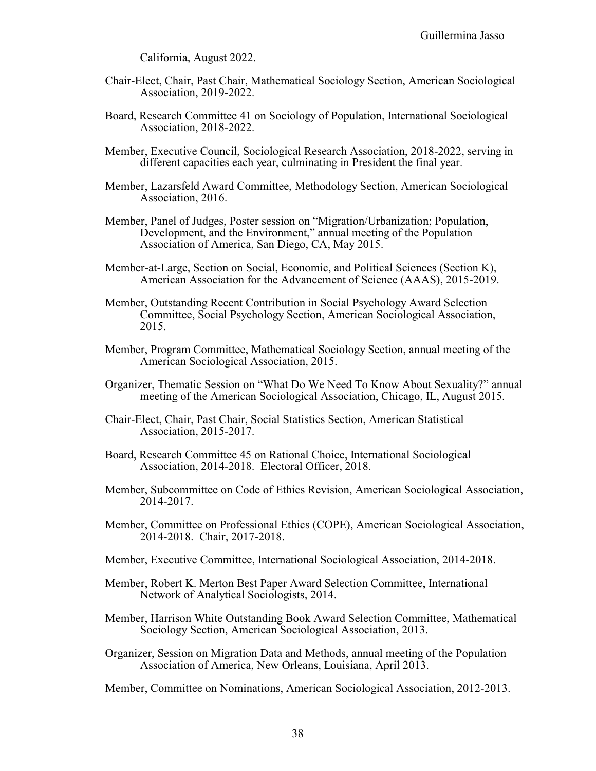California, August 2022.

- Chair-Elect, Chair, Past Chair, Mathematical Sociology Section, American Sociological Association, 2019-2022.
- Board, Research Committee 41 on Sociology of Population, International Sociological Association, 2018-2022.
- Member, Executive Council, Sociological Research Association, 2018-2022, serving in different capacities each year, culminating in President the final year.
- Member, Lazarsfeld Award Committee, Methodology Section, American Sociological Association, 2016.
- Member, Panel of Judges, Poster session on "Migration/Urbanization; Population, Development, and the Environment," annual meeting of the Population Association of America, San Diego, CA, May 2015.
- Member-at-Large, Section on Social, Economic, and Political Sciences (Section K), American Association for the Advancement of Science (AAAS), 2015-2019.
- Member, Outstanding Recent Contribution in Social Psychology Award Selection Committee, Social Psychology Section, American Sociological Association, 2015.
- Member, Program Committee, Mathematical Sociology Section, annual meeting of the American Sociological Association, 2015.
- Organizer, Thematic Session on "What Do We Need To Know About Sexuality?" annual meeting of the American Sociological Association, Chicago, IL, August 2015.
- Chair-Elect, Chair, Past Chair, Social Statistics Section, American Statistical Association, 2015-2017.
- Board, Research Committee 45 on Rational Choice, International Sociological Association, 2014-2018. Electoral Officer, 2018.
- Member, Subcommittee on Code of Ethics Revision, American Sociological Association, 2014-2017.
- Member, Committee on Professional Ethics (COPE), American Sociological Association, 2014-2018. Chair, 2017-2018.
- Member, Executive Committee, International Sociological Association, 2014-2018.
- Member, Robert K. Merton Best Paper Award Selection Committee, International Network of Analytical Sociologists, 2014.
- Member, Harrison White Outstanding Book Award Selection Committee, Mathematical Sociology Section, American Sociological Association, 2013.
- Organizer, Session on Migration Data and Methods, annual meeting of the Population Association of America, New Orleans, Louisiana, April 2013.

Member, Committee on Nominations, American Sociological Association, 2012-2013.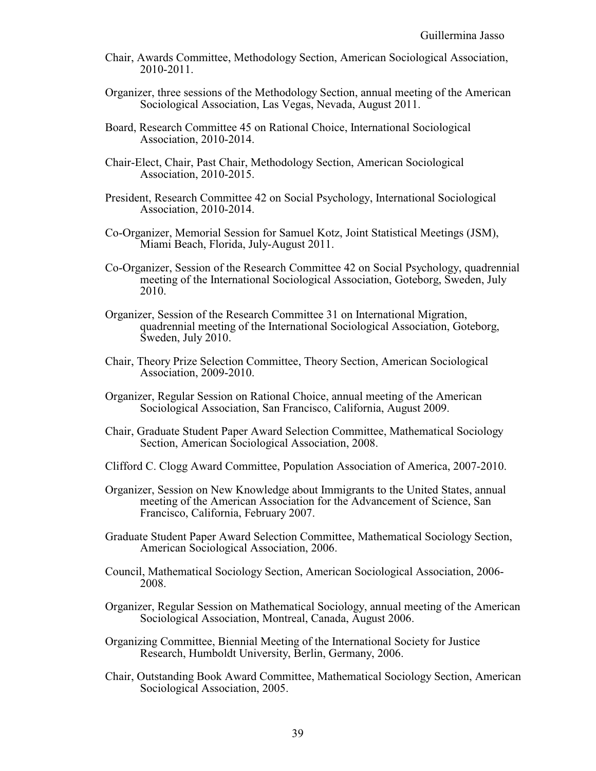- Chair, Awards Committee, Methodology Section, American Sociological Association, 2010-2011.
- Organizer, three sessions of the Methodology Section, annual meeting of the American Sociological Association, Las Vegas, Nevada, August 2011.
- Board, Research Committee 45 on Rational Choice, International Sociological Association, 2010-2014.
- Chair-Elect, Chair, Past Chair, Methodology Section, American Sociological Association, 2010-2015.
- President, Research Committee 42 on Social Psychology, International Sociological Association, 2010-2014.
- Co-Organizer, Memorial Session for Samuel Kotz, Joint Statistical Meetings (JSM), Miami Beach, Florida, July-August 2011.
- Co-Organizer, Session of the Research Committee 42 on Social Psychology, quadrennial meeting of the International Sociological Association, Goteborg, Sweden, July 2010.
- Organizer, Session of the Research Committee 31 on International Migration, quadrennial meeting of the International Sociological Association, Goteborg, Sweden, July 2010.
- Chair, Theory Prize Selection Committee, Theory Section, American Sociological Association, 2009-2010.
- Organizer, Regular Session on Rational Choice, annual meeting of the American Sociological Association, San Francisco, California, August 2009.
- Chair, Graduate Student Paper Award Selection Committee, Mathematical Sociology Section, American Sociological Association, 2008.
- Clifford C. Clogg Award Committee, Population Association of America, 2007-2010.
- Organizer, Session on New Knowledge about Immigrants to the United States, annual meeting of the American Association for the Advancement of Science, San Francisco, California, February 2007.
- Graduate Student Paper Award Selection Committee, Mathematical Sociology Section, American Sociological Association, 2006.
- Council, Mathematical Sociology Section, American Sociological Association, 2006- 2008.
- Organizer, Regular Session on Mathematical Sociology, annual meeting of the American Sociological Association, Montreal, Canada, August 2006.
- Organizing Committee, Biennial Meeting of the International Society for Justice Research, Humboldt University, Berlin, Germany, 2006.
- Chair, Outstanding Book Award Committee, Mathematical Sociology Section, American Sociological Association, 2005.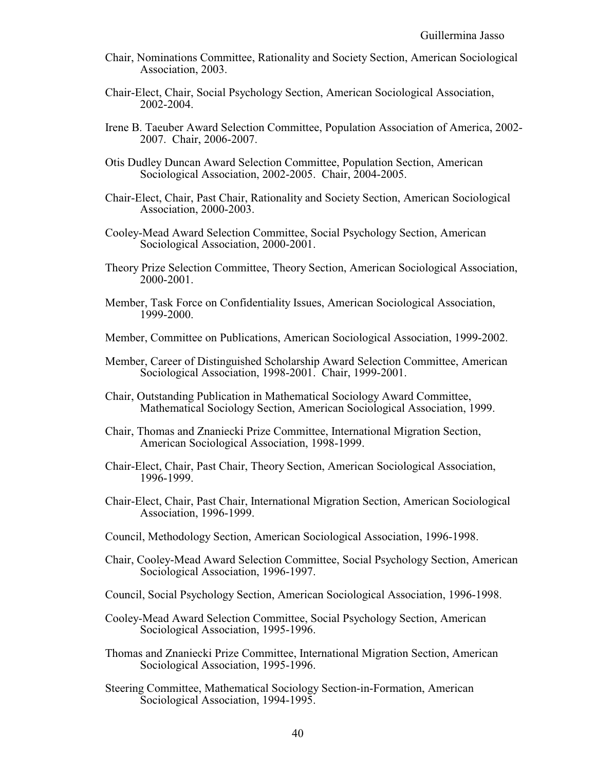- Chair, Nominations Committee, Rationality and Society Section, American Sociological Association, 2003.
- Chair-Elect, Chair, Social Psychology Section, American Sociological Association, 2002-2004.
- Irene B. Taeuber Award Selection Committee, Population Association of America, 2002- 2007. Chair, 2006-2007.
- Otis Dudley Duncan Award Selection Committee, Population Section, American Sociological Association, 2002-2005. Chair, 2004-2005.
- Chair-Elect, Chair, Past Chair, Rationality and Society Section, American Sociological Association, 2000-2003.
- Cooley-Mead Award Selection Committee, Social Psychology Section, American Sociological Association, 2000-2001.
- Theory Prize Selection Committee, Theory Section, American Sociological Association, 2000-2001.
- Member, Task Force on Confidentiality Issues, American Sociological Association, 1999-2000.
- Member, Committee on Publications, American Sociological Association, 1999-2002.
- Member, Career of Distinguished Scholarship Award Selection Committee, American Sociological Association, 1998-2001. Chair, 1999-2001.
- Chair, Outstanding Publication in Mathematical Sociology Award Committee, Mathematical Sociology Section, American Sociological Association, 1999.
- Chair, Thomas and Znaniecki Prize Committee, International Migration Section, American Sociological Association, 1998-1999.
- Chair-Elect, Chair, Past Chair, Theory Section, American Sociological Association, 1996-1999.
- Chair-Elect, Chair, Past Chair, International Migration Section, American Sociological Association, 1996-1999.
- Council, Methodology Section, American Sociological Association, 1996-1998.
- Chair, Cooley-Mead Award Selection Committee, Social Psychology Section, American Sociological Association, 1996-1997.
- Council, Social Psychology Section, American Sociological Association, 1996-1998.
- Cooley-Mead Award Selection Committee, Social Psychology Section, American Sociological Association, 1995-1996.
- Thomas and Znaniecki Prize Committee, International Migration Section, American Sociological Association, 1995-1996.
- Steering Committee, Mathematical Sociology Section-in-Formation, American Sociological Association, 1994-1995.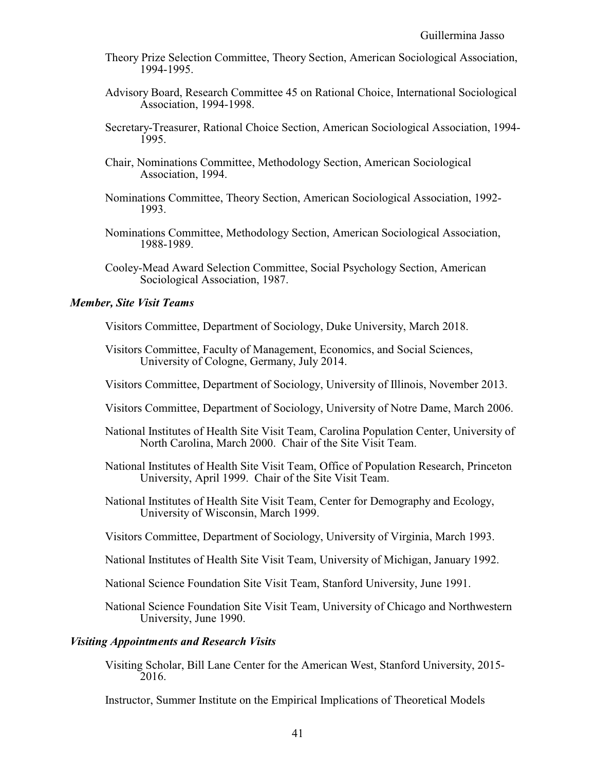- Theory Prize Selection Committee, Theory Section, American Sociological Association, 1994-1995.
- Advisory Board, Research Committee 45 on Rational Choice, International Sociological Association, 1994-1998.
- Secretary-Treasurer, Rational Choice Section, American Sociological Association, 1994- 1995.
- Chair, Nominations Committee, Methodology Section, American Sociological Association, 1994.
- Nominations Committee, Theory Section, American Sociological Association, 1992- 1993.
- Nominations Committee, Methodology Section, American Sociological Association, 1988-1989.
- Cooley-Mead Award Selection Committee, Social Psychology Section, American Sociological Association, 1987.

## *Member, Site Visit Teams*

Visitors Committee, Department of Sociology, Duke University, March 2018.

- Visitors Committee, Faculty of Management, Economics, and Social Sciences, University of Cologne, Germany, July 2014.
- Visitors Committee, Department of Sociology, University of Illinois, November 2013.
- Visitors Committee, Department of Sociology, University of Notre Dame, March 2006.
- National Institutes of Health Site Visit Team, Carolina Population Center, University of North Carolina, March 2000. Chair of the Site Visit Team.
- National Institutes of Health Site Visit Team, Office of Population Research, Princeton University, April 1999. Chair of the Site Visit Team.
- National Institutes of Health Site Visit Team, Center for Demography and Ecology, University of Wisconsin, March 1999.
- Visitors Committee, Department of Sociology, University of Virginia, March 1993.
- National Institutes of Health Site Visit Team, University of Michigan, January 1992.
- National Science Foundation Site Visit Team, Stanford University, June 1991.
- National Science Foundation Site Visit Team, University of Chicago and Northwestern University, June 1990.

### *Visiting Appointments and Research Visits*

Visiting Scholar, Bill Lane Center for the American West, Stanford University, 2015- 2016.

Instructor, Summer Institute on the Empirical Implications of Theoretical Models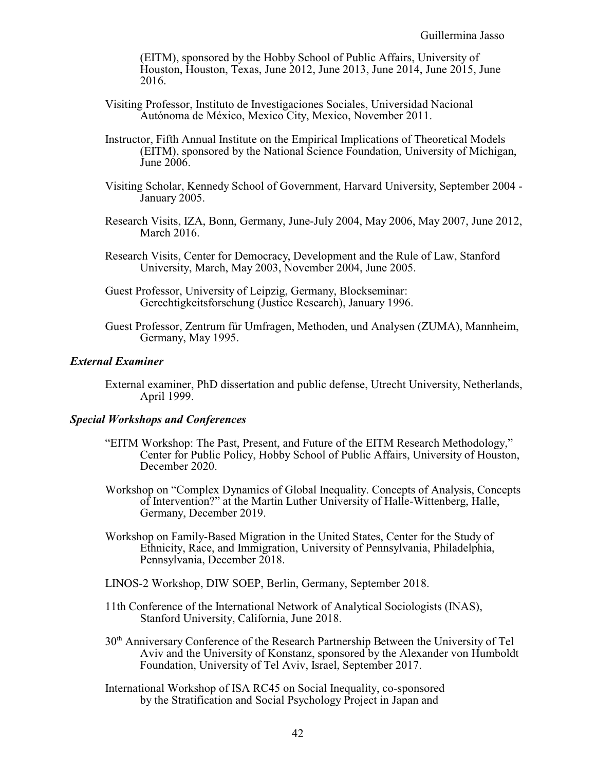(EITM), sponsored by the Hobby School of Public Affairs, University of Houston, Houston, Texas, June 2012, June 2013, June 2014, June 2015, June 2016.

- Visiting Professor, Instituto de Investigaciones Sociales, Universidad Nacional Autónoma de México, Mexico City, Mexico, November 2011.
- Instructor, Fifth Annual Institute on the Empirical Implications of Theoretical Models (EITM), sponsored by the National Science Foundation, University of Michigan, June 2006.
- Visiting Scholar, Kennedy School of Government, Harvard University, September 2004 January 2005.
- Research Visits, IZA, Bonn, Germany, June-July 2004, May 2006, May 2007, June 2012, March 2016.
- Research Visits, Center for Democracy, Development and the Rule of Law, Stanford University, March, May 2003, November 2004, June 2005.
- Guest Professor, University of Leipzig, Germany, Blockseminar: Gerechtigkeitsforschung (Justice Research), January 1996.
- Guest Professor, Zentrum für Umfragen, Methoden, und Analysen (ZUMA), Mannheim, Germany, May 1995.

#### *External Examiner*

External examiner, PhD dissertation and public defense, Utrecht University, Netherlands, April 1999.

### *Special Workshops and Conferences*

- "EITM Workshop: The Past, Present, and Future of the EITM Research Methodology," Center for Public Policy, Hobby School of Public Affairs, University of Houston, December 2020.
- Workshop on "Complex Dynamics of Global Inequality. Concepts of Analysis, Concepts of Intervention?" at the Martin Luther University of Halle-Wittenberg, Halle, Germany, December 2019.
- Workshop on Family-Based Migration in the United States, Center for the Study of Ethnicity, Race, and Immigration, University of Pennsylvania, Philadelphia, Pennsylvania, December 2018.
- LINOS-2 Workshop, DIW SOEP, Berlin, Germany, September 2018.
- 11th Conference of the International Network of Analytical Sociologists (INAS), Stanford University, California, June 2018.
- 30<sup>th</sup> Anniversary Conference of the Research Partnership Between the University of Tel Aviv and the University of Konstanz, sponsored by the Alexander von Humboldt Foundation, University of Tel Aviv, Israel, September 2017.
- International Workshop of ISA RC45 on Social Inequality, co-sponsored by the Stratification and Social Psychology Project in Japan and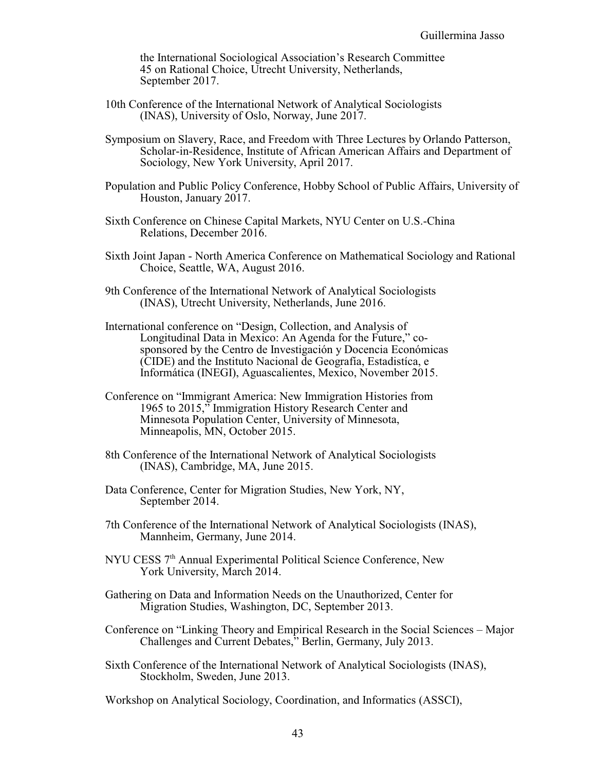the International Sociological Association's Research Committee 45 on Rational Choice, Utrecht University, Netherlands, September 2017.

- 10th Conference of the International Network of Analytical Sociologists (INAS), University of Oslo, Norway, June 2017.
- Symposium on Slavery, Race, and Freedom with Three Lectures by Orlando Patterson, Scholar-in-Residence, Institute of African American Affairs and Department of Sociology, New York University, April 2017.
- Population and Public Policy Conference, Hobby School of Public Affairs, University of Houston, January 2017.
- Sixth Conference on Chinese Capital Markets, NYU Center on U.S.-China Relations, December 2016.
- Sixth Joint Japan North America Conference on Mathematical Sociology and Rational Choice, Seattle, WA, August 2016.
- 9th Conference of the International Network of Analytical Sociologists (INAS), Utrecht University, Netherlands, June 2016.
- International conference on "Design, Collection, and Analysis of Longitudinal Data in Mexico: An Agenda for the Future," cosponsored by the Centro de Investigación y Docencia Económicas (CIDE) and the Instituto Nacional de Geografía, Estadistíca, e Informática (INEGI), Aguascalientes, Mexico, November 2015.
- Conference on "Immigrant America: New Immigration Histories from 1965 to 2015," Immigration History Research Center and Minnesota Population Center, University of Minnesota, Minneapolis, MN, October 2015.
- 8th Conference of the International Network of Analytical Sociologists (INAS), Cambridge, MA, June 2015.
- Data Conference, Center for Migration Studies, New York, NY, September 2014.
- 7th Conference of the International Network of Analytical Sociologists (INAS), Mannheim, Germany, June 2014.
- NYU CESS 7<sup>th</sup> Annual Experimental Political Science Conference, New York University, March 2014.
- Gathering on Data and Information Needs on the Unauthorized, Center for Migration Studies, Washington, DC, September 2013.
- Conference on "Linking Theory and Empirical Research in the Social Sciences Major Challenges and Current Debates," Berlin, Germany, July 2013.
- Sixth Conference of the International Network of Analytical Sociologists (INAS), Stockholm, Sweden, June 2013.

Workshop on Analytical Sociology, Coordination, and Informatics (ASSCI),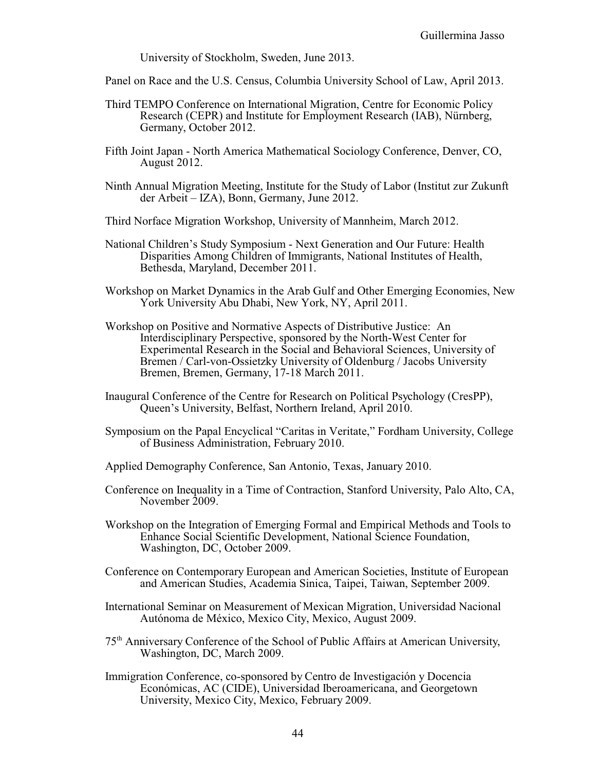University of Stockholm, Sweden, June 2013.

- Panel on Race and the U.S. Census, Columbia University School of Law, April 2013.
- Third TEMPO Conference on International Migration, Centre for Economic Policy Research (CEPR) and Institute for Employment Research (IAB), Nürnberg, Germany, October 2012.
- Fifth Joint Japan North America Mathematical Sociology Conference, Denver, CO, August 2012.
- Ninth Annual Migration Meeting, Institute for the Study of Labor (Institut zur Zukunft der Arbeit – IZA), Bonn, Germany, June 2012.
- Third Norface Migration Workshop, University of Mannheim, March 2012.
- National Children's Study Symposium Next Generation and Our Future: Health Disparities Among Children of Immigrants, National Institutes of Health, Bethesda, Maryland, December 2011.
- Workshop on Market Dynamics in the Arab Gulf and Other Emerging Economies, New York University Abu Dhabi, New York, NY, April 2011.
- Workshop on Positive and Normative Aspects of Distributive Justice: An Interdisciplinary Perspective, sponsored by the North-West Center for Experimental Research in the Social and Behavioral Sciences, University of Bremen / Carl-von-Ossietzky University of Oldenburg / Jacobs University Bremen, Bremen, Germany, 17-18 March 2011.
- Inaugural Conference of the Centre for Research on Political Psychology (CresPP), Queen's University, Belfast, Northern Ireland, April 2010.
- Symposium on the Papal Encyclical "Caritas in Veritate," Fordham University, College of Business Administration, February 2010.
- Applied Demography Conference, San Antonio, Texas, January 2010.
- Conference on Inequality in a Time of Contraction, Stanford University, Palo Alto, CA, November 2009.
- Workshop on the Integration of Emerging Formal and Empirical Methods and Tools to Enhance Social Scientific Development, National Science Foundation, Washington, DC, October 2009.
- Conference on Contemporary European and American Societies, Institute of European and American Studies, Academia Sinica, Taipei, Taiwan, September 2009.
- International Seminar on Measurement of Mexican Migration, Universidad Nacional Autónoma de México, Mexico City, Mexico, August 2009.
- 75th Anniversary Conference of the School of Public Affairs at American University, Washington, DC, March 2009.
- Immigration Conference, co-sponsored by Centro de Investigación y Docencia Económicas, AC (CIDE), Universidad Iberoamericana, and Georgetown University, Mexico City, Mexico, February 2009.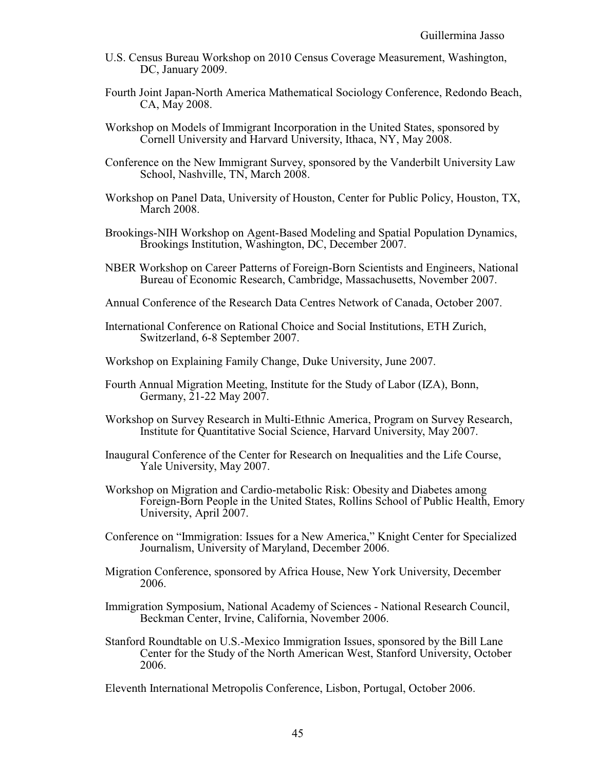- U.S. Census Bureau Workshop on 2010 Census Coverage Measurement, Washington, DC, January 2009.
- Fourth Joint Japan-North America Mathematical Sociology Conference, Redondo Beach, CA, May 2008.
- Workshop on Models of Immigrant Incorporation in the United States, sponsored by Cornell University and Harvard University, Ithaca, NY, May 2008.
- Conference on the New Immigrant Survey, sponsored by the Vanderbilt University Law School, Nashville, TN, March 2008.
- Workshop on Panel Data, University of Houston, Center for Public Policy, Houston, TX, March 2008.
- Brookings-NIH Workshop on Agent-Based Modeling and Spatial Population Dynamics, Brookings Institution, Washington, DC, December 2007.
- NBER Workshop on Career Patterns of Foreign-Born Scientists and Engineers, National Bureau of Economic Research, Cambridge, Massachusetts, November 2007.
- Annual Conference of the Research Data Centres Network of Canada, October 2007.
- International Conference on Rational Choice and Social Institutions, ETH Zurich, Switzerland, 6-8 September 2007.
- Workshop on Explaining Family Change, Duke University, June 2007.
- Fourth Annual Migration Meeting, Institute for the Study of Labor (IZA), Bonn, Germany, 21-22 May 2007.
- Workshop on Survey Research in Multi-Ethnic America, Program on Survey Research, Institute for Quantitative Social Science, Harvard University, May 2007.
- Inaugural Conference of the Center for Research on Inequalities and the Life Course, Yale University, May 2007.
- Workshop on Migration and Cardio-metabolic Risk: Obesity and Diabetes among Foreign-Born People in the United States, Rollins School of Public Health, Emory University, April 2007.
- Conference on "Immigration: Issues for a New America," Knight Center for Specialized Journalism, University of Maryland, December 2006.
- Migration Conference, sponsored by Africa House, New York University, December 2006.
- Immigration Symposium, National Academy of Sciences National Research Council, Beckman Center, Irvine, California, November 2006.
- Stanford Roundtable on U.S.-Mexico Immigration Issues, sponsored by the Bill Lane Center for the Study of the North American West, Stanford University, October 2006.

Eleventh International Metropolis Conference, Lisbon, Portugal, October 2006.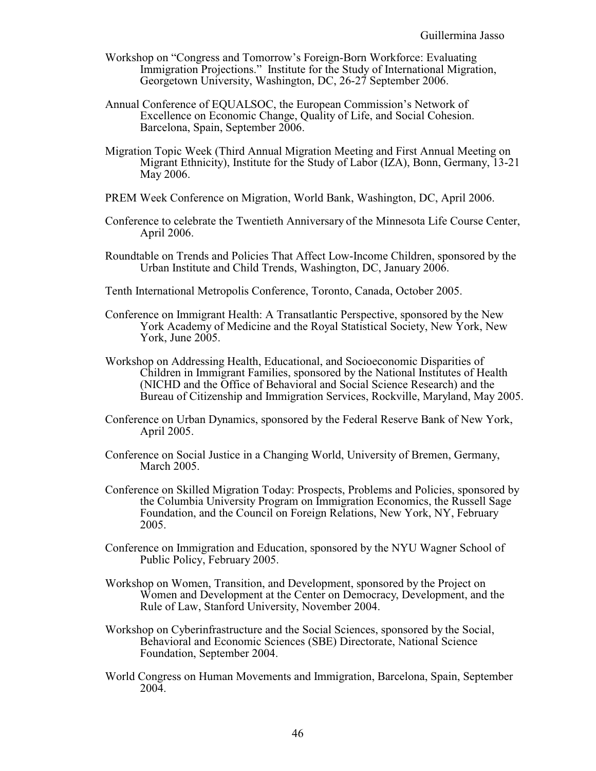- Workshop on "Congress and Tomorrow's Foreign-Born Workforce: Evaluating Immigration Projections." Institute for the Study of International Migration, Georgetown University, Washington, DC, 26-27 September 2006.
- Annual Conference of EQUALSOC, the European Commission's Network of Excellence on Economic Change, Quality of Life, and Social Cohesion. Barcelona, Spain, September 2006.
- Migration Topic Week (Third Annual Migration Meeting and First Annual Meeting on Migrant Ethnicity), Institute for the Study of Labor (IZA), Bonn, Germany, 13-21 May 2006.
- PREM Week Conference on Migration, World Bank, Washington, DC, April 2006.
- Conference to celebrate the Twentieth Anniversary of the Minnesota Life Course Center, April 2006.
- Roundtable on Trends and Policies That Affect Low-Income Children, sponsored by the Urban Institute and Child Trends, Washington, DC, January 2006.
- Tenth International Metropolis Conference, Toronto, Canada, October 2005.
- Conference on Immigrant Health: A Transatlantic Perspective, sponsored by the New York Academy of Medicine and the Royal Statistical Society, New York, New York, June 2005.
- Workshop on Addressing Health, Educational, and Socioeconomic Disparities of Children in Immigrant Families, sponsored by the National Institutes of Health (NICHD and the Office of Behavioral and Social Science Research) and the Bureau of Citizenship and Immigration Services, Rockville, Maryland, May 2005.
- Conference on Urban Dynamics, sponsored by the Federal Reserve Bank of New York, April 2005.
- Conference on Social Justice in a Changing World, University of Bremen, Germany, March 2005.
- Conference on Skilled Migration Today: Prospects, Problems and Policies, sponsored by the Columbia University Program on Immigration Economics, the Russell Sage Foundation, and the Council on Foreign Relations, New York, NY, February 2005.
- Conference on Immigration and Education, sponsored by the NYU Wagner School of Public Policy, February 2005.
- Workshop on Women, Transition, and Development, sponsored by the Project on Women and Development at the Center on Democracy, Development, and the Rule of Law, Stanford University, November 2004.
- Workshop on Cyberinfrastructure and the Social Sciences, sponsored by the Social, Behavioral and Economic Sciences (SBE) Directorate, National Science Foundation, September 2004.
- World Congress on Human Movements and Immigration, Barcelona, Spain, September 2004.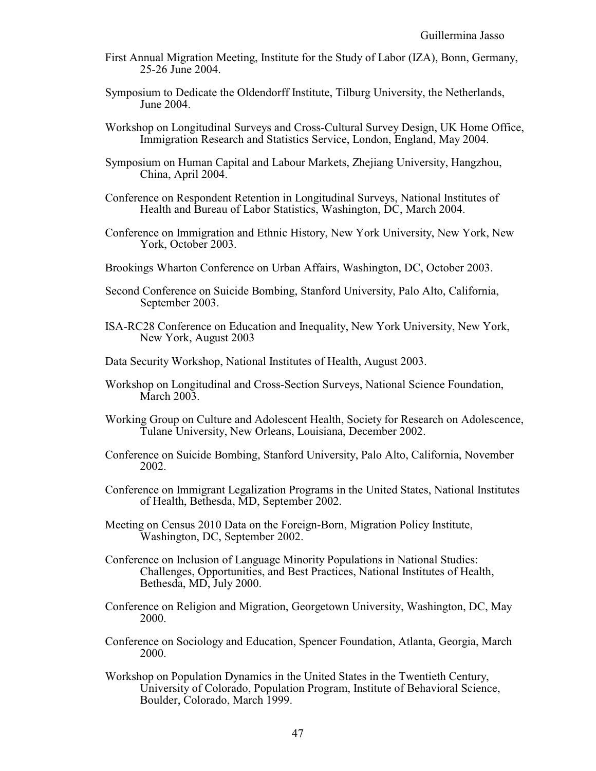- First Annual Migration Meeting, Institute for the Study of Labor (IZA), Bonn, Germany, 25-26 June 2004.
- Symposium to Dedicate the Oldendorff Institute, Tilburg University, the Netherlands, June 2004.
- Workshop on Longitudinal Surveys and Cross-Cultural Survey Design, UK Home Office, Immigration Research and Statistics Service, London, England, May 2004.
- Symposium on Human Capital and Labour Markets, Zhejiang University, Hangzhou, China, April 2004.
- Conference on Respondent Retention in Longitudinal Surveys, National Institutes of Health and Bureau of Labor Statistics, Washington, DC, March 2004.
- Conference on Immigration and Ethnic History, New York University, New York, New York, October 2003.
- Brookings Wharton Conference on Urban Affairs, Washington, DC, October 2003.
- Second Conference on Suicide Bombing, Stanford University, Palo Alto, California, September 2003.
- ISA-RC28 Conference on Education and Inequality, New York University, New York, New York, August 2003
- Data Security Workshop, National Institutes of Health, August 2003.
- Workshop on Longitudinal and Cross-Section Surveys, National Science Foundation, March 2003.
- Working Group on Culture and Adolescent Health, Society for Research on Adolescence, Tulane University, New Orleans, Louisiana, December 2002.
- Conference on Suicide Bombing, Stanford University, Palo Alto, California, November 2002.
- Conference on Immigrant Legalization Programs in the United States, National Institutes of Health, Bethesda, MD, September 2002.
- Meeting on Census 2010 Data on the Foreign-Born, Migration Policy Institute, Washington, DC, September 2002.
- Conference on Inclusion of Language Minority Populations in National Studies: Challenges, Opportunities, and Best Practices, National Institutes of Health, Bethesda, MD, July 2000.
- Conference on Religion and Migration, Georgetown University, Washington, DC, May 2000.
- Conference on Sociology and Education, Spencer Foundation, Atlanta, Georgia, March 2000.
- Workshop on Population Dynamics in the United States in the Twentieth Century, University of Colorado, Population Program, Institute of Behavioral Science, Boulder, Colorado, March 1999.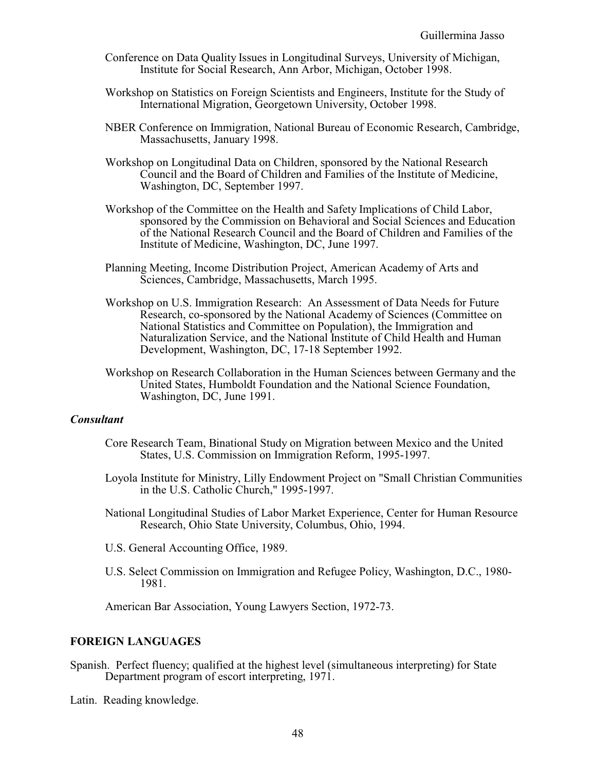- Conference on Data Quality Issues in Longitudinal Surveys, University of Michigan, Institute for Social Research, Ann Arbor, Michigan, October 1998.
- Workshop on Statistics on Foreign Scientists and Engineers, Institute for the Study of International Migration, Georgetown University, October 1998.
- NBER Conference on Immigration, National Bureau of Economic Research, Cambridge, Massachusetts, January 1998.
- Workshop on Longitudinal Data on Children, sponsored by the National Research Council and the Board of Children and Families of the Institute of Medicine, Washington, DC, September 1997.
- Workshop of the Committee on the Health and Safety Implications of Child Labor, sponsored by the Commission on Behavioral and Social Sciences and Education of the National Research Council and the Board of Children and Families of the Institute of Medicine, Washington, DC, June 1997.
- Planning Meeting, Income Distribution Project, American Academy of Arts and Sciences, Cambridge, Massachusetts, March 1995.
- Workshop on U.S. Immigration Research: An Assessment of Data Needs for Future Research, co-sponsored by the National Academy of Sciences (Committee on National Statistics and Committee on Population), the Immigration and Naturalization Service, and the National Institute of Child Health and Human Development, Washington, DC, 17-18 September 1992.
- Workshop on Research Collaboration in the Human Sciences between Germany and the United States, Humboldt Foundation and the National Science Foundation, Washington, DC, June 1991.

### *Consultant*

- Core Research Team, Binational Study on Migration between Mexico and the United States, U.S. Commission on Immigration Reform, 1995-1997.
- Loyola Institute for Ministry, Lilly Endowment Project on "Small Christian Communities in the U.S. Catholic Church," 1995-1997.
- National Longitudinal Studies of Labor Market Experience, Center for Human Resource Research, Ohio State University, Columbus, Ohio, 1994.
- U.S. General Accounting Office, 1989.
- U.S. Select Commission on Immigration and Refugee Policy, Washington, D.C., 1980- 1981.

American Bar Association, Young Lawyers Section, 1972-73.

## **FOREIGN LANGUAGES**

Spanish. Perfect fluency; qualified at the highest level (simultaneous interpreting) for State Department program of escort interpreting, 1971.

Latin. Reading knowledge.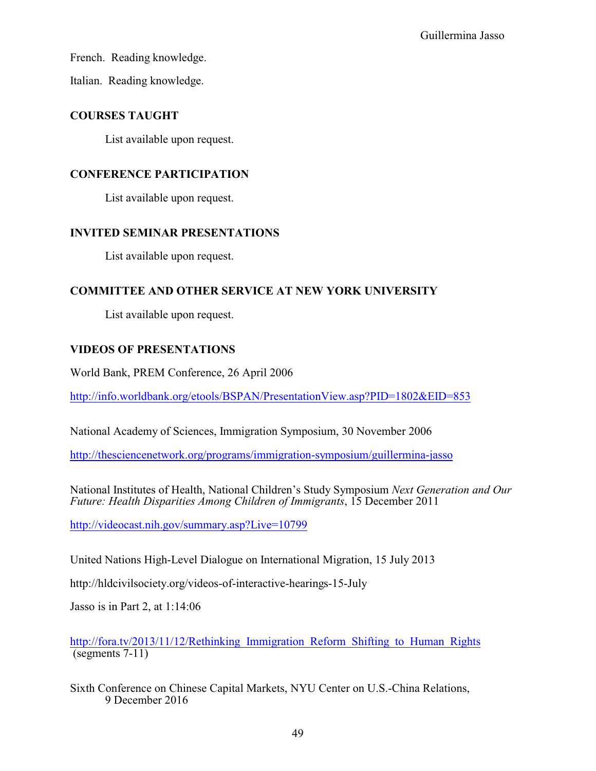French. Reading knowledge.

Italian. Reading knowledge.

# **COURSES TAUGHT**

List available upon request.

# **CONFERENCE PARTICIPATION**

List available upon request.

# **INVITED SEMINAR PRESENTATIONS**

List available upon request.

# **COMMITTEE AND OTHER SERVICE AT NEW YORK UNIVERSITY**

List available upon request.

# **VIDEOS OF PRESENTATIONS**

World Bank, PREM Conference, 26 April 2006

<http://info.worldbank.org/etools/BSPAN/PresentationView.asp?PID=1802&EID=853>

National Academy of Sciences, Immigration Symposium, 30 November 2006

<http://thesciencenetwork.org/programs/immigration-symposium/guillermina-jasso>

National Institutes of Health, National Children's Study Symposium *Next Generation and Our Future: Health Disparities Among Children of Immigrants*, 15 December 2011

<http://videocast.nih.gov/summary.asp?Live=10799>

United Nations High-Level Dialogue on International Migration, 15 July 2013

http://hldcivilsociety.org/videos-of-interactive-hearings-15-July

Jasso is in Part 2, at 1:14:06

http://fora.tv/2013/11/12/Rethinking Immigration Reform Shifting to Human Rights (segments 7-11)

<span id="page-48-0"></span>Sixth Conference on Chinese Capital Markets, NYU Center on U.S.-China Relations, 9 December 2016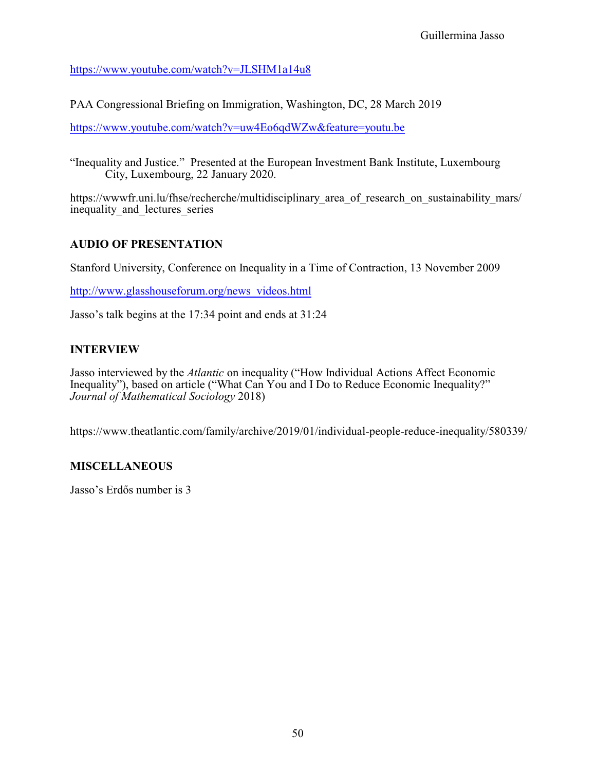<https://www.youtube.com/watch?v=JLSHM1a14u8>

PAA Congressional Briefing on Immigration, Washington, DC, 28 March 2019

<https://www.youtube.com/watch?v=uw4Eo6qdWZw&feature=youtu.be>

"Inequality and Justice." Presented at the European Investment Bank Institute, Luxembourg City, Luxembourg, 22 January 2020.

https://wwwfr.uni.lu/fhse/recherche/multidisciplinary area of research on sustainability mars/ inequality and lectures series

# **AUDIO OF PRESENTATION**

Stanford University, Conference on Inequality in a Time of Contraction, 13 November 2009

[http://www.glasshouseforum.org/news\\_videos.html](http://www.glasshouseforum.org/news_videos.html)

Jasso's talk begins at the 17:34 point and ends at 31:24

# **INTERVIEW**

Jasso interviewed by the *Atlantic* on inequality ("How Individual Actions Affect Economic Inequality"), based on article ("What Can You and I Do to Reduce Economic Inequality?" *Journal of Mathematical Sociology* 2018)

https://www.theatlantic.com/family/archive/2019/01/individual-people-reduce-inequality/580339/

## **MISCELLANEOUS**

Jasso's Erdõs number is 3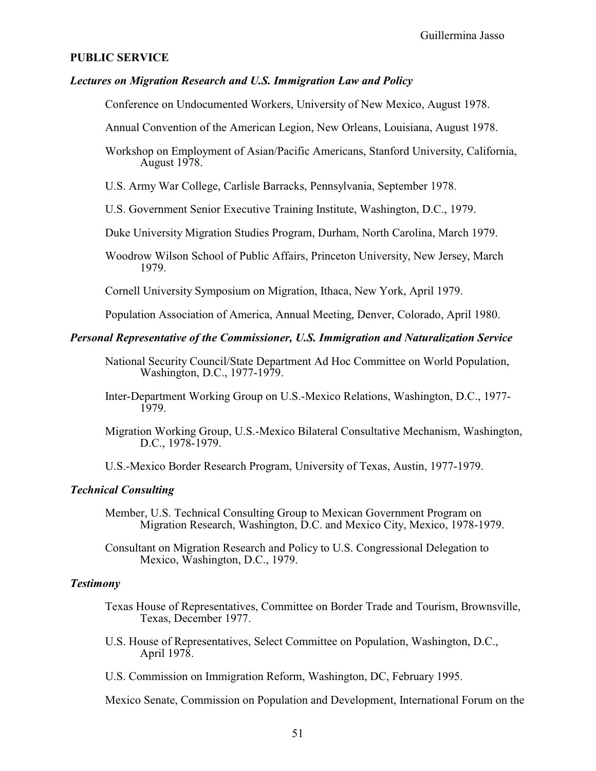#### **PUBLIC SERVICE**

## *Lectures on Migration Research and U.S. Immigration Law and Policy*

Conference on Undocumented Workers, University of New Mexico, August 1978.

Annual Convention of the American Legion, New Orleans, Louisiana, August 1978.

Workshop on Employment of Asian/Pacific Americans, Stanford University, California, August 1978.

U.S. Army War College, Carlisle Barracks, Pennsylvania, September 1978.

U.S. Government Senior Executive Training Institute, Washington, D.C., 1979.

Duke University Migration Studies Program, Durham, North Carolina, March 1979.

Woodrow Wilson School of Public Affairs, Princeton University, New Jersey, March 1979.

Cornell University Symposium on Migration, Ithaca, New York, April 1979.

Population Association of America, Annual Meeting, Denver, Colorado, April 1980.

## *Personal Representative of the Commissioner, U.S. Immigration and Naturalization Service*

- National Security Council/State Department Ad Hoc Committee on World Population, Washington, D.C., 1977-1979.
- Inter-Department Working Group on U.S.-Mexico Relations, Washington, D.C., 1977- 1979.
- Migration Working Group, U.S.-Mexico Bilateral Consultative Mechanism, Washington, D.C., 1978-1979.

U.S.-Mexico Border Research Program, University of Texas, Austin, 1977-1979.

### *Technical Consulting*

- Member, U.S. Technical Consulting Group to Mexican Government Program on Migration Research, Washington, D.C. and Mexico City, Mexico, 1978-1979.
- Consultant on Migration Research and Policy to U.S. Congressional Delegation to Mexico, Washington, D.C., 1979.

### *Testimony*

- Texas House of Representatives, Committee on Border Trade and Tourism, Brownsville, Texas, December 1977.
- U.S. House of Representatives, Select Committee on Population, Washington, D.C., April 1978.
- U.S. Commission on Immigration Reform, Washington, DC, February 1995.

Mexico Senate, Commission on Population and Development, International Forum on the